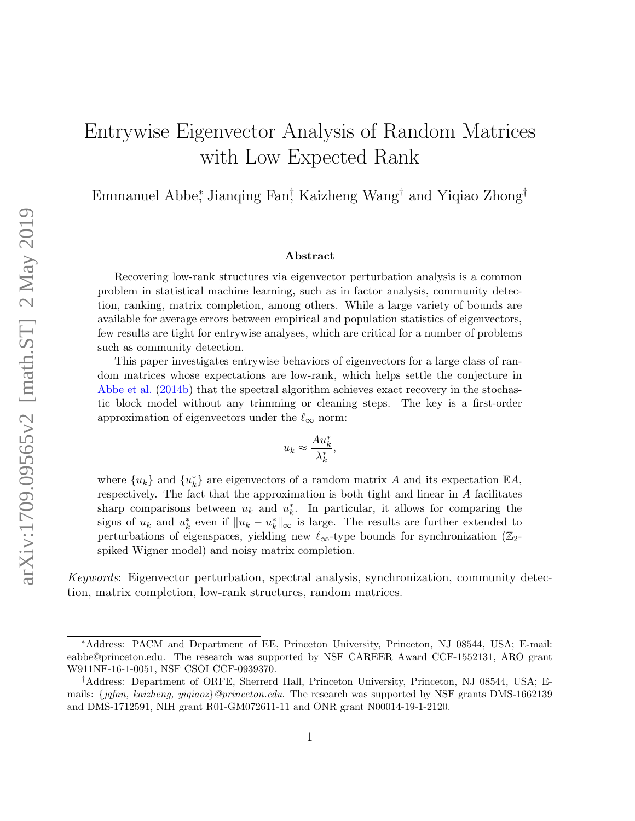# Entrywise Eigenvector Analysis of Random Matrices with Low Expected Rank

Emmanuel Abbe<sup>∗</sup> , Jianqing Fan† , Kaizheng Wang† and Yiqiao Zhong†

#### Abstract

Recovering low-rank structures via eigenvector perturbation analysis is a common problem in statistical machine learning, such as in factor analysis, community detection, ranking, matrix completion, among others. While a large variety of bounds are available for average errors between empirical and population statistics of eigenvectors, few results are tight for entrywise analyses, which are critical for a number of problems such as community detection.

This paper investigates entrywise behaviors of eigenvectors for a large class of random matrices whose expectations are low-rank, which helps settle the conjecture in [Abbe et al.](#page-51-0) [\(2014b\)](#page-51-0) that the spectral algorithm achieves exact recovery in the stochastic block model without any trimming or cleaning steps. The key is a first-order approximation of eigenvectors under the  $\ell_{\infty}$  norm:

$$
u_k \approx \frac{Au_k^*}{\lambda_k^*},
$$

where  ${u_k}$  and  ${u_k^*}$  are eigenvectors of a random matrix A and its expectation  $\mathbb{E} A$ , respectively. The fact that the approximation is both tight and linear in A facilitates sharp comparisons between  $u_k$  and  $u_k^*$ . In particular, it allows for comparing the signs of  $u_k$  and  $u_k^*$  even if  $||u_k - u_k^*||_{\infty}$  is large. The results are further extended to perturbations of eigenspaces, yielding new  $\ell_{\infty}$ -type bounds for synchronization (Z<sub>2</sub>spiked Wigner model) and noisy matrix completion.

Keywords: Eigenvector perturbation, spectral analysis, synchronization, community detection, matrix completion, low-rank structures, random matrices.

<sup>∗</sup>Address: PACM and Department of EE, Princeton University, Princeton, NJ 08544, USA; E-mail: eabbe@princeton.edu. The research was supported by NSF CAREER Award CCF-1552131, ARO grant W911NF-16-1-0051, NSF CSOI CCF-0939370.

<sup>†</sup>Address: Department of ORFE, Sherrerd Hall, Princeton University, Princeton, NJ 08544, USA; Emails: {jqfan, kaizheng, yiqiaoz}@princeton.edu. The research was supported by NSF grants DMS-1662139 and DMS-1712591, NIH grant R01-GM072611-11 and ONR grant N00014-19-1-2120.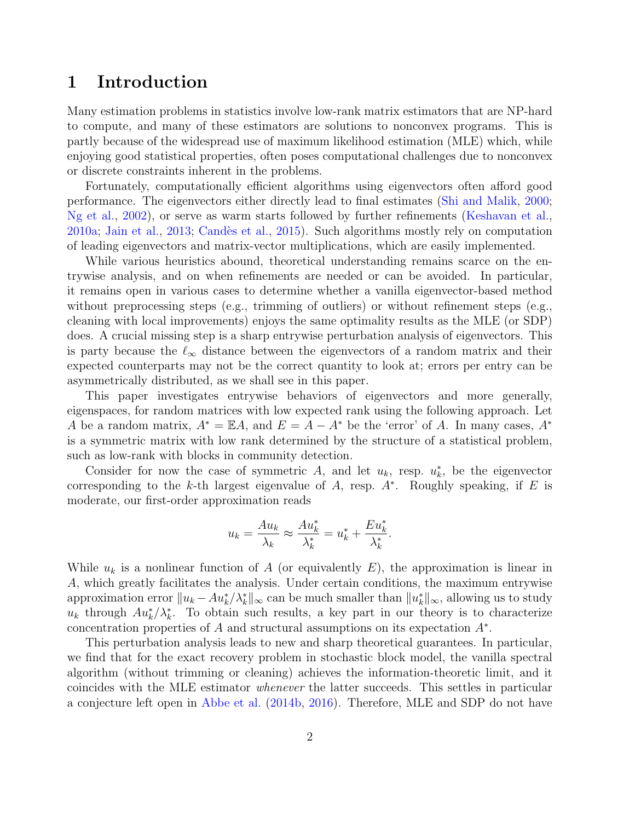### <span id="page-1-0"></span>1 Introduction

Many estimation problems in statistics involve low-rank matrix estimators that are NP-hard to compute, and many of these estimators are solutions to nonconvex programs. This is partly because of the widespread use of maximum likelihood estimation (MLE) which, while enjoying good statistical properties, often poses computational challenges due to nonconvex or discrete constraints inherent in the problems.

Fortunately, computationally efficient algorithms using eigenvectors often afford good performance. The eigenvectors either directly lead to final estimates [\(Shi and Malik,](#page-56-0) [2000;](#page-56-0) [Ng et al.,](#page-55-0) [2002\)](#page-55-0), or serve as warm starts followed by further refinements [\(Keshavan et al.,](#page-54-0) [2010a;](#page-54-0) [Jain et al.,](#page-54-1) [2013;](#page-54-1) [Cand`es et al.,](#page-52-0) [2015\)](#page-52-0). Such algorithms mostly rely on computation of leading eigenvectors and matrix-vector multiplications, which are easily implemented.

While various heuristics abound, theoretical understanding remains scarce on the entrywise analysis, and on when refinements are needed or can be avoided. In particular, it remains open in various cases to determine whether a vanilla eigenvector-based method without preprocessing steps (e.g., trimming of outliers) or without refinement steps (e.g., cleaning with local improvements) enjoys the same optimality results as the MLE (or SDP) does. A crucial missing step is a sharp entrywise perturbation analysis of eigenvectors. This is party because the  $\ell_{\infty}$  distance between the eigenvectors of a random matrix and their expected counterparts may not be the correct quantity to look at; errors per entry can be asymmetrically distributed, as we shall see in this paper.

This paper investigates entrywise behaviors of eigenvectors and more generally, eigenspaces, for random matrices with low expected rank using the following approach. Let A be a random matrix,  $A^* = \mathbb{E}A$ , and  $E = A - A^*$  be the 'error' of A. In many cases,  $A^*$ is a symmetric matrix with low rank determined by the structure of a statistical problem, such as low-rank with blocks in community detection.

Consider for now the case of symmetric A, and let  $u_k$ , resp.  $u_k^*$ , be the eigenvector corresponding to the k-th largest eigenvalue of  $A$ , resp.  $A^*$ . Roughly speaking, if  $E$  is moderate, our first-order approximation reads

$$
u_k = \frac{Au_k}{\lambda_k} \approx \frac{Au_k^*}{\lambda_k^*} = u_k^* + \frac{Eu_k^*}{\lambda_k^*}.
$$

While  $u_k$  is a nonlinear function of A (or equivalently E), the approximation is linear in A, which greatly facilitates the analysis. Under certain conditions, the maximum entrywise approximation error  $||u_k - Au_k^* / \lambda_k^*||_{\infty}$  can be much smaller than  $||u_k^*||_{\infty}$ , allowing us to study  $u_k$  through  $Au_k^*/\lambda_k^*$ . To obtain such results, a key part in our theory is to characterize concentration properties of  $A$  and structural assumptions on its expectation  $A^*$ .

This perturbation analysis leads to new and sharp theoretical guarantees. In particular, we find that for the exact recovery problem in stochastic block model, the vanilla spectral algorithm (without trimming or cleaning) achieves the information-theoretic limit, and it coincides with the MLE estimator whenever the latter succeeds. This settles in particular a conjecture left open in [Abbe et al.](#page-51-0) [\(2014b,](#page-51-0) [2016\)](#page-51-1). Therefore, MLE and SDP do not have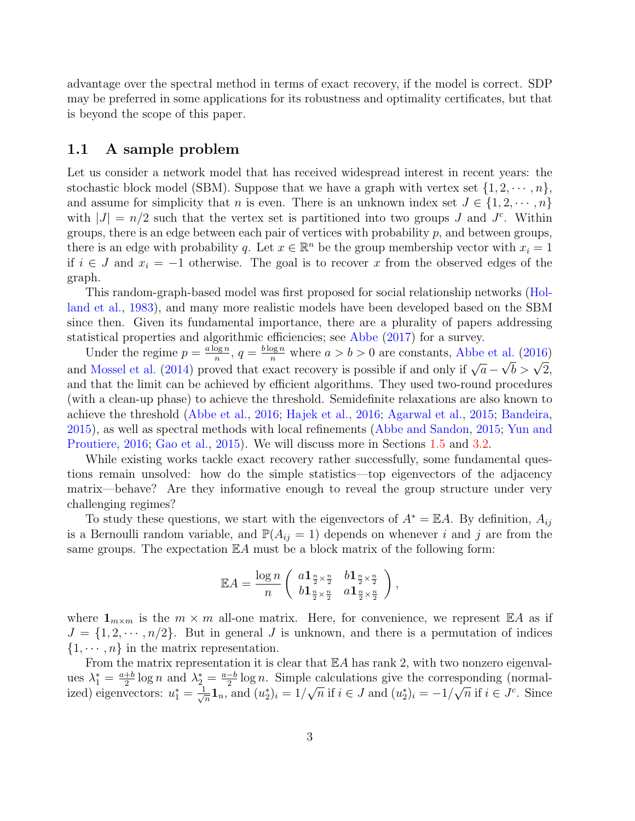advantage over the spectral method in terms of exact recovery, if the model is correct. SDP may be preferred in some applications for its robustness and optimality certificates, but that is beyond the scope of this paper.

#### <span id="page-2-0"></span>1.1 A sample problem

Let us consider a network model that has received widespread interest in recent years: the stochastic block model (SBM). Suppose that we have a graph with vertex set  $\{1, 2, \dots, n\}$ , and assume for simplicity that n is even. There is an unknown index set  $J \in \{1, 2, \dots, n\}$ with  $|J| = n/2$  such that the vertex set is partitioned into two groups J and J<sup>c</sup>. Within groups, there is an edge between each pair of vertices with probability  $p$ , and between groups, there is an edge with probability q. Let  $x \in \mathbb{R}^n$  be the group membership vector with  $x_i = 1$ if  $i \in J$  and  $x_i = -1$  otherwise. The goal is to recover x from the observed edges of the graph.

This random-graph-based model was first proposed for social relationship networks [\(Hol](#page-54-2)[land et al.,](#page-54-2) [1983\)](#page-54-2), and many more realistic models have been developed based on the SBM since then. Given its fundamental importance, there are a plurality of papers addressing statistical properties and algorithmic efficiencies; see [Abbe](#page-51-2) [\(2017\)](#page-51-2) for a survey.

Under the regime  $p = \frac{a \log n}{n}$  $\frac{\log n}{n}$ ,  $q = \frac{b \log n}{n}$  where  $a > b > 0$  are constants, [Abbe et al.](#page-51-1) [\(2016\)](#page-51-1) onder the regnine  $p = \frac{n}{n}$ ,  $q = \frac{n}{n}$  where  $a > b > 0$  are constants, Abbe et al. (2010)<br>and [Mossel et al.](#page-55-1) [\(2014\)](#page-55-1) proved that exact recovery is possible if and only if  $\sqrt{a} - \sqrt{b} > \sqrt{2}$ , and that the limit can be achieved by efficient algorithms. They used two-round procedures (with a clean-up phase) to achieve the threshold. Semidefinite relaxations are also known to achieve the threshold [\(Abbe et al.,](#page-51-1) [2016;](#page-51-1) [Hajek et al.,](#page-54-3) [2016;](#page-54-3) [Agarwal et al.,](#page-51-3) [2015;](#page-51-3) [Bandeira,](#page-52-1) [2015\)](#page-52-1), as well as spectral methods with local refinements [\(Abbe and Sandon,](#page-51-4) [2015;](#page-51-4) [Yun and](#page-57-0) [Proutiere,](#page-57-0) [2016;](#page-57-0) [Gao et al.,](#page-53-0) [2015\)](#page-53-0). We will discuss more in Sections [1.5](#page-8-0) and [3.2.](#page-14-0)

While existing works tackle exact recovery rather successfully, some fundamental questions remain unsolved: how do the simple statistics—top eigenvectors of the adjacency matrix—behave? Are they informative enough to reveal the group structure under very challenging regimes?

To study these questions, we start with the eigenvectors of  $A^* = \mathbb{E} A$ . By definition,  $A_{ij}$ is a Bernoulli random variable, and  $\mathbb{P}(A_{ij} = 1)$  depends on whenever i and j are from the same groups. The expectation  $\mathbb{E} A$  must be a block matrix of the following form:

$$
\mathbb{E} A = \frac{\log n}{n} \left( \begin{array}{cc} a\mathbf{1}_{\frac{n}{2}\times \frac{n}{2}} & b\mathbf{1}_{\frac{n}{2}\times \frac{n}{2}} \\ b\mathbf{1}_{\frac{n}{2}\times \frac{n}{2}} & a\mathbf{1}_{\frac{n}{2}\times \frac{n}{2}} \end{array} \right),
$$

where  $\mathbf{1}_{m \times m}$  is the  $m \times m$  all-one matrix. Here, for convenience, we represent  $\mathbb{E} A$  as if  $J = \{1, 2, \cdots, n/2\}$ . But in general J is unknown, and there is a permutation of indices  $\{1, \dots, n\}$  in the matrix representation.

From the matrix representation it is clear that  $\mathbb{E} A$  has rank 2, with two nonzero eigenvalues  $\lambda_1^* = \frac{a+b}{2}$  $\frac{+b}{2} \log n$  and  $\lambda_2^* = \frac{a-b}{2}$  $\frac{-b}{2}$ log n. Simple calculations give the corresponding (normalized) eigenvectors:  $u_1^* = \frac{1}{\sqrt{2}}$  $\frac{1}{n}\mathbf{1}_n$ , and  $(u_2^*)_i = 1/$ √  $\overline{n}$  if  $i \in J$  and  $(u_2^*)_i = -1/$ √  $\overline{n}$  if  $i \in J^c$ . Since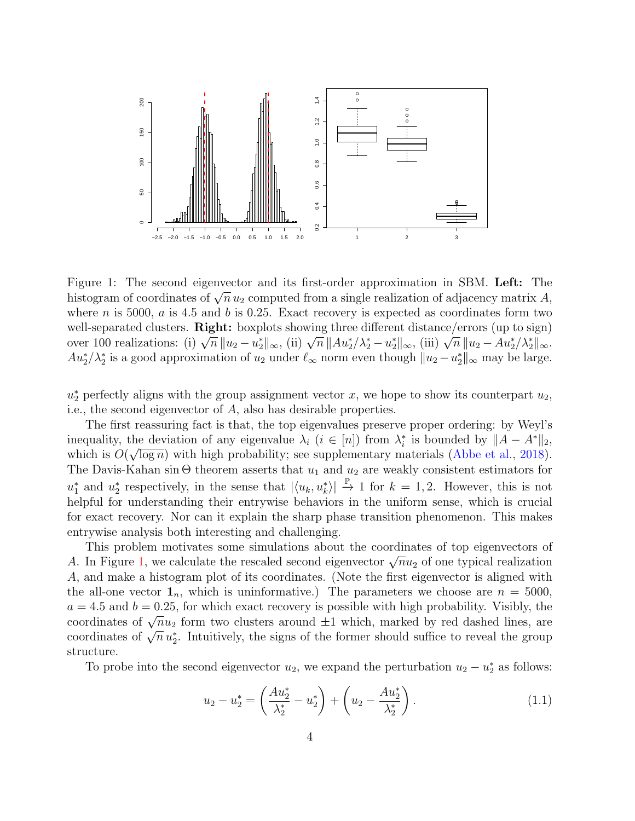<span id="page-3-0"></span>

Figure 1: The second eigenvector and its first-order approximation in SBM. Left: The rigure 1. The second eigenvector and its inst-order approximation in SDM. Lett: The histogram of coordinates of  $\sqrt{n} u_2$  computed from a single realization of adjacency matrix A, where  $n$  is 5000,  $a$  is 4.5 and  $b$  is 0.25. Exact recovery is expected as coordinates form two well-separated clusters. **Right:** boxplots showing three different distance/errors (up to sign) wen-separated clusters. **Fight:** boxplots showing three different distance/errors (up to sign) over 100 realizations: (i)  $\sqrt{n} ||u_2 - u_2^*||_{\infty}$ , (ii)  $\sqrt{n} ||Au_2^*/\lambda_2^* - u_2^*||_{\infty}$ , (iii)  $\sqrt{n} ||u_2 - Au_2^*/\lambda_2^*||_{\infty}$ .  $Au_2^*/\lambda_2^*$  is a good approximation of  $u_2$  under  $\ell_{\infty}$  norm even though  $||u_2 - u_2^*||_{\infty}$  may be large.

 $u_2^*$  perfectly aligns with the group assignment vector x, we hope to show its counterpart  $u_2$ , i.e., the second eigenvector of A, also has desirable properties.

The first reassuring fact is that, the top eigenvalues preserve proper ordering: by Weyl's inequality, the deviation of any eigenvalue  $\lambda_i$   $(i \in [n])$  from  $\lambda_i^*$  is bounded by  $||A - A^*||_2$ , which is  $O(\sqrt{\log n})$  with high probability; see supplementary materials [\(Abbe et al.,](#page-51-5) [2018\)](#page-51-5). The Davis-Kahan sin  $\Theta$  theorem asserts that  $u_1$  and  $u_2$  are weakly consistent estimators for  $u_1^*$  and  $u_2^*$  respectively, in the sense that  $|\langle u_k, u_k^* \rangle| \stackrel{\mathbb{P}}{\rightarrow} 1$  for  $k = 1, 2$ . However, this is not helpful for understanding their entrywise behaviors in the uniform sense, which is crucial for exact recovery. Nor can it explain the sharp phase transition phenomenon. This makes entrywise analysis both interesting and challenging.

This problem motivates some simulations about the coordinates of top eigenvectors of This problem motivates some simulations about the coordinates of top eigenvectors of A. In Figure [1,](#page-3-0) we calculate the rescaled second eigenvector  $\sqrt{n}u_2$  of one typical realization A, and make a histogram plot of its coordinates. (Note the first eigenvector is aligned with the all-one vector  $\mathbf{1}_n$ , which is uninformative.) The parameters we choose are  $n = 5000$ ,  $a = 4.5$  and  $b = 0.25$ , for which exact recovery is possible with high probability. Visibly, the  $a = 4.5$  and  $b = 0.25$ , for which exact recovery is possible with high probability. Visibly, the coordinates of  $\sqrt{n}u_2$  form two clusters around  $\pm 1$  which, marked by red dashed lines, are coordinates of  $\sqrt{n}u_2^*$ . Intuitively, the signs of the former should suffice to reveal the group structure.

To probe into the second eigenvector  $u_2$ , we expand the perturbation  $u_2 - u_2^*$  as follows:

$$
u_2 - u_2^* = \left(\frac{Au_2^*}{\lambda_2^*} - u_2^*\right) + \left(u_2 - \frac{Au_2^*}{\lambda_2^*}\right). \tag{1.1}
$$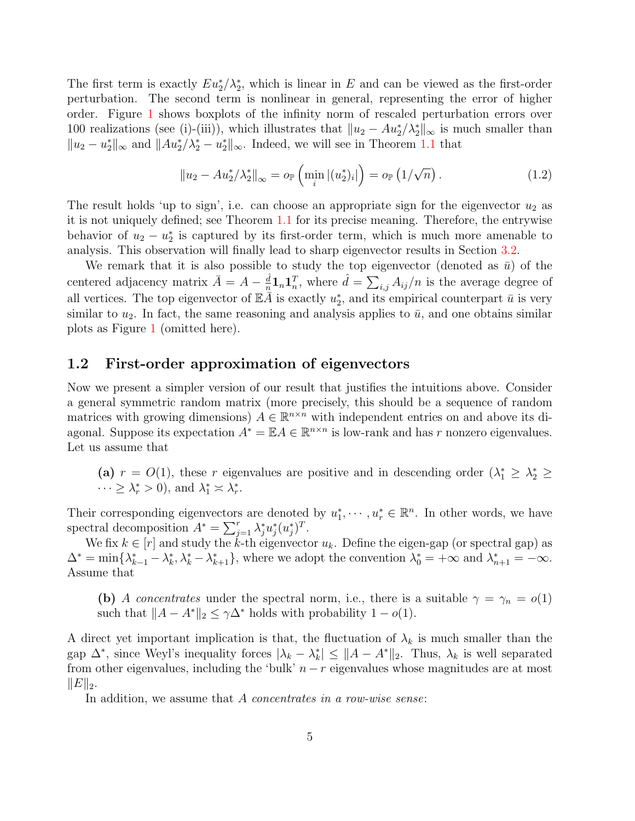The first term is exactly  $Eu_2^*/\lambda_2^*$ , which is linear in E and can be viewed as the first-order perturbation. The second term is nonlinear in general, representing the error of higher order. Figure [1](#page-3-0) shows boxplots of the infinity norm of rescaled perturbation errors over 100 realizations (see (i)-(iii)), which illustrates that  $||u_2 - Au_2^*/\lambda_2^*||_{\infty}$  is much smaller than  $||u_2 - u_2^*||_{\infty}$  and  $||Au_2^*/\lambda_2^* - u_2^*||_{\infty}$ . Indeed, we will see in Theorem [1.1](#page-5-0) that

<span id="page-4-1"></span>
$$
||u_2 - Au_2^* / \lambda_2^*||_{\infty} = o_{\mathbb{P}}\left(\min_i |(u_2^*)_i|\right) = o_{\mathbb{P}}\left(1/\sqrt{n}\right). \tag{1.2}
$$

The result holds 'up to sign', i.e. can choose an appropriate sign for the eigenvector  $u_2$  as it is not uniquely defined; see Theorem [1.1](#page-5-0) for its precise meaning. Therefore, the entrywise behavior of  $u_2 - u_2^*$  is captured by its first-order term, which is much more amenable to analysis. This observation will finally lead to sharp eigenvector results in Section [3.2.](#page-14-0)

We remark that it is also possible to study the top eigenvector (denoted as  $\bar{u}$ ) of the centered adjacency matrix  $\bar{A} = A - \frac{\hat{d}}{n}$  $\frac{\hat{d}}{n} \mathbf{1}_n \mathbf{1}_n^T$ , where  $\hat{d} = \sum_{i,j} A_{ij}/n$  is the average degree of all vertices. The top eigenvector of  $\mathbb{E} \tilde{A}$  is exactly  $u_2^*$ , and its empirical counterpart  $\bar{u}$  is very similar to  $u_2$ . In fact, the same reasoning and analysis applies to  $\bar{u}$ , and one obtains similar plots as Figure [1](#page-3-0) (omitted here).

#### <span id="page-4-0"></span>1.2 First-order approximation of eigenvectors

Now we present a simpler version of our result that justifies the intuitions above. Consider a general symmetric random matrix (more precisely, this should be a sequence of random matrices with growing dimensions)  $A \in \mathbb{R}^{n \times n}$  with independent entries on and above its diagonal. Suppose its expectation  $A^* = \mathbb{E} A \in \mathbb{R}^{n \times n}$  is low-rank and has r nonzero eigenvalues. Let us assume that

(a)  $r = O(1)$ , these r eigenvalues are positive and in descending order  $(\lambda_1^* \geq \lambda_2^* \geq$  $\cdots \geq \lambda_r^* > 0$ , and  $\lambda_1^* \approx \lambda_r^*$ .

Their corresponding eigenvectors are denoted by  $u_1^*, \dots, u_r^* \in \mathbb{R}^n$ . In other words, we have spectral decomposition  $A^* = \sum_{j=1}^r \lambda_j^* u_j^* (u_j^*)^T$ .

We fix  $k \in [r]$  and study the  $k$ -th eigenvector  $u_k$ . Define the eigen-gap (or spectral gap) as  $\Delta^* = \min\{\lambda_{k-1}^* - \lambda_k^*, \lambda_k^* - \lambda_{k+1}^*\}$ , where we adopt the convention  $\lambda_0^* = +\infty$  and  $\lambda_{n+1}^* = -\infty$ . Assume that

(b) A concentrates under the spectral norm, i.e., there is a suitable  $\gamma = \gamma_n = o(1)$ such that  $||A - A^*||_2 \leq \gamma \Delta^*$  holds with probability  $1 - o(1)$ .

A direct yet important implication is that, the fluctuation of  $\lambda_k$  is much smaller than the gap  $\Delta^*$ , since Weyl's inequality forces  $|\lambda_k - \lambda_k^*| \leq ||A - A^*||_2$ . Thus,  $\lambda_k$  is well separated from other eigenvalues, including the 'bulk'  $n - r$  eigenvalues whose magnitudes are at most  $||E||_2$ .

In addition, we assume that A concentrates in a row-wise sense: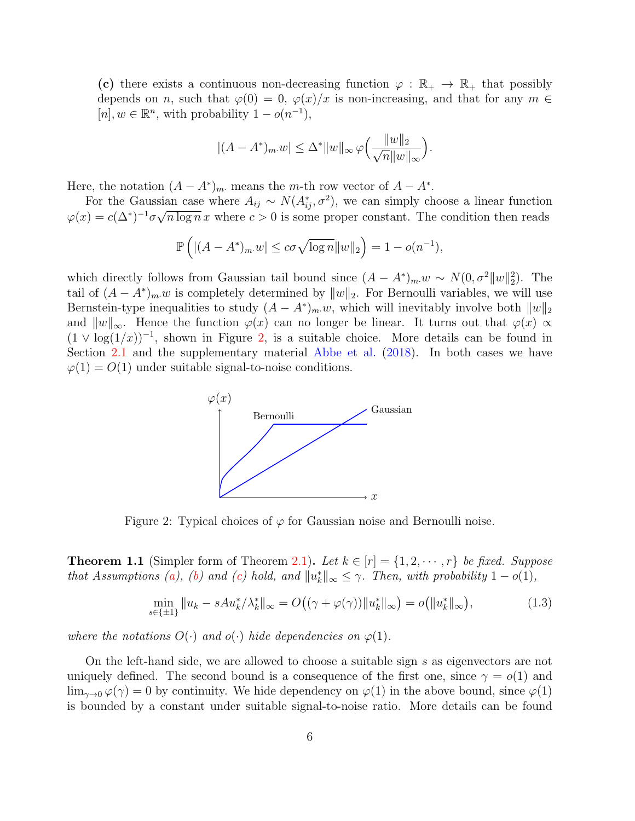(c) there exists a continuous non-decreasing function  $\varphi : \mathbb{R}_+ \to \mathbb{R}_+$  that possibly depends on n, such that  $\varphi(0) = 0$ ,  $\varphi(x)/x$  is non-increasing, and that for any  $m \in$  $[n], w \in \mathbb{R}^n$ , with probability  $1 - o(n^{-1}),$ 

$$
|(A - A^*)_{m} w| \leq \Delta^* \|w\|_{\infty} \varphi\left(\frac{\|w\|_2}{\sqrt{n}\|w\|_{\infty}}\right).
$$

Here, the notation  $(A - A^*)_{m}$  means the m-th row vector of  $A - A^*$ .

For the Gaussian case where  $A_{ij} \sim N(A_{ij}^*, \sigma^2)$ , we can simply choose a linear function  $\varphi(x) = c(\Delta^*)^{-1} \sigma \sqrt{n \log n} x$  where  $c > 0$  is some proper constant. The condition then reads

$$
\mathbb{P}\left(\left| (A - A^*)_{m} w \right| \le c\sigma \sqrt{\log n} \|w\|_2\right) = 1 - o(n^{-1}),
$$

<span id="page-5-1"></span>which directly follows from Gaussian tail bound since  $(A - A^*)_{m} w \sim N(0, \sigma^2 ||w||_2^2)$ . The tail of  $(A - A^*)_{m}$  is completely determined by  $||w||_2$ . For Bernoulli variables, we will use Bernstein-type inequalities to study  $(A - A^*)_{m} w$ , which will inevitably involve both  $||w||_2$ and  $||w||_{\infty}$ . Hence the function  $\varphi(x)$  can no longer be linear. It turns out that  $\varphi(x) \propto$  $(1 \vee \log(1/x))^{-1}$ , shown in Figure [2,](#page-5-1) is a suitable choice. More details can be found in Section [2.1](#page-9-0) and the supplementary material [Abbe et al.](#page-51-5) [\(2018\)](#page-51-5). In both cases we have  $\varphi(1) = O(1)$  under suitable signal-to-noise conditions.



Figure 2: Typical choices of  $\varphi$  for Gaussian noise and Bernoulli noise.

<span id="page-5-0"></span>**Theorem 1.1** (Simpler form of Theorem [2.1\)](#page-11-0). Let  $k \in [r] = \{1, 2, \dots, r\}$  be fixed. Suppose that Assumptions [\(a\)](#page-4-0), [\(b\)](#page-4-0) and [\(c\)](#page-4-0) hold, and  $||u_k^*||_{\infty} \leq \gamma$ . Then, with probability  $1 - o(1)$ ,

<span id="page-5-2"></span>
$$
\min_{s \in \{\pm 1\}} \|u_k - sAu_k^* / \lambda_k^* \|_{\infty} = O\big((\gamma + \varphi(\gamma)) \|u_k^*\|_{\infty}\big) = o\big(\|u_k^*\|_{\infty}\big),\tag{1.3}
$$

where the notations  $O(\cdot)$  and  $o(\cdot)$  hide dependencies on  $\varphi(1)$ .

On the left-hand side, we are allowed to choose a suitable sign s as eigenvectors are not uniquely defined. The second bound is a consequence of the first one, since  $\gamma = o(1)$  and  $\lim_{\gamma\to 0} \varphi(\gamma) = 0$  by continuity. We hide dependency on  $\varphi(1)$  in the above bound, since  $\varphi(1)$ is bounded by a constant under suitable signal-to-noise ratio. More details can be found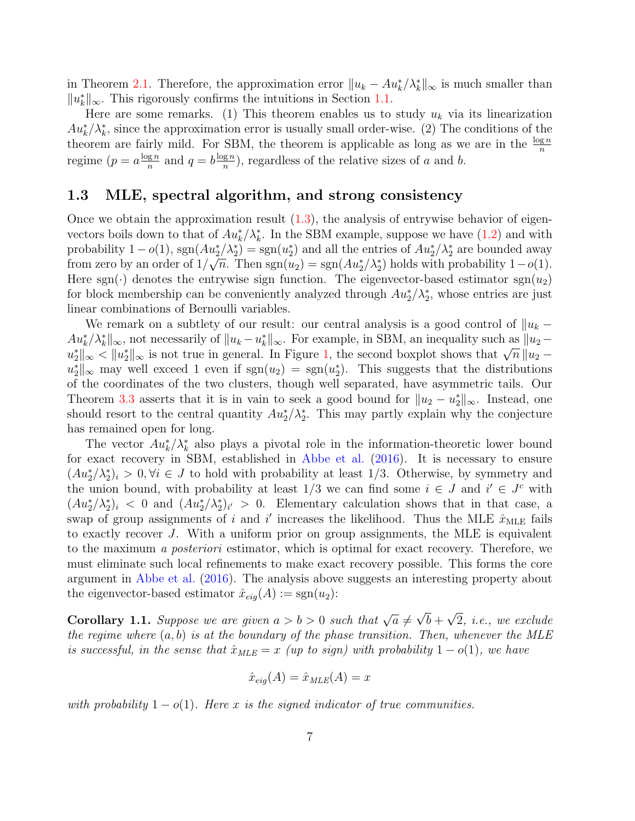in Theorem [2.1.](#page-11-0) Therefore, the approximation error  $||u_k - Au_k^* / \lambda_k^*||_{\infty}$  is much smaller than  $||u_k^*||_{\infty}$ . This rigorously confirms the intuitions in Section [1.1.](#page-2-0)

Here are some remarks. (1) This theorem enables us to study  $u_k$  via its linearization  $Au_k^*/\lambda_k^*$ , since the approximation error is usually small order-wise. (2) The conditions of the theorem are fairly mild. For SBM, the theorem is applicable as long as we are in the  $\frac{\log n}{n}$ regime  $(p = a \frac{\log n}{n})$  $\frac{g n}{n}$  and  $q = b \frac{\log n}{n}$  $\frac{g n}{n}$ , regardless of the relative sizes of a and b.

#### 1.3 MLE, spectral algorithm, and strong consistency

Once we obtain the approximation result [\(1.3\)](#page-5-2), the analysis of entrywise behavior of eigenvectors boils down to that of  $Au_k^*/\lambda_k^*$ . In the SBM example, suppose we have [\(1.2\)](#page-4-1) and with probability  $1 - o(1)$ ,  $sgn(Au_2^*/\lambda_2^*) = sgn(u_2^*)$  and all the entries of  $Au_2^*/\lambda_2^*$  are bounded away from zero by an order of  $1/\sqrt{n}$ . Then  $sgn(u_2) = sgn(Au_2^*/\lambda_2^*)$  holds with probability  $1-o(1)$ . Here sgn( $\cdot$ ) denotes the entrywise sign function. The eigenvector-based estimator sgn( $u_2$ ) for block membership can be conveniently analyzed through  $Au_2^*/\lambda_2^*$ , whose entries are just linear combinations of Bernoulli variables.

We remark on a subtlety of our result: our central analysis is a good control of  $||u_k Au_k^*/\lambda_k^*$ ||<sub>∞</sub>, not necessarily of  $||u_k - u_k^*||_{\infty}$ . For example, in SBM, an inequality such as  $||u_2 - u_k^*||_{\infty}$  $\|u_k - u_k\|_{\infty}$ , not necessarily of  $\|u_k - u_k\|_{\infty}$ . For example, in SDM, an inequality such as  $\|u_2 - u_2^*\|_{\infty} < \|u_2^*\|_{\infty}$  is not true in general. In Figure [1,](#page-3-0) the second boxplot shows that  $\sqrt{n} \|u_2 - u_2^*\|_{\infty}$  $u_2^*$ ||<sub>∞</sub> may well exceed 1 even if sgn $(u_2) = \text{sgn}(u_2^*)$ . This suggests that the distributions of the coordinates of the two clusters, though well separated, have asymmetric tails. Our Theorem [3.3](#page-17-0) asserts that it is in vain to seek a good bound for  $||u_2 - u_2^*||_{\infty}$ . Instead, one should resort to the central quantity  $Au_2^*/\lambda_2^*$ . This may partly explain why the conjecture has remained open for long.

The vector  $Au_k^*/\lambda_k^*$  also plays a pivotal role in the information-theoretic lower bound for exact recovery in SBM, established in [Abbe et al.](#page-51-1) [\(2016\)](#page-51-1). It is necessary to ensure  $(Au_2^*/\lambda_2^*)_i > 0, \forall i \in J$  to hold with probability at least 1/3. Otherwise, by symmetry and the union bound, with probability at least  $1/3$  we can find some  $i \in J$  and  $i' \in J^c$  with  $(Au_2^*/\lambda_2^*)_i < 0$  and  $(Au_2^*/\lambda_2^*)_{i'} > 0$ . Elementary calculation shows that in that case, a swap of group assignments of i and i' increases the likelihood. Thus the MLE  $\hat{x}_{MLE}$  fails to exactly recover J. With a uniform prior on group assignments, the MLE is equivalent to the maximum a posteriori estimator, which is optimal for exact recovery. Therefore, we must eliminate such local refinements to make exact recovery possible. This forms the core argument in [Abbe et al.](#page-51-1) [\(2016\)](#page-51-1). The analysis above suggests an interesting property about the eigenvector-based estimator  $\hat{x}_{eiq}(A) := \text{sgn}(u_2)$ :

<span id="page-6-0"></span>**Corollary 1.1.** Suppose we are given  $a > b > 0$  such that  $\sqrt{a} \neq$ √  $b +$ √ 2, i.e., we exclude the regime where  $(a, b)$  is at the boundary of the phase transition. Then, whenever the MLE is successful, in the sense that  $\hat{x}_{MLE} = x$  (up to sign) with probability  $1 - o(1)$ , we have

$$
\hat{x}_{\text{eig}}(A) = \hat{x}_{\text{MLE}}(A) = x
$$

with probability  $1 - o(1)$ . Here x is the signed indicator of true communities.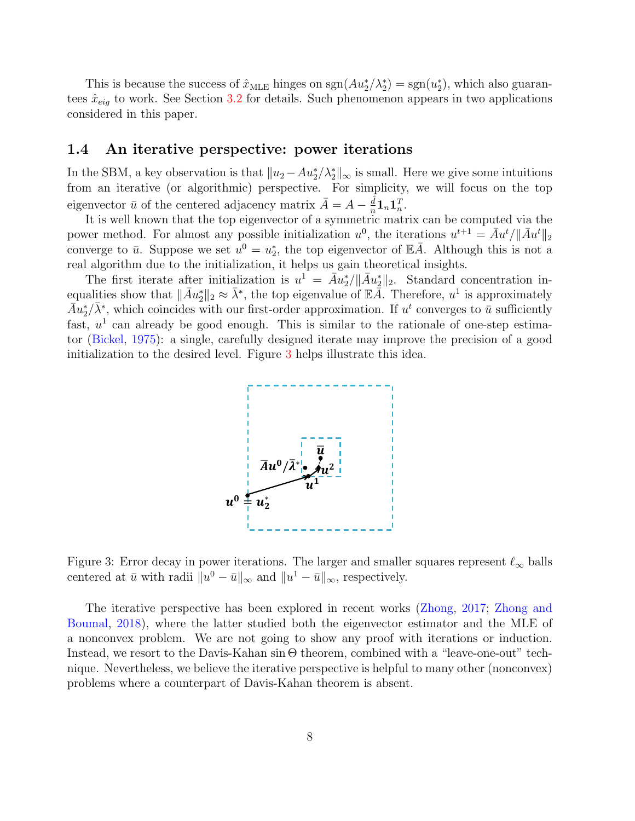This is because the success of  $\hat{x}_{MLE}$  hinges on  $sgn(Au_2^*/\lambda_2^*) = sgn(u_2^*)$ , which also guarantees  $\hat{x}_{eig}$  to work. See Section [3.2](#page-14-0) for details. Such phenomenon appears in two applications considered in this paper.

#### 1.4 An iterative perspective: power iterations

In the SBM, a key observation is that  $||u_2 - Au_2^*/\lambda_2^*||_{\infty}$  is small. Here we give some intuitions from an iterative (or algorithmic) perspective. For simplicity, we will focus on the top eigenvector  $\bar{u}$  of the centered adjacency matrix  $\bar{A} = A - \frac{\hat{d}}{n}$  $\frac{d}{n} {\bf 1}_n {\bf 1}_n^T.$ 

It is well known that the top eigenvector of a symmetric matrix can be computed via the power method. For almost any possible initialization  $u^0$ , the iterations  $u^{t+1} = \overline{A}u^t / ||\overline{A}u^t||_2$ converge to  $\bar{u}$ . Suppose we set  $u^0 = u_2^*$ , the top eigenvector of  $\mathbb{E} \bar{A}$ . Although this is not a real algorithm due to the initialization, it helps us gain theoretical insights.

<span id="page-7-0"></span>The first iterate after initialization is  $u^1 = \overline{A}u_2^*/\|\overline{A}u_2^*\|_2$ . Standard concentration inequalities show that  $\|\bar{A}u_2^*\|_2 \approx \bar{\lambda}^*$ , the top eigenvalue of  $\mathbb{E} \tilde{A}$ . Therefore,  $u^1$  is approximately  $\bar{A}u_2^*/\bar{\lambda}^*$ , which coincides with our first-order approximation. If  $u^t$  converges to  $\bar{u}$  sufficiently fast,  $u^1$  can already be good enough. This is similar to the rationale of one-step estimator [\(Bickel,](#page-52-2) [1975\)](#page-52-2): a single, carefully designed iterate may improve the precision of a good initialization to the desired level. Figure [3](#page-7-0) helps illustrate this idea.



Figure 3: Error decay in power iterations. The larger and smaller squares represent  $\ell_{\infty}$  balls centered at  $\bar{u}$  with radii  $||u^0 - \bar{u}||_{\infty}$  and  $||u^1 - \bar{u}||_{\infty}$ , respectively.

The iterative perspective has been explored in recent works [\(Zhong,](#page-57-1) [2017;](#page-57-1) [Zhong and](#page-57-2) [Boumal,](#page-57-2) [2018\)](#page-57-2), where the latter studied both the eigenvector estimator and the MLE of a nonconvex problem. We are not going to show any proof with iterations or induction. Instead, we resort to the Davis-Kahan sin Θ theorem, combined with a "leave-one-out" technique. Nevertheless, we believe the iterative perspective is helpful to many other (nonconvex) problems where a counterpart of Davis-Kahan theorem is absent.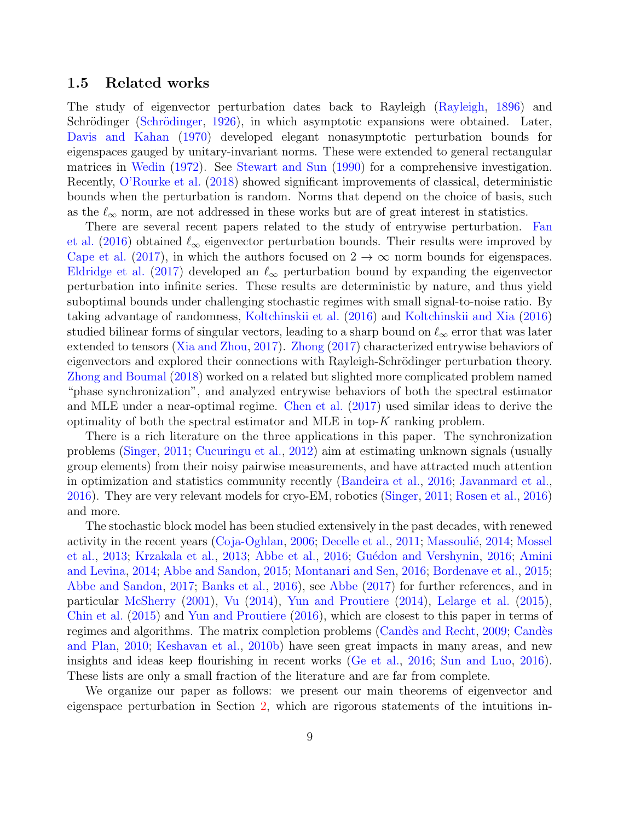#### <span id="page-8-0"></span>1.5 Related works

The study of eigenvector perturbation dates back to Rayleigh [\(Rayleigh,](#page-56-1) [1896\)](#page-56-1) and Schrödinger (Schrödinger, [1926\)](#page-56-2), in which asymptotic expansions were obtained. Later, [Davis and Kahan](#page-53-1) [\(1970\)](#page-53-1) developed elegant nonasymptotic perturbation bounds for eigenspaces gauged by unitary-invariant norms. These were extended to general rectangular matrices in [Wedin](#page-56-3) [\(1972\)](#page-56-3). See [Stewart and Sun](#page-56-4) [\(1990\)](#page-56-4) for a comprehensive investigation. Recently, [O'Rourke et al.](#page-55-2) [\(2018\)](#page-55-2) showed significant improvements of classical, deterministic bounds when the perturbation is random. Norms that depend on the choice of basis, such as the  $\ell_{\infty}$  norm, are not addressed in these works but are of great interest in statistics.

There are several recent papers related to the study of entrywise perturbation. [Fan](#page-53-2) [et al.](#page-53-2) [\(2016\)](#page-53-2) obtained  $\ell_{\infty}$  eigenvector perturbation bounds. Their results were improved by [Cape et al.](#page-52-3) [\(2017\)](#page-52-3), in which the authors focused on  $2 \rightarrow \infty$  norm bounds for eigenspaces. [Eldridge et al.](#page-53-3) [\(2017\)](#page-53-3) developed an  $\ell_{\infty}$  perturbation bound by expanding the eigenvector perturbation into infinite series. These results are deterministic by nature, and thus yield suboptimal bounds under challenging stochastic regimes with small signal-to-noise ratio. By taking advantage of randomness, [Koltchinskii et al.](#page-54-4) [\(2016\)](#page-54-4) and [Koltchinskii and Xia](#page-55-3) [\(2016\)](#page-55-3) studied bilinear forms of singular vectors, leading to a sharp bound on  $\ell_{\infty}$  error that was later extended to tensors [\(Xia and Zhou,](#page-56-5) [2017\)](#page-56-5). [Zhong](#page-57-1) [\(2017\)](#page-57-1) characterized entrywise behaviors of eigenvectors and explored their connections with Rayleigh-Schrödinger perturbation theory. [Zhong and Boumal](#page-57-2) [\(2018\)](#page-57-2) worked on a related but slighted more complicated problem named "phase synchronization", and analyzed entrywise behaviors of both the spectral estimator and MLE under a near-optimal regime. [Chen et al.](#page-53-4) [\(2017\)](#page-53-4) used similar ideas to derive the optimality of both the spectral estimator and MLE in top- $K$  ranking problem.

There is a rich literature on the three applications in this paper. The synchronization problems [\(Singer,](#page-56-6) [2011;](#page-56-6) [Cucuringu et al.,](#page-53-5) [2012\)](#page-53-5) aim at estimating unknown signals (usually group elements) from their noisy pairwise measurements, and have attracted much attention in optimization and statistics community recently [\(Bandeira et al.,](#page-52-4) [2016;](#page-52-4) [Javanmard et al.,](#page-54-5) [2016\)](#page-54-5). They are very relevant models for cryo-EM, robotics [\(Singer,](#page-56-6) [2011;](#page-56-6) [Rosen et al.,](#page-56-7) [2016\)](#page-56-7) and more.

The stochastic block model has been studied extensively in the past decades, with renewed activity in the recent years [\(Coja-Oghlan,](#page-53-6) [2006;](#page-53-6) [Decelle et al.,](#page-53-7) [2011;](#page-53-7) Massoulié, [2014;](#page-55-4) [Mossel](#page-55-5) [et al.,](#page-55-5) [2013;](#page-55-6) [Krzakala et al.,](#page-55-6) 2013; [Abbe et al.,](#page-51-1) [2016;](#page-54-6) Guédon and Vershynin, 2016; [Amini](#page-51-6) [and Levina,](#page-51-6) [2014;](#page-51-6) [Abbe and Sandon,](#page-51-4) [2015;](#page-51-4) [Montanari and Sen,](#page-55-7) [2016;](#page-55-7) [Bordenave et al.,](#page-52-5) [2015;](#page-52-5) [Abbe and Sandon,](#page-51-7) [2017;](#page-51-7) [Banks et al.,](#page-52-6) [2016\)](#page-52-6), see [Abbe](#page-51-2) [\(2017\)](#page-51-2) for further references, and in particular [McSherry](#page-55-8) [\(2001\)](#page-55-8), [Vu](#page-56-8) [\(2014\)](#page-56-8), [Yun and Proutiere](#page-56-9) [\(2014\)](#page-56-9), [Lelarge et al.](#page-55-9) [\(2015\)](#page-55-9), [Chin et al.](#page-53-8) [\(2015\)](#page-53-8) and [Yun and Proutiere](#page-57-0) [\(2016\)](#page-57-0), which are closest to this paper in terms of regimes and algorithms. The matrix completion problems (Candès and Recht, [2009;](#page-52-7) Candès [and Plan,](#page-52-8) [2010;](#page-52-8) [Keshavan et al.,](#page-54-7) [2010b\)](#page-54-7) have seen great impacts in many areas, and new insights and ideas keep flourishing in recent works [\(Ge et al.,](#page-53-9) [2016;](#page-53-9) [Sun and Luo,](#page-56-10) [2016\)](#page-56-10). These lists are only a small fraction of the literature and are far from complete.

We organize our paper as follows: we present our main theorems of eigenvector and eigenspace perturbation in Section [2,](#page-9-1) which are rigorous statements of the intuitions in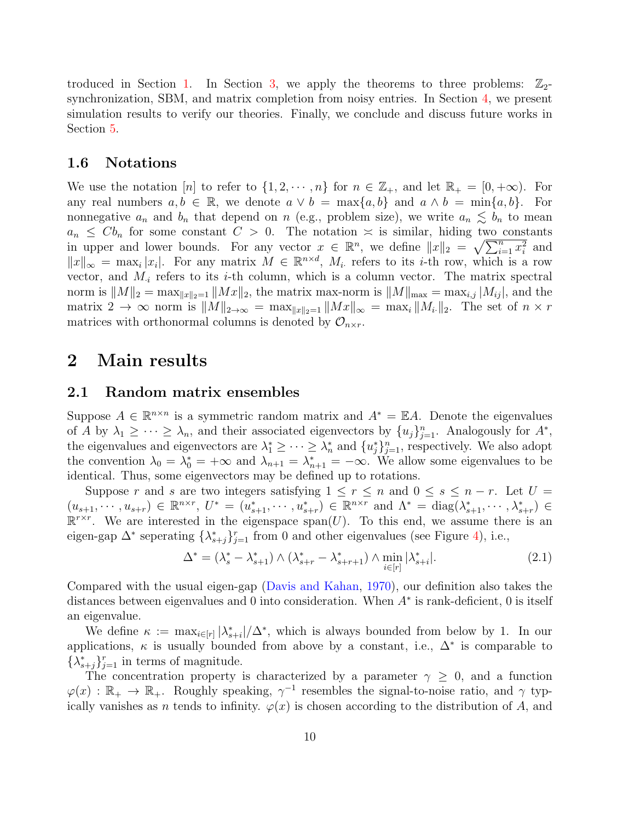troduced in Section [1.](#page-1-0) In Section [3,](#page-12-0) we apply the theorems to three problems:  $\mathbb{Z}_2$ synchronization, SBM, and matrix completion from noisy entries. In Section [4,](#page-20-0) we present simulation results to verify our theories. Finally, we conclude and discuss future works in Section [5.](#page-22-0)

#### 1.6 Notations

We use the notation [n] to refer to  $\{1, 2, \dots, n\}$  for  $n \in \mathbb{Z}_+$ , and let  $\mathbb{R}_+ = [0, +\infty)$ . For any real numbers  $a, b \in \mathbb{R}$ , we denote  $a \vee b = \max\{a, b\}$  and  $a \wedge b = \min\{a, b\}$ . For nonnegative  $a_n$  and  $b_n$  that depend on n (e.g., problem size), we write  $a_n \lesssim b_n$  to mean  $a_n \leq Cb_n$  for some constant  $C > 0$ . The notation  $\approx$  is similar, hiding two constants in upper and lower bounds. For any vector  $x \in \mathbb{R}^n$ , we define  $||x||_2 = \sqrt{\sum_{i=1}^n x_i^2}$  and  $||x||_{\infty} = \max_i |x_i|$ . For any matrix  $M \in \mathbb{R}^{n \times d}$ ,  $M_i$  refers to its *i*-th row, which is a row vector, and  $M_i$  refers to its *i*-th column, which is a column vector. The matrix spectral norm is  $||M||_2 = \max_{||x||_2=1} ||Mx||_2$ , the matrix max-norm is  $||M||_{\max} = \max_{i,j} |M_{ij}|$ , and the matrix  $2 \to \infty$  norm is  $||M||_{2\to\infty} = \max_{||x||_2=1} ||Mx||_{\infty} = \max_{i} ||M_{i \cdot}||_2$ . The set of  $n \times r$ matrices with orthonormal columns is denoted by  $\mathcal{O}_{n \times r}$ .

### <span id="page-9-1"></span>2 Main results

#### <span id="page-9-0"></span>2.1 Random matrix ensembles

Suppose  $A \in \mathbb{R}^{n \times n}$  is a symmetric random matrix and  $A^* = \mathbb{E}A$ . Denote the eigenvalues of A by  $\lambda_1 \geq \cdots \geq \lambda_n$ , and their associated eigenvectors by  $\{u_j\}_{j=1}^n$ . Analogously for  $A^*$ , the eigenvalues and eigenvectors are  $\lambda_1^* \geq \cdots \geq \lambda_n^*$  and  $\{u_j^*\}_{j=1}^n$ , respectively. We also adopt the convention  $\lambda_0 = \lambda_0^* = +\infty$  and  $\lambda_{n+1} = \lambda_{n+1}^* = -\infty$ . We allow some eigenvalues to be identical. Thus, some eigenvectors may be defined up to rotations.

Suppose r and s are two integers satisfying  $1 \leq r \leq n$  and  $0 \leq s \leq n-r$ . Let  $U =$  $(u_{s+1},\dots, u_{s+r})\in\mathbb{R}^{n\times r}, U^*=(u^*_{s+1},\dots, u^*_{s+r})\in\mathbb{R}^{n\times r}$  and  $\Lambda^*=\text{diag}(\lambda^*_{s+1},\dots, \lambda^*_{s+r})\in\mathbb{R}^{n\times r}$  $\mathbb{R}^{r \times r}$ . We are interested in the eigenspace span(U). To this end, we assume there is an eigen-gap  $\Delta^*$  seperating  $\{\lambda^*_{s+j}\}_{j=1}^r$  from 0 and other eigenvalues (see Figure [4\)](#page-10-0), i.e.,

$$
\Delta^* = (\lambda_s^* - \lambda_{s+1}^*) \wedge (\lambda_{s+r}^* - \lambda_{s+r+1}^*) \wedge \min_{i \in [r]} |\lambda_{s+i}^*|.
$$
\n(2.1)

Compared with the usual eigen-gap [\(Davis and Kahan,](#page-53-1) [1970\)](#page-53-1), our definition also takes the distances between eigenvalues and 0 into consideration. When A<sup>∗</sup> is rank-deficient, 0 is itself an eigenvalue.

We define  $\kappa := \max_{i \in [r]} |\lambda^*_{s+i}|/\Delta^*$ , which is always bounded from below by 1. In our applications,  $\kappa$  is usually bounded from above by a constant, i.e.,  $\Delta^*$  is comparable to  $\{\lambda_{s+j}^*\}_{j=1}^r$  in terms of magnitude.

The concentration property is characterized by a parameter  $\gamma \geq 0$ , and a function  $\varphi(x): \mathbb{R}_+ \to \mathbb{R}_+$ . Roughly speaking,  $\gamma^{-1}$  resembles the signal-to-noise ratio, and  $\gamma$  typically vanishes as n tends to infinity.  $\varphi(x)$  is chosen according to the distribution of A, and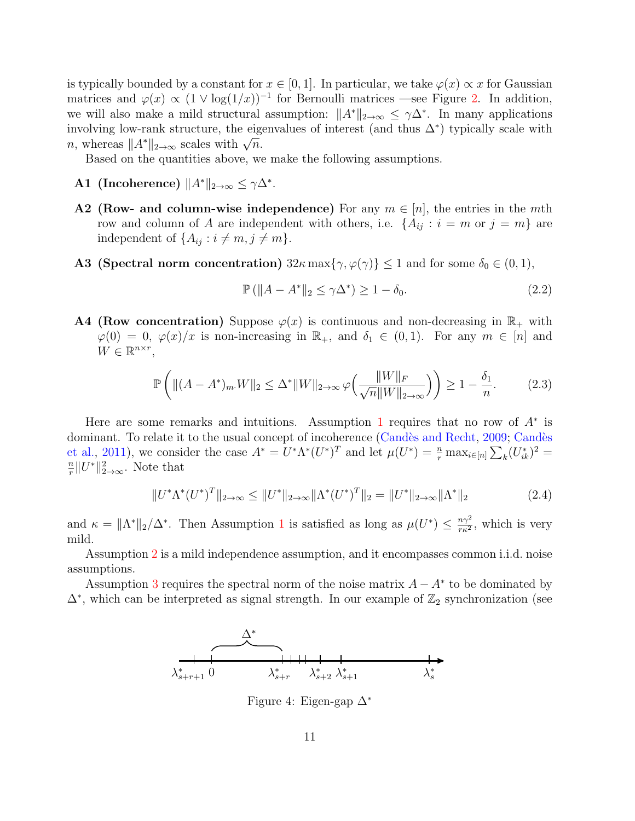is typically bounded by a constant for  $x \in [0, 1]$ . In particular, we take  $\varphi(x) \propto x$  for Gaussian matrices and  $\varphi(x) \propto (1 \vee \log(1/x))^{-1}$  for Bernoulli matrices —see Figure [2.](#page-5-1) In addition, we will also make a mild structural assumption:  $||A^*||_{2\to\infty} \leq \gamma \Delta^*$ . In many applications involving low-rank structure, the eigenvalues of interest (and thus  $\Delta^*$ ) typically scale with mvorving low-rank structure, the eigenvolving low-rank structure, the eigenvolving  $n$ , whereas  $||A^*||_{2\to\infty}$  scales with  $\sqrt{n}$ .

Based on the quantities above, we make the following assumptions.

- A1 (Incoherence)  $||A^*||_{2\to\infty} \leq \gamma \Delta^*$ .
- **A2** (Row- and column-wise independence) For any  $m \in [n]$ , the entries in the *mth* row and column of A are independent with others, i.e.  $\{A_{ij} : i = m \text{ or } j = m\}$  are independent of  $\{A_{ij} : i \neq m, j \neq m\}.$
- A3 (Spectral norm concentration)  $32\kappa \max\{\gamma, \varphi(\gamma)\}\leq 1$  and for some  $\delta_0 \in (0, 1)$ ,

<span id="page-10-2"></span><span id="page-10-1"></span>
$$
\mathbb{P}\left(\|A - A^*\|_2 \le \gamma \Delta^*\right) \ge 1 - \delta_0. \tag{2.2}
$$

**A4 (Row concentration)** Suppose  $\varphi(x)$  is continuous and non-decreasing in  $\mathbb{R}_+$  with  $\varphi(0) = 0, \varphi(x)/x$  is non-increasing in  $\mathbb{R}_+$ , and  $\delta_1 \in (0,1)$ . For any  $m \in [n]$  and  $W \in \mathbb{R}^{n \times r}$ ,

<span id="page-10-3"></span>
$$
\mathbb{P}\left(\|(A-A^*)_{m\cdot}W\|_2 \le \Delta^* \|W\|_{2\to\infty} \varphi\left(\frac{\|W\|_F}{\sqrt{n}\|W\|_{2\to\infty}}\right)\right) \ge 1 - \frac{\delta_1}{n}.\tag{2.3}
$$

Here are some remarks and intuitions. Assumption [1](#page-10-0) requires that no row of  $A^*$  is dominant. To relate it to the usual concept of incoherence (Candès and Recht, [2009;](#page-52-7) Candès [et al.,](#page-52-9) [2011\)](#page-52-9), we consider the case  $A^* = U^* \Lambda^* (U^*)^T$  and let  $\mu(U^*) = \frac{n}{r} \max_{i \in [n]} \sum_k (U_{ik}^*)^2 =$  $\overline{n}$  $\frac{n}{r}||U^*||_{2\rightarrow\infty}^2$ . Note that

$$
||U^*\Lambda^*(U^*)^T||_{2\to\infty} \le ||U^*||_{2\to\infty} ||\Lambda^*(U^*)^T||_2 = ||U^*||_{2\to\infty} ||\Lambda^*||_2
$$
\n(2.4)

and  $\kappa = \|\Lambda^*\|_2/\Delta^*$ . Then Assumption [1](#page-10-0) is satisfied as long as  $\mu(U^*) \leq \frac{n\gamma^2}{\kappa^2}$  $\frac{n\gamma^2}{r\kappa^2}$ , which is very mild.

Assumption [2](#page-10-0) is a mild independence assumption, and it encompasses common i.i.d. noise assumptions.

<span id="page-10-0"></span>Assumption [3](#page-10-0) requires the spectral norm of the noise matrix  $A - A^*$  to be dominated by  $\Delta^*$ , which can be interpreted as signal strength. In our example of  $\mathbb{Z}_2$  synchronization (see



Figure 4: Eigen-gap ∆<sup>∗</sup>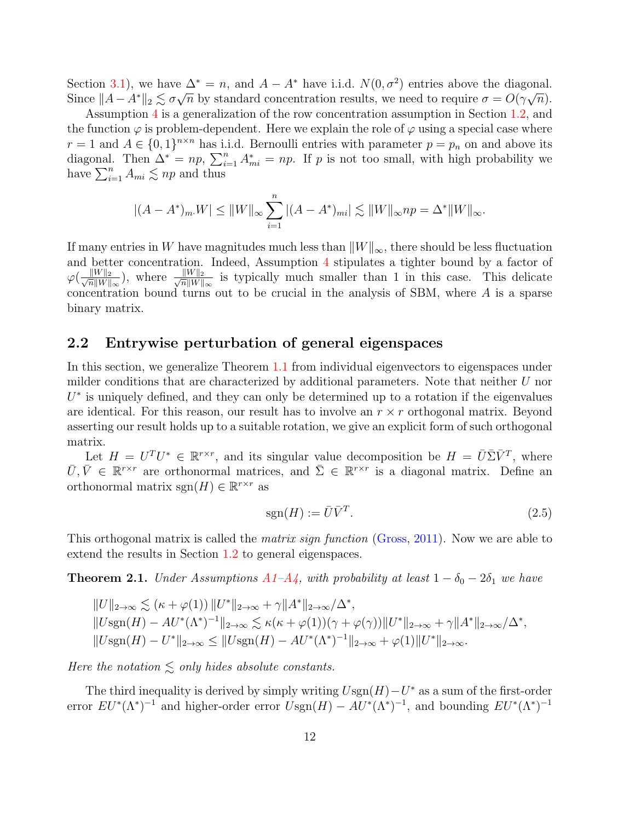Section [3.1\)](#page-12-1), we have  $\Delta^* = n$ , and  $A - A^*$  have i.i.d.  $N(0, \sigma^2)$  entries above the diagonal. Since  $||A - A^*||_2 \lesssim \sigma \sqrt{n}$  by standard concentration results, we need to require  $\sigma = O(\gamma \sqrt{n}).$ 

Assumption [4](#page-10-1) is a generalization of the row concentration assumption in Section [1.2,](#page-4-0) and the function  $\varphi$  is problem-dependent. Here we explain the role of  $\varphi$  using a special case where  $r=1$  and  $A \in \{0,1\}^{n \times n}$  has i.i.d. Bernoulli entries with parameter  $p=p_n$  on and above its diagonal. Then  $\Delta^* = np$ ,  $\sum_{i=1}^n A_{mi}^* = np$ . If p is not too small, with high probability we have  $\sum_{i=1}^{n} A_{mi} \lesssim np$  and thus

$$
|(A - A^*)_{m} W| \le ||W||_{\infty} \sum_{i=1}^{n} |(A - A^*)_{mi}| \lesssim ||W||_{\infty} np = \Delta^* ||W||_{\infty}.
$$

If many entries in W have magnitudes much less than  $||W||_{\infty}$ , there should be less fluctuation and better concentration. Indeed, Assumption [4](#page-10-1) stipulates a tighter bound by a factor of  $\varphi\left(\frac{\|W\|_2}{\sqrt{n}\|W\|}\right)$  $\frac{\|W\|_2}{\overline{n}\|W\|_{\infty}}$ ), where  $\frac{\|W\|_2}{\sqrt{n}\|W\|_2}$  $\frac{||W||_2}{\overline{n}||W||_{\infty}}$  is typically much smaller than 1 in this case. This delicate concentration bound turns out to be crucial in the analysis of SBM, where A is a sparse binary matrix.

#### <span id="page-11-1"></span>2.2 Entrywise perturbation of general eigenspaces

In this section, we generalize Theorem [1.1](#page-5-0) from individual eigenvectors to eigenspaces under milder conditions that are characterized by additional parameters. Note that neither U nor  $U^*$  is uniquely defined, and they can only be determined up to a rotation if the eigenvalues are identical. For this reason, our result has to involve an  $r \times r$  orthogonal matrix. Beyond asserting our result holds up to a suitable rotation, we give an explicit form of such orthogonal matrix.

Let  $H = U^T U^* \in \mathbb{R}^{r \times r}$ , and its singular value decomposition be  $H = \overline{U} \overline{\Sigma} \overline{V}^T$ , where  $\bar{U}, \bar{V} \in \mathbb{R}^{r \times r}$  are orthonormal matrices, and  $\bar{\Sigma} \in \mathbb{R}^{r \times r}$  is a diagonal matrix. Define an orthonormal matrix  $sgn(H) \in \mathbb{R}^{r \times r}$  as

$$
sgn(H) := \bar{U}\bar{V}^T.
$$
\n(2.5)

This orthogonal matrix is called the *matrix sign function* [\(Gross,](#page-54-8) [2011\)](#page-54-8). Now we are able to extend the results in Section [1.2](#page-4-0) to general eigenspaces.

<span id="page-11-0"></span>**Theorem 2.1.** Under Assumptions  $A1-A4$  $A1-A4$ , with probability at least  $1-\delta_0-2\delta_1$  we have

$$
||U||_{2\to\infty} \lesssim (\kappa + \varphi(1)) ||U^*||_{2\to\infty} + \gamma ||A^*||_{2\to\infty}/\Delta^*,
$$
  
\n
$$
||Usgn(H) - AU^*(\Lambda^*)^{-1}||_{2\to\infty} \lesssim \kappa(\kappa + \varphi(1))(\gamma + \varphi(\gamma)) ||U^*||_{2\to\infty} + \gamma ||A^*||_{2\to\infty}/\Delta^*,
$$
  
\n
$$
||Usgn(H) - U^*||_{2\to\infty} \le ||Usgn(H) - AU^*(\Lambda^*)^{-1}||_{2\to\infty} + \varphi(1) ||U^*||_{2\to\infty}.
$$

Here the notation  $\leq$  only hides absolute constants.

The third inequality is derived by simply writing  $U\text{sgn}(H) - U^*$  as a sum of the first-order error  $EU^*(\Lambda^*)^{-1}$  and higher-order error  $U\text{sgn}(H) - AU^*(\Lambda^*)^{-1}$ , and bounding  $EU^*(\Lambda^*)^{-1}$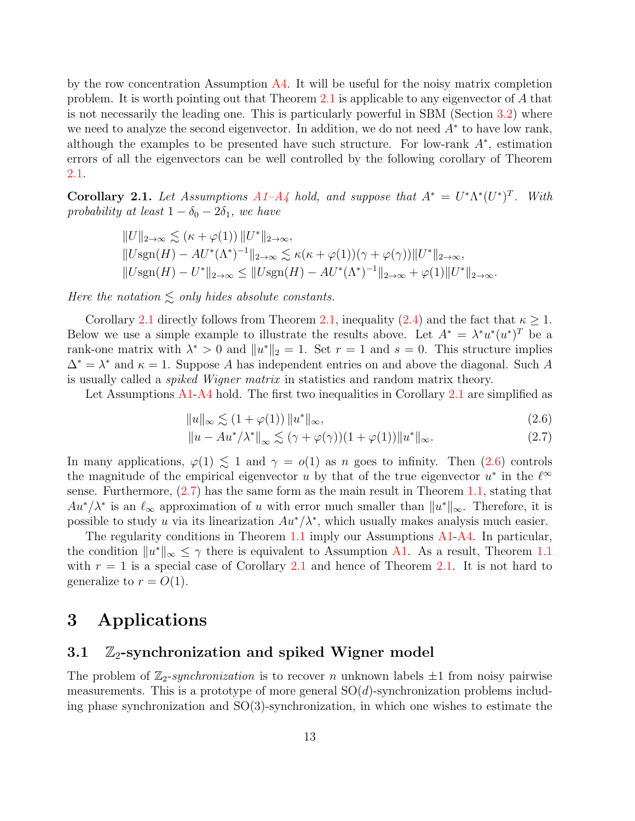by the row concentration Assumption  $\overline{A4}$ . It will be useful for the noisy matrix completion problem. It is worth pointing out that Theorem [2.1](#page-11-0) is applicable to any eigenvector of A that is not necessarily the leading one. This is particularly powerful in SBM (Section [3.2\)](#page-14-0) where we need to analyze the second eigenvector. In addition, we do not need  $A^*$  to have low rank, although the examples to be presented have such structure. For low-rank  $A^*$ , estimation errors of all the eigenvectors can be well controlled by the following corollary of Theorem [2.1.](#page-11-0)

<span id="page-12-2"></span>**Corollary 2.1.** Let Assumptions  $A1-A$  $A1-A$ <sup> $\downarrow$ </sup> hold, and suppose that  $A^* = U^* \Lambda^* (U^*)^T$ . With probability at least  $1 - \delta_0 - 2\delta_1$ , we have

$$
||U||_{2\to\infty} \lesssim (\kappa + \varphi(1)) ||U^*||_{2\to\infty},
$$
  
\n
$$
||U\text{sgn}(H) - AU^*(\Lambda^*)^{-1}||_{2\to\infty} \lesssim \kappa(\kappa + \varphi(1))(\gamma + \varphi(\gamma)) ||U^*||_{2\to\infty},
$$
  
\n
$$
||U\text{sgn}(H) - U^*||_{2\to\infty} \le ||U\text{sgn}(H) - AU^*(\Lambda^*)^{-1}||_{2\to\infty} + \varphi(1) ||U^*||_{2\to\infty}.
$$

Here the notation  $\leq$  only hides absolute constants.

Corollary [2.1](#page-12-2) directly follows from Theorem [2.1,](#page-11-0) inequality [\(2.4\)](#page-10-2) and the fact that  $\kappa \geq 1$ . Below we use a simple example to illustrate the results above. Let  $A^* = \lambda^* u^* (u^*)^T$  be a rank-one matrix with  $\lambda^* > 0$  and  $||u^*||_2 = 1$ . Set  $r = 1$  and  $s = 0$ . This structure implies  $\Delta^* = \lambda^*$  and  $\kappa = 1$ . Suppose A has independent entries on and above the diagonal. Such A is usually called a spiked Wigner matrix in statistics and random matrix theory.

Let Assumptions [A1](#page-10-0)[-A4](#page-10-1) hold. The first two inequalities in Corollary [2.1](#page-12-2) are simplified as

<span id="page-12-4"></span><span id="page-12-3"></span>
$$
||u||_{\infty} \lesssim (1 + \varphi(1)) ||u^*||_{\infty}, \tag{2.6}
$$

$$
||u - Au^* / \lambda^*||_{\infty} \lesssim (\gamma + \varphi(\gamma))(1 + \varphi(1))||u^*||_{\infty}.
$$
 (2.7)

In many applications,  $\varphi(1) \lesssim 1$  and  $\gamma = o(1)$  as n goes to infinity. Then  $(2.6)$  controls the magnitude of the empirical eigenvector u by that of the true eigenvector  $u^*$  in the  $\ell^{\infty}$ sense. Furthermore, [\(2.7\)](#page-12-4) has the same form as the main result in Theorem [1.1,](#page-5-0) stating that  $Au^*/\lambda^*$  is an  $\ell_{\infty}$  approximation of u with error much smaller than  $||u^*||_{\infty}$ . Therefore, it is possible to study u via its linearization  $Au^*/\lambda^*$ , which usually makes analysis much easier.

The regularity conditions in Theorem [1.1](#page-5-0) imply our Assumptions [A1-](#page-10-0)[A4.](#page-10-1) In particular, the condition  $||u^*||_{\infty} \leq \gamma$  there is equivalent to Assumption [A1.](#page-10-0) As a result, Theorem [1.1](#page-5-0) with  $r = 1$  is a special case of Corollary [2.1](#page-12-2) and hence of Theorem [2.1.](#page-11-0) It is not hard to generalize to  $r = O(1)$ .

### <span id="page-12-0"></span>3 Applications

### <span id="page-12-1"></span>3.1  $\mathbb{Z}_2$ -synchronization and spiked Wigner model

The problem of  $\mathbb{Z}_2$ -synchronization is to recover n unknown labels  $\pm 1$  from noisy pairwise measurements. This is a prototype of more general  $SO(d)$ -synchronization problems including phase synchronization and  $SO(3)$ -synchronization, in which one wishes to estimate the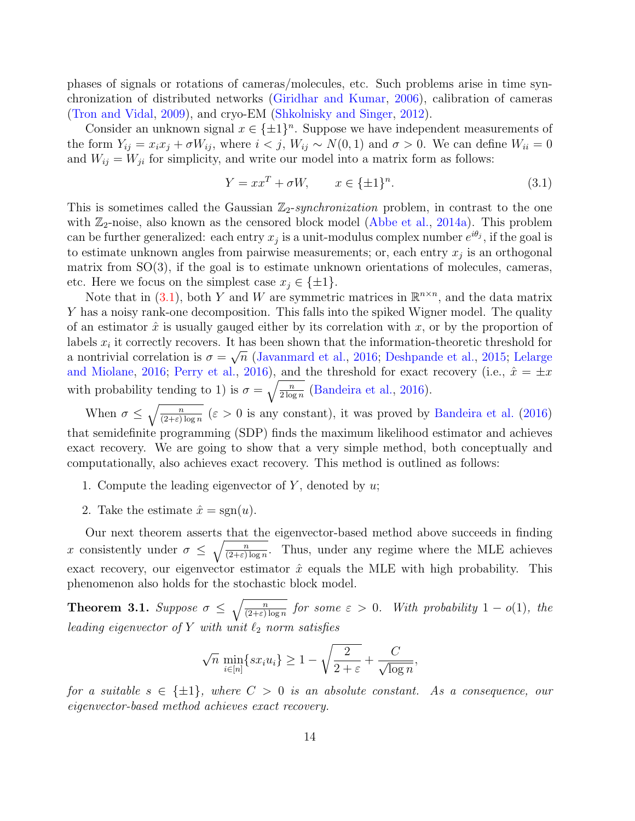phases of signals or rotations of cameras/molecules, etc. Such problems arise in time synchronization of distributed networks [\(Giridhar and Kumar,](#page-54-9) [2006\)](#page-54-9), calibration of cameras [\(Tron and Vidal,](#page-56-11) [2009\)](#page-56-11), and cryo-EM [\(Shkolnisky and Singer,](#page-56-12) [2012\)](#page-56-12).

Consider an unknown signal  $x \in {\pm 1}^n$ . Suppose we have independent measurements of the form  $Y_{ij} = x_i x_j + \sigma W_{ij}$ , where  $i < j$ ,  $W_{ij} \sim N(0, 1)$  and  $\sigma > 0$ . We can define  $W_{ii} = 0$ and  $W_{ij} = W_{ji}$  for simplicity, and write our model into a matrix form as follows:

<span id="page-13-0"></span>
$$
Y = xxT + \sigma W, \qquad x \in \{\pm 1\}^n. \tag{3.1}
$$

This is sometimes called the Gaussian  $\mathbb{Z}_2$ -synchronization problem, in contrast to the one with  $\mathbb{Z}_2$ -noise, also known as the censored block model [\(Abbe et al.,](#page-51-8) [2014a\)](#page-51-8). This problem can be further generalized: each entry  $x_j$  is a unit-modulus complex number  $e^{i\theta_j}$ , if the goal is to estimate unknown angles from pairwise measurements; or, each entry  $x_j$  is an orthogonal matrix from  $SO(3)$ , if the goal is to estimate unknown orientations of molecules, cameras, etc. Here we focus on the simplest case  $x_i \in \{\pm 1\}.$ 

Note that in [\(3.1\)](#page-13-0), both Y and W are symmetric matrices in  $\mathbb{R}^{n \times n}$ , and the data matrix Y has a noisy rank-one decomposition. This falls into the spiked Wigner model. The quality of an estimator  $\hat{x}$  is usually gauged either by its correlation with x, or by the proportion of labels  $x_i$  it correctly recovers. It has been shown that the information-theoretic threshold for a nontrivial correlation is  $\sigma = \sqrt{n}$  [\(Javanmard et al.,](#page-54-5) [2016;](#page-54-5) [Deshpande et al.,](#page-53-10) [2015;](#page-53-10) [Lelarge](#page-55-10) [and Miolane,](#page-55-10) [2016;](#page-55-10) [Perry et al.,](#page-55-11) [2016\)](#page-55-11), and the threshold for exact recovery (i.e.,  $\hat{x} = \pm x$ with probability tending to 1) is  $\sigma = \sqrt{\frac{n}{2 \log n}}$  [\(Bandeira et al.,](#page-52-4) [2016\)](#page-52-4).

When  $\sigma \leq \sqrt{\frac{n}{(2+\varepsilon)\log n}}$  ( $\varepsilon > 0$  is any constant), it was proved by [Bandeira et al.](#page-52-4) [\(2016\)](#page-52-4) that semidefinite programming (SDP) finds the maximum likelihood estimator and achieves exact recovery. We are going to show that a very simple method, both conceptually and computationally, also achieves exact recovery. This method is outlined as follows:

- 1. Compute the leading eigenvector of Y, denoted by  $u$ ;
- 2. Take the estimate  $\hat{x} = \text{sgn}(u)$ .

Our next theorem asserts that the eigenvector-based method above succeeds in finding x consistently under  $\sigma \leq \sqrt{\frac{n}{(2+\epsilon)\log n}}$ . Thus, under any regime where the MLE achieves exact recovery, our eigenvector estimator  $\hat{x}$  equals the MLE with high probability. This phenomenon also holds for the stochastic block model.

<span id="page-13-1"></span>**Theorem 3.1.** Suppose  $\sigma \leq \sqrt{\frac{n}{(2+\varepsilon)\log n}}$  for some  $\varepsilon > 0$ . With probability  $1 - o(1)$ , the leading eigenvector of Y with unit  $\ell_2$  norm satisfies

$$
\sqrt{n} \min_{i \in [n]} \{sx_iu_i\} \ge 1 - \sqrt{\frac{2}{2+\varepsilon}} + \frac{C}{\sqrt{\log n}},
$$

for a suitable  $s \in \{\pm 1\}$ , where  $C > 0$  is an absolute constant. As a consequence, our eigenvector-based method achieves exact recovery.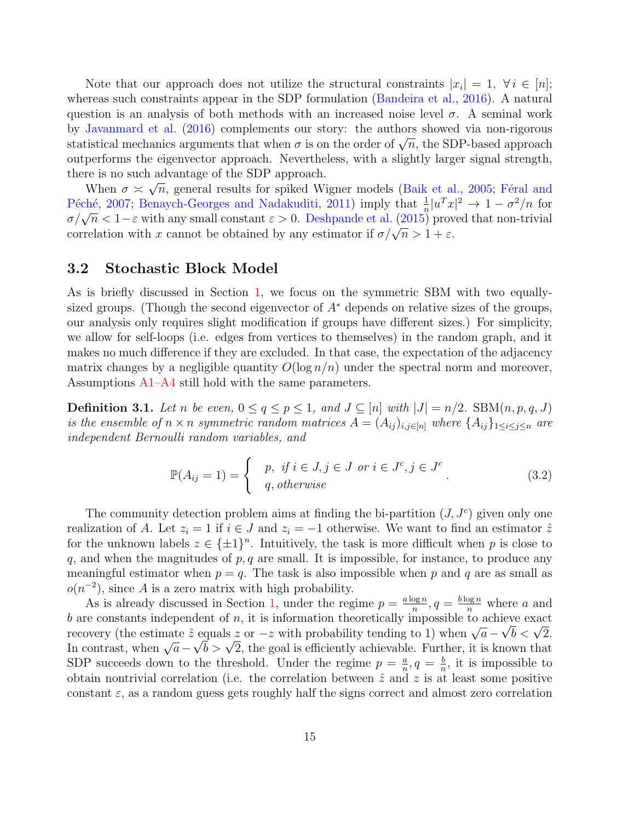Note that our approach does not utilize the structural constraints  $|x_i| = 1, \forall i \in [n];$ whereas such constraints appear in the SDP formulation [\(Bandeira et al.,](#page-52-4) [2016\)](#page-52-4). A natural question is an analysis of both methods with an increased noise level  $\sigma$ . A seminal work by [Javanmard et al.](#page-54-5) [\(2016\)](#page-54-5) complements our story: the authors showed via non-rigorous by Javanniard et al. (2010) complements our story: the authors showed via hon-rigorous statistical mechanics arguments that when  $\sigma$  is on the order of  $\sqrt{n}$ , the SDP-based approach outperforms the eigenvector approach. Nevertheless, with a slightly larger signal strength, there is no such advantage of the SDP approach.

When  $\sigma \approx \sqrt{n}$ , general results for spiked Wigner models [\(Baik et al.,](#page-52-10) [2005;](#page-52-10) Féral and Péché, [2007;](#page-53-11) [Benaych-Georges and Nadakuditi,](#page-52-11) [2011\)](#page-52-11) imply that  $\frac{1}{n}|u^T x|^2 \to 1 - \sigma^2/n$  for  $\sigma/\sqrt{n} < 1-\varepsilon$  with any small constant  $\varepsilon > 0$ . [Deshpande et al.](#page-53-10) [\(2015\)](#page-53-10) proved that non-trivial correlation with x cannot be obtained by any estimator if  $\sigma/\sqrt{n} > 1 + \varepsilon$ .

#### <span id="page-14-0"></span>3.2 Stochastic Block Model

As is briefly discussed in Section [1,](#page-1-0) we focus on the symmetric SBM with two equallysized groups. (Though the second eigenvector of  $A^*$  depends on relative sizes of the groups, our analysis only requires slight modification if groups have different sizes.) For simplicity, we allow for self-loops (i.e. edges from vertices to themselves) in the random graph, and it makes no much difference if they are excluded. In that case, the expectation of the adjacency matrix changes by a negligible quantity  $O(\log n/n)$  under the spectral norm and moreover, Assumptions [A1–](#page-10-0)[A4](#page-10-1) still hold with the same parameters.

<span id="page-14-1"></span>**Definition 3.1.** Let n be even,  $0 \le q \le p \le 1$ , and  $J \subseteq [n]$  with  $|J| = n/2$ . SBM $(n, p, q, J)$ is the ensemble of  $n \times n$  symmetric random matrices  $A = (A_{ij})_{i,j \in [n]}$  where  $\{A_{ij}\}_{1 \le i \le j \le n}$  are independent Bernoulli random variables, and

$$
\mathbb{P}(A_{ij}=1) = \begin{cases} p, & \text{if } i \in J, j \in J \text{ or } i \in J^c, j \in J^c \\ q, & \text{otherwise} \end{cases}
$$
 (3.2)

The community detection problem aims at finding the bi-partition  $(J, J<sup>c</sup>)$  given only one realization of A. Let  $z_i = 1$  if  $i \in J$  and  $z_i = -1$  otherwise. We want to find an estimator  $\hat{z}$ for the unknown labels  $z \in {\pm 1}^n$ . Intuitively, the task is more difficult when p is close to q, and when the magnitudes of  $p, q$  are small. It is impossible, for instance, to produce any meaningful estimator when  $p = q$ . The task is also impossible when p and q are as small as  $o(n^{-2})$ , since A is a zero matrix with high probability.

As is already discussed in Section [1,](#page-1-0) under the regime  $p = \frac{a \log n}{n}$  $\frac{\log n}{n}$ ,  $q = \frac{b \log n}{n}$  where a and b are constants independent of n, it is information theoretically impossible to achieve exact recovery (the estimate  $\hat{z}$  equals  $z$  or  $-z$  with probability tending to 1) when  $\sqrt{a} - \sqrt{b} < \sqrt{2}$ . *v* are constants independent or *n*, it is information theoretically impossible to achieve exact<br>recovery (the estimate  $\hat{z}$  equals  $z$  or  $-z$  with probability tending to 1) when  $\sqrt{a} - \sqrt{b} < \sqrt{2}$ . recovery (the estimate z equals z or  $-z$  with probability tending to 1) when  $\sqrt{a} - \sqrt{b} > \sqrt{2}$ , the goal is efficiently achievable. Further, it is known that SDP succeeds down to the threshold. Under the regime  $p = \frac{a}{n}$  $\frac{a}{n}, q = \frac{b}{n}$  $\frac{b}{n}$ , it is impossible to obtain nontrivial correlation (i.e. the correlation between  $\hat{z}$  and  $z$  is at least some positive constant  $\varepsilon$ , as a random guess gets roughly half the signs correct and almost zero correlation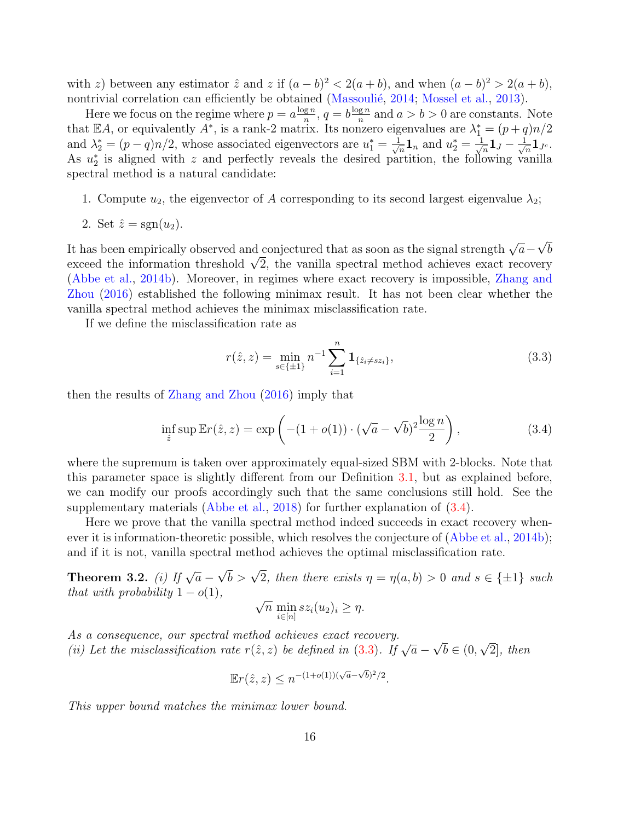with z) between any estimator  $\hat{z}$  and z if  $(a - b)^2 < 2(a + b)$ , and when  $(a - b)^2 > 2(a + b)$ , nontrivial correlation can efficiently be obtained (Massoulié, [2014;](#page-55-4) [Mossel et al.,](#page-55-5) [2013\)](#page-55-5).

Here we focus on the regime where  $p = a \frac{\log n}{n}$  $\frac{g n}{n}, q = b \frac{\log n}{n}$  $\frac{g n}{n}$  and  $a > b > 0$  are constants. Note that EA, or equivalently  $A^*$ , is a rank-2 matrix. Its nonzero eigenvalues are  $\lambda_1^* = (p+q)n/2$ and  $\lambda_2^* = (p-q)n/2$ , whose associated eigenvectors are  $u_1^* = \frac{1}{\sqrt{2}}$  $\frac{1}{n} \mathbf{1}_n$  and  $u_2^* = \frac{1}{\sqrt{2}}$  $\frac{1}{\overline{n}}\mathbf{1}_J-\frac{1}{\sqrt{2}}$  $\frac{1}{n} \mathbf{1}_{J^c}.$ As  $u_2^*$  is aligned with z and perfectly reveals the desired partition, the following vanilla spectral method is a natural candidate:

1. Compute  $u_2$ , the eigenvector of A corresponding to its second largest eigenvalue  $\lambda_2$ ;

2. Set 
$$
\hat{z} = \text{sgn}(u_2)
$$
.

It has been empirically observed and conjectured that as soon as the signal strength  $\sqrt{a}$  – √ b It has been empirically observed and conjectured that as soon as the signal strength  $\sqrt{a} - \sqrt{b}$ <br>exceed the information threshold  $\sqrt{2}$ , the vanilla spectral method achieves exact recovery [\(Abbe et al.,](#page-51-0) [2014b\)](#page-51-0). Moreover, in regimes where exact recovery is impossible, [Zhang and](#page-57-3) [Zhou](#page-57-3) [\(2016\)](#page-57-3) established the following minimax result. It has not been clear whether the vanilla spectral method achieves the minimax misclassification rate.

If we define the misclassification rate as

<span id="page-15-1"></span>
$$
r(\hat{z}, z) = \min_{s \in \{\pm 1\}} n^{-1} \sum_{i=1}^{n} \mathbf{1}_{\{\hat{z}_i \neq s z_i\}},
$$
\n(3.3)

then the results of [Zhang and Zhou](#page-57-3) [\(2016\)](#page-57-3) imply that

<span id="page-15-0"></span>
$$
\inf_{\hat{z}} \sup \mathbb{E}r(\hat{z}, z) = \exp\left(-(1 + o(1)) \cdot (\sqrt{a} - \sqrt{b})^2 \frac{\log n}{2}\right),\tag{3.4}
$$

where the supremum is taken over approximately equal-sized SBM with 2-blocks. Note that this parameter space is slightly different from our Definition [3.1,](#page-14-1) but as explained before, we can modify our proofs accordingly such that the same conclusions still hold. See the supplementary materials [\(Abbe et al.,](#page-51-5) [2018\)](#page-51-5) for further explanation of  $(3.4)$ .

Here we prove that the vanilla spectral method indeed succeeds in exact recovery whenever it is information-theoretic possible, which resolves the conjecture of [\(Abbe et al.,](#page-51-0) [2014b\)](#page-51-0); and if it is not, vanilla spectral method achieves the optimal misclassification rate.

<span id="page-15-2"></span>Theorem 3.2. (i) If  $\sqrt{a}$  –  $\sqrt{b} > \sqrt{2}$ , then there exists  $\eta = \eta(a, b) > 0$  and  $s \in {\pm 1}$  such that with probability  $1 - o(1)$ ,

$$
\sqrt{n} \min_{i \in [n]} sz_i(u_2)_i \ge \eta.
$$

As a consequence, our spectral method achieves exact recovery. As a consequence, our spectral method achieves exact recovery.<br>(ii) Let the misclassification rate  $r(\hat{z}, z)$  be defined in [\(3.3\)](#page-15-1). If  $\sqrt{a}$  – √  $b \in (0,$ √ 2], then

$$
\mathbb{E}r(\hat{z}, z) \le n^{-(1+o(1))(\sqrt{a}-\sqrt{b})^2/2}.
$$

This upper bound matches the minimax lower bound.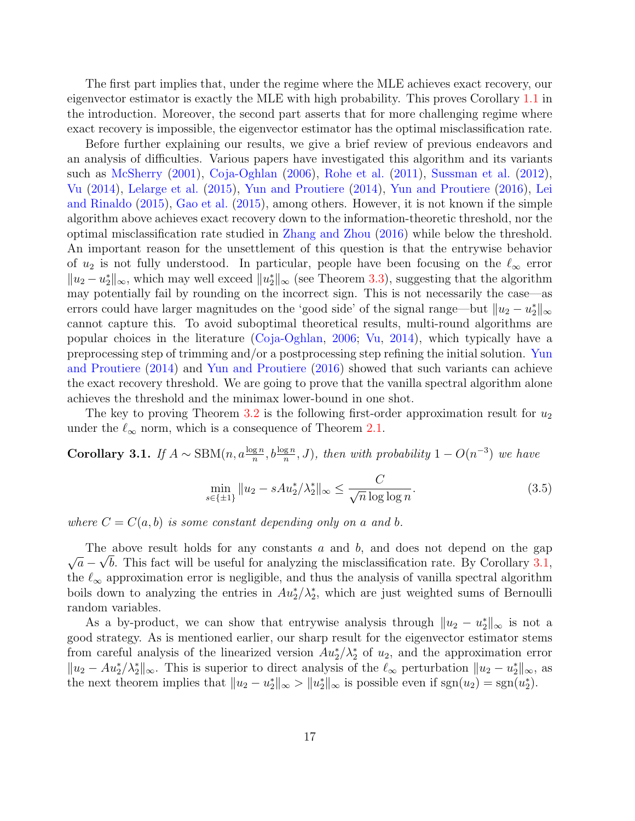The first part implies that, under the regime where the MLE achieves exact recovery, our eigenvector estimator is exactly the MLE with high probability. This proves Corollary [1.1](#page-6-0) in the introduction. Moreover, the second part asserts that for more challenging regime where exact recovery is impossible, the eigenvector estimator has the optimal misclassification rate.

Before further explaining our results, we give a brief review of previous endeavors and an analysis of difficulties. Various papers have investigated this algorithm and its variants such as [McSherry](#page-55-8) [\(2001\)](#page-55-8), [Coja-Oghlan](#page-53-6) [\(2006\)](#page-53-6), [Rohe et al.](#page-56-13) [\(2011\)](#page-56-13), [Sussman et al.](#page-56-14) [\(2012\)](#page-56-14), [Vu](#page-56-8) [\(2014\)](#page-56-8), [Lelarge et al.](#page-55-9) [\(2015\)](#page-55-9), [Yun and Proutiere](#page-56-9) [\(2014\)](#page-56-9), [Yun and Proutiere](#page-57-0) [\(2016\)](#page-57-0), [Lei](#page-55-12) [and Rinaldo](#page-55-12) [\(2015\)](#page-55-12), [Gao et al.](#page-53-0) [\(2015\)](#page-53-0), among others. However, it is not known if the simple algorithm above achieves exact recovery down to the information-theoretic threshold, nor the optimal misclassification rate studied in [Zhang and Zhou](#page-57-3) [\(2016\)](#page-57-3) while below the threshold. An important reason for the unsettlement of this question is that the entrywise behavior of  $u_2$  is not fully understood. In particular, people have been focusing on the  $\ell_{\infty}$  error  $||u_2 - u_2^*||_{\infty}$ , which may well exceed  $||u_2^*||_{\infty}$  (see Theorem [3.3\)](#page-17-0), suggesting that the algorithm may potentially fail by rounding on the incorrect sign. This is not necessarily the case—as errors could have larger magnitudes on the 'good side' of the signal range—but  $||u_2 - u_2^*||_{\infty}$ cannot capture this. To avoid suboptimal theoretical results, multi-round algorithms are popular choices in the literature [\(Coja-Oghlan,](#page-53-6) [2006;](#page-53-6) [Vu,](#page-56-8) [2014\)](#page-56-8), which typically have a preprocessing step of trimming and/or a postprocessing step refining the initial solution. [Yun](#page-56-9) [and Proutiere](#page-56-9) [\(2014\)](#page-56-9) and [Yun and Proutiere](#page-57-0) [\(2016\)](#page-57-0) showed that such variants can achieve the exact recovery threshold. We are going to prove that the vanilla spectral algorithm alone achieves the threshold and the minimax lower-bound in one shot.

The key to proving Theorem [3.2](#page-15-2) is the following first-order approximation result for  $u_2$ under the  $\ell_{\infty}$  norm, which is a consequence of Theorem [2.1.](#page-11-0)

<span id="page-16-0"></span>**Corollary 3.1.** If  $A \sim \text{SBM}(n, a\frac{\log n}{n}, b\frac{\log n}{n}, J)$ , then with probability  $1 - O(n^{-3})$  we have

<span id="page-16-1"></span>
$$
\min_{s \in \{\pm 1\}} \|u_2 - sAu_2^*/\lambda_2^*\|_{\infty} \le \frac{C}{\sqrt{n}\log\log n}.\tag{3.5}
$$

where  $C = C(a, b)$  is some constant depending only on a and b.

The above result holds for any constants a and b, and does not depend on the gap √  $\overline{a} - \sqrt{b}$ . This fact will be useful for analyzing the misclassification rate. By Corollary [3.1,](#page-16-0) the  $\ell_{\infty}$  approximation error is negligible, and thus the analysis of vanilla spectral algorithm boils down to analyzing the entries in  $Au_2^*/\lambda_2^*$ , which are just weighted sums of Bernoulli random variables.

As a by-product, we can show that entrywise analysis through  $||u_2 - u_2^*||_{\infty}$  is not a good strategy. As is mentioned earlier, our sharp result for the eigenvector estimator stems from careful analysis of the linearized version  $Au_2^*/\lambda_2^*$  of  $u_2$ , and the approximation error  $||u_2 - Au_2^* / \lambda_2^*||_{\infty}$ . This is superior to direct analysis of the  $\ell_{\infty}$  perturbation  $||u_2 - u_2^*||_{\infty}$ , as the next theorem implies that  $||u_2 - u_2^*||_{\infty} > ||u_2^*||_{\infty}$  is possible even if sgn $(u_2) = \text{sgn}(u_2^*)$ .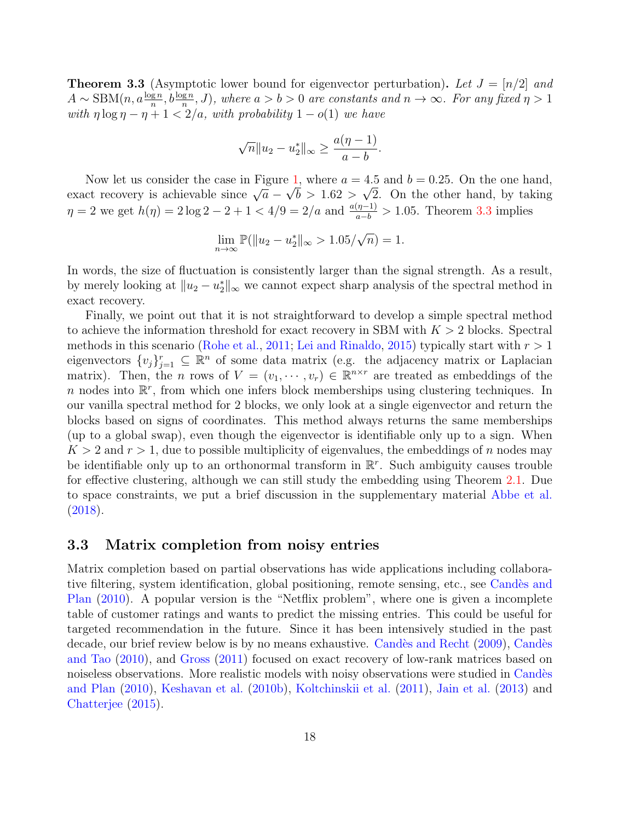<span id="page-17-0"></span>**Theorem 3.3** (Asymptotic lower bound for eigenvector perturbation). Let  $J = [n/2]$  and  $A \sim \text{SBM}(n, a\frac{\log n}{n}, b\frac{\log n}{n}, J)$ , where  $a > b > 0$  are constants and  $n \to \infty$ . For any fixed  $\eta > 1$ with  $\eta \log \eta - \eta + 1 < 2/a$ , with probability  $1 - o(1)$  we have

$$
\sqrt{n}||u_2 - u_2^*||_{\infty} \ge \frac{a(\eta - 1)}{a - b}.
$$

Now let us consider the case in Figure [1,](#page-3-0) where  $a = 4.5$  and  $b = 0.25$ . On the one hand, Now fet us consider the case in Figure 1, where  $a = 4.5$  and  $b = 0.25$ . On the one hand, by taking exact recovery is achievable since  $\sqrt{a} - \sqrt{b} > 1.62 > \sqrt{2}$ . On the other hand, by taking  $\eta = 2$  we get  $h(\eta) = 2 \log 2 - 2 + 1 < 4/9 = 2/a$  and  $\frac{a(\eta - 1)}{a - b} > 1.05$ . Theorem [3.3](#page-17-0) implies

$$
\lim_{n \to \infty} \mathbb{P}(\|u_2 - u_2^*\|_{\infty} > 1.05/\sqrt{n}) = 1.
$$

In words, the size of fluctuation is consistently larger than the signal strength. As a result, by merely looking at  $||u_2 - u_2^*||_{\infty}$  we cannot expect sharp analysis of the spectral method in exact recovery.

Finally, we point out that it is not straightforward to develop a simple spectral method to achieve the information threshold for exact recovery in SBM with  $K > 2$  blocks. Spectral methods in this scenario [\(Rohe et al.,](#page-56-13) [2011;](#page-56-13) [Lei and Rinaldo,](#page-55-12) [2015\)](#page-55-12) typically start with  $r > 1$ eigenvectors  $\{v_j\}_{j=1}^r \subseteq \mathbb{R}^n$  of some data matrix (e.g. the adjacency matrix or Laplacian matrix). Then, the *n* rows of  $V = (v_1, \dots, v_r) \in \mathbb{R}^{n \times r}$  are treated as embeddings of the n nodes into  $\mathbb{R}^r$ , from which one infers block memberships using clustering techniques. In our vanilla spectral method for 2 blocks, we only look at a single eigenvector and return the blocks based on signs of coordinates. This method always returns the same memberships (up to a global swap), even though the eigenvector is identifiable only up to a sign. When  $K > 2$  and  $r > 1$ , due to possible multiplicity of eigenvalues, the embeddings of n nodes may be identifiable only up to an orthonormal transform in  $\mathbb{R}^r$ . Such ambiguity causes trouble for effective clustering, although we can still study the embedding using Theorem [2.1.](#page-11-0) Due to space constraints, we put a brief discussion in the supplementary material [Abbe et al.](#page-51-5) [\(2018\)](#page-51-5).

#### <span id="page-17-1"></span>3.3 Matrix completion from noisy entries

Matrix completion based on partial observations has wide applications including collaborative filtering, system identification, global positioning, remote sensing, etc., see Candès and [Plan](#page-52-8) [\(2010\)](#page-52-8). A popular version is the "Netflix problem", where one is given a incomplete table of customer ratings and wants to predict the missing entries. This could be useful for targeted recommendation in the future. Since it has been intensively studied in the past decade, our brief review below is by no means exhaustive. Candès and Recht [\(2009\)](#page-52-7), Candès [and Tao](#page-52-12) [\(2010\)](#page-52-12), and [Gross](#page-54-8) [\(2011\)](#page-54-8) focused on exact recovery of low-rank matrices based on noiseless observations. More realistic models with noisy observations were studied in Candès [and Plan](#page-52-8) [\(2010\)](#page-52-8), [Keshavan et al.](#page-54-7) [\(2010b\)](#page-54-7), [Koltchinskii et al.](#page-54-10) [\(2011\)](#page-54-10), [Jain et al.](#page-54-1) [\(2013\)](#page-54-1) and [Chatterjee](#page-53-12) [\(2015\)](#page-53-12).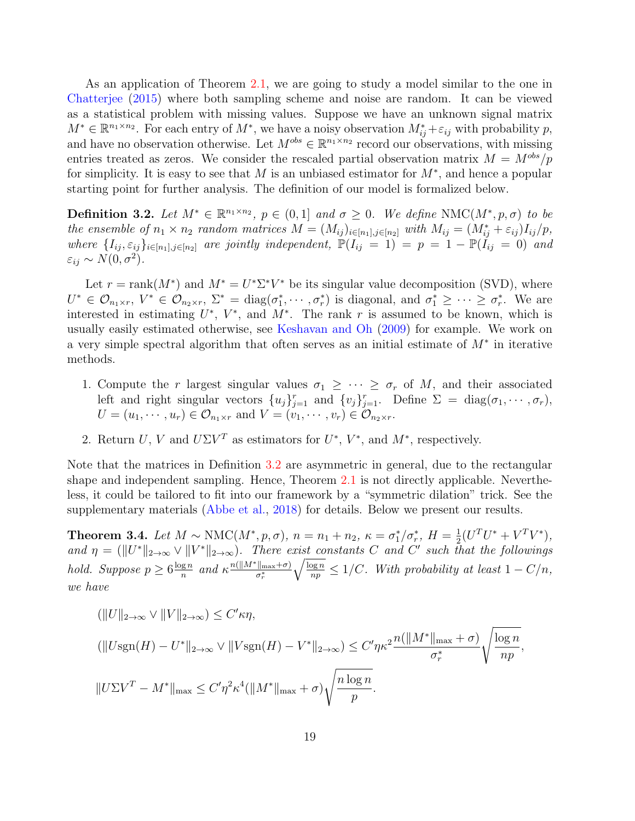As an application of Theorem [2.1,](#page-11-0) we are going to study a model similar to the one in [Chatterjee](#page-53-12) [\(2015\)](#page-53-12) where both sampling scheme and noise are random. It can be viewed as a statistical problem with missing values. Suppose we have an unknown signal matrix  $M^* \in \mathbb{R}^{n_1 \times n_2}$ . For each entry of  $M^*$ , we have a noisy observation  $M^*_{ij} + \varepsilon_{ij}$  with probability p, and have no observation otherwise. Let  $M^{obs} \in \mathbb{R}^{n_1 \times n_2}$  record our observations, with missing entries treated as zeros. We consider the rescaled partial observation matrix  $M = M^{obs}/p$ for simplicity. It is easy to see that M is an unbiased estimator for  $M^*$ , and hence a popular starting point for further analysis. The definition of our model is formalized below.

<span id="page-18-0"></span>**Definition 3.2.** Let  $M^* \in \mathbb{R}^{n_1 \times n_2}$ ,  $p \in (0,1]$  and  $\sigma \geq 0$ . We define NMC $(M^*, p, \sigma)$  to be the ensemble of  $n_1 \times n_2$  random matrices  $M = (M_{ij})_{i \in [n_1], j \in [n_2]}$  with  $M_{ij} = (M_{ij}^* + \varepsilon_{ij})I_{ij}/p$ , where  $\{I_{ij}, \varepsilon_{ij}\}_{i\in[n_1],j\in[n_2]}$  are jointly independent,  $\mathbb{P}(I_{ij} = 1) = p = 1 - \mathbb{P}(I_{ij} = 0)$  and  $\varepsilon_{ij} \sim N(0, \sigma^2).$ 

Let  $r = \text{rank}(M^*)$  and  $M^* = U^* \Sigma^* V^*$  be its singular value decomposition (SVD), where  $U^* \in \mathcal{O}_{n_1 \times r}, V^* \in \mathcal{O}_{n_2 \times r}, \ \Sigma^* = \text{diag}(\sigma_1^*, \cdots, \sigma_r^*)$  is diagonal, and  $\sigma_1^* \geq \cdots \geq \sigma_r^*$ . We are interested in estimating  $U^*$ ,  $V^*$ , and  $M^*$ . The rank r is assumed to be known, which is usually easily estimated otherwise, see [Keshavan and Oh](#page-54-11) [\(2009\)](#page-54-11) for example. We work on a very simple spectral algorithm that often serves as an initial estimate of  $M^*$  in iterative methods.

- 1. Compute the r largest singular values  $\sigma_1 \geq \cdots \geq \sigma_r$  of M, and their associated left and right singular vectors  $\{u_j\}_{j=1}^r$  and  $\{v_j\}_{j=1}^r$ . Define  $\Sigma = \text{diag}(\sigma_1, \dots, \sigma_r)$ ,  $U = (u_1, \dots, u_r) \in \mathcal{O}_{n_1 \times r}$  and  $V = (v_1, \dots, v_r) \in \mathcal{O}_{n_2 \times r}$ .
- 2. Return U, V and  $U\Sigma V^T$  as estimators for  $U^*, V^*,$  and  $M^*,$  respectively.

Note that the matrices in Definition [3.2](#page-18-0) are asymmetric in general, due to the rectangular shape and independent sampling. Hence, Theorem [2.1](#page-11-0) is not directly applicable. Nevertheless, it could be tailored to fit into our framework by a "symmetric dilation" trick. See the supplementary materials [\(Abbe et al.,](#page-51-5) [2018\)](#page-51-5) for details. Below we present our results.

<span id="page-18-1"></span>**Theorem 3.4.** Let  $M \sim NMC(M^*, p, \sigma)$ ,  $n = n_1 + n_2$ ,  $\kappa = \sigma_1^*/\sigma_r^*$ ,  $H = \frac{1}{2}$  $\frac{1}{2}(U^{T}U^{*}+V^{T}V^{*}),$ and  $\eta = (||U^*||_{2\to\infty} \vee ||V^*||_{2\to\infty})$ . There exist constants C and C' such that the followings hold. Suppose  $p \geq 6 \frac{\log n}{n}$  $\frac{\log n}{n}$  and  $\kappa \frac{n(\|M^*\|_{\max} + \sigma)}{\sigma_r^*}$  $\overline{\sigma_r^*}$  $\sqrt{\frac{\log n}{np}} \leq 1/C$ . With probability at least  $1 - C/n$ , we have

$$
\langle ||U||_{2\to\infty} \vee ||V||_{2\to\infty} \rangle \leq C' \kappa \eta,
$$
  

$$
(\|U\text{sgn}(H) - U^*||_{2\to\infty} \vee ||V\text{sgn}(H) - V^*||_{2\to\infty}) \leq C' \eta \kappa^2 \frac{n(||M^*||_{\max} + \sigma)}{\sigma_r^*} \sqrt{\frac{\log n}{np}},
$$
  

$$
||U\Sigma V^T - M^*||_{\max} \leq C' \eta^2 \kappa^4 (||M^*||_{\max} + \sigma) \sqrt{\frac{n \log n}{p}}.
$$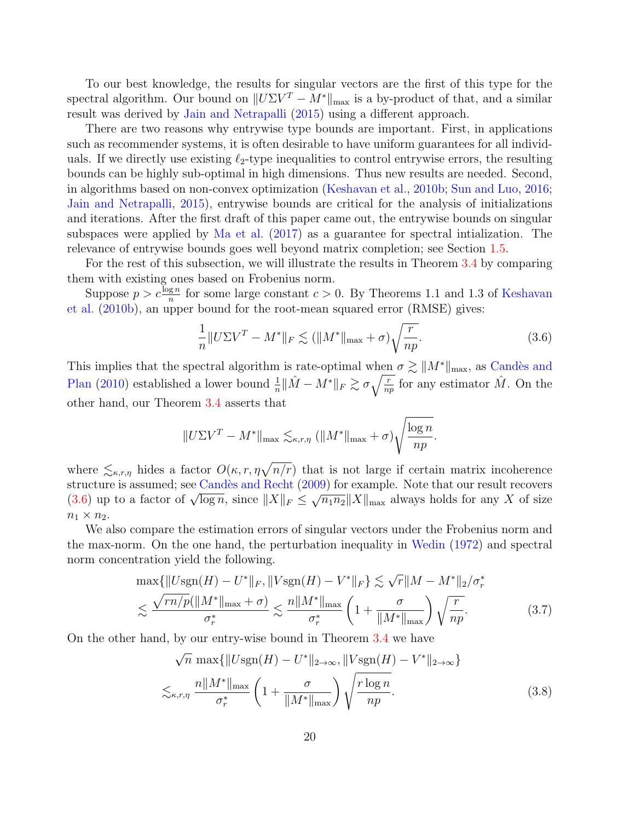To our best knowledge, the results for singular vectors are the first of this type for the spectral algorithm. Our bound on  $||U\Sigma V^T - M^*||_{\text{max}}$  is a by-product of that, and a similar result was derived by [Jain and Netrapalli](#page-54-12) [\(2015\)](#page-54-12) using a different approach.

There are two reasons why entrywise type bounds are important. First, in applications such as recommender systems, it is often desirable to have uniform guarantees for all individuals. If we directly use existing  $\ell_2$ -type inequalities to control entrywise errors, the resulting bounds can be highly sub-optimal in high dimensions. Thus new results are needed. Second, in algorithms based on non-convex optimization [\(Keshavan et al.,](#page-54-7) [2010b;](#page-54-7) [Sun and Luo,](#page-56-10) [2016;](#page-56-10) [Jain and Netrapalli,](#page-54-12) [2015\)](#page-54-12), entrywise bounds are critical for the analysis of initializations and iterations. After the first draft of this paper came out, the entrywise bounds on singular subspaces were applied by [Ma et al.](#page-55-13) [\(2017\)](#page-55-13) as a guarantee for spectral intialization. The relevance of entrywise bounds goes well beyond matrix completion; see Section [1.5.](#page-8-0)

For the rest of this subsection, we will illustrate the results in Theorem [3.4](#page-18-1) by comparing them with existing ones based on Frobenius norm.

Suppose  $p > c \frac{\log n}{n}$  for some large constant  $c > 0$ . By Theorems 1.1 and 1.3 of [Keshavan](#page-54-7) [et al.](#page-54-7) [\(2010b\)](#page-54-7), an upper bound for the root-mean squared error (RMSE) gives:

<span id="page-19-0"></span>
$$
\frac{1}{n} \|U\Sigma V^T - M^*\|_F \lesssim (\|M^*\|_{\text{max}} + \sigma)\sqrt{\frac{r}{np}}.\tag{3.6}
$$

This implies that the spectral algorithm is rate-optimal when  $\sigma \gtrsim ||M^*||_{\text{max}}$ , as Candès and [Plan](#page-52-8) [\(2010\)](#page-52-8) established a lower bound  $\frac{1}{n} \|\hat{M} - M^*\|_F \gtrsim \sigma \sqrt{\frac{r}{np}}$  for any estimator  $\hat{M}$ . On the other hand, our Theorem [3.4](#page-18-1) asserts that

$$
||U\Sigma V^{T} - M^{*}||_{\max} \lesssim_{\kappa,r,\eta} (||M^{*}||_{\max} + \sigma) \sqrt{\frac{\log n}{np}}.
$$

where  $\leq_{\kappa,r,\eta}$  hides a factor  $O(\kappa,r,\eta\sqrt{n/r})$  that is not large if certain matrix incoherence structure is assumed; see Candès and Recht [\(2009\)](#page-52-7) for example. Note that our result recovers structure is assumed; see Candes and Recht (2009) for example. Note that our result recovers [\(3.6\)](#page-19-0) up to a factor of  $\sqrt{\log n}$ , since  $||X||_F \leq \sqrt{n_1 n_2}||X||_{\max}$  always holds for any X of size  $n_1 \times n_2$ .

We also compare the estimation errors of singular vectors under the Frobenius norm and the max-norm. On the one hand, the perturbation inequality in [Wedin](#page-56-3) [\(1972\)](#page-56-3) and spectral norm concentration yield the following.

$$
\max\{||U\text{sgn}(H) - U^*||_F, ||V\text{sgn}(H) - V^*||_F\} \lesssim \sqrt{r}||M - M^*||_2/\sigma_r^*
$$
  

$$
\lesssim \frac{\sqrt{rn/p}(||M^*||_{\text{max}} + \sigma)}{\sigma_r^*} \lesssim \frac{n||M^*||_{\text{max}}}{\sigma_r^*} \left(1 + \frac{\sigma}{||M^*||_{\text{max}}}\right) \sqrt{\frac{r}{np}}.
$$
(3.7)

On the other hand, by our entry-wise bound in Theorem [3.4](#page-18-1) we have

<span id="page-19-1"></span>
$$
\sqrt{n} \max \{ \|U \text{sgn}(H) - U^*\|_{2 \to \infty}, \|V \text{sgn}(H) - V^*\|_{2 \to \infty} \}
$$
  

$$
\lesssim_{\kappa, r, \eta} \frac{n \|M^*\|_{\max}}{\sigma_r^*} \left(1 + \frac{\sigma}{\|M^*\|_{\max}}\right) \sqrt{\frac{r \log n}{np}}.
$$
 (3.8)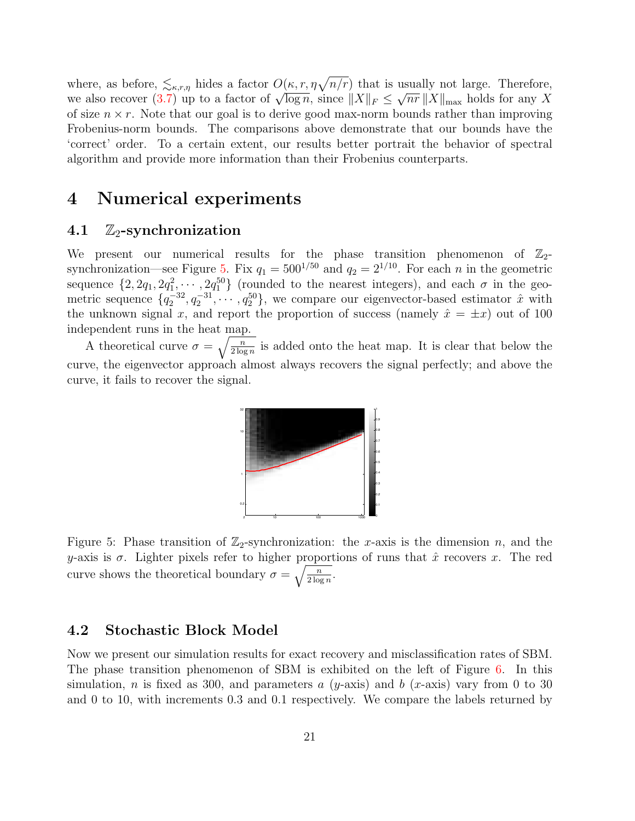where, as before,  $\leq_{\kappa,r,\eta}$  hides a factor  $O(\kappa,r,\eta\sqrt{n/r})$  that is usually not large. Therefore, where, as before,  $\sum_{k,r,\eta}$  mues a factor  $O(\kappa, r, \eta \sqrt{n/r})$  that is<br>we also recover [\(3.7\)](#page-19-1) up to a factor of  $\sqrt{\log n}$ , since  $||X||_F \le$ √  $\overline{nr}$  ||X||<sub>max</sub> holds for any X of size  $n \times r$ . Note that our goal is to derive good max-norm bounds rather than improving Frobenius-norm bounds. The comparisons above demonstrate that our bounds have the 'correct' order. To a certain extent, our results better portrait the behavior of spectral algorithm and provide more information than their Frobenius counterparts.

### <span id="page-20-0"></span>4 Numerical experiments

#### 4.1  $\mathbb{Z}_2$ -synchronization

We present our numerical results for the phase transition phenomenon of  $\mathbb{Z}_2$ -synchronization—see Figure [5.](#page-20-1) Fix  $q_1 = 500^{1/50}$  and  $q_2 = 2^{1/10}$ . For each n in the geometric sequence  $\{2, 2q_1, 2q_1^2, \cdots, 2q_1^{50}\}$  (rounded to the nearest integers), and each  $\sigma$  in the geometric sequence  $\{q_2^{-32}, q_2^{-31}, \cdots, q_2^{50}\}$ , we compare our eigenvector-based estimator  $\hat{x}$  with the unknown signal x, and report the proportion of success (namely  $\hat{x} = \pm x$ ) out of 100 independent runs in the heat map.

<span id="page-20-1"></span>A theoretical curve  $\sigma = \sqrt{\frac{n}{2 \log n}}$  is added onto the heat map. It is clear that below the curve, the eigenvector approach almost always recovers the signal perfectly; and above the curve, it fails to recover the signal.



Figure 5: Phase transition of  $\mathbb{Z}_2$ -synchronization: the x-axis is the dimension n, and the y-axis is  $\sigma$ . Lighter pixels refer to higher proportions of runs that  $\hat{x}$  recovers x. The red curve shows the theoretical boundary  $\sigma = \sqrt{\frac{n}{2 \log n}}$ .

#### 4.2 Stochastic Block Model

Now we present our simulation results for exact recovery and misclassification rates of SBM. The phase transition phenomenon of SBM is exhibited on the left of Figure [6.](#page-21-0) In this simulation, n is fixed as 300, and parameters a  $(y\text{-axis})$  and b  $(x\text{-axis})$  vary from 0 to 30 and 0 to 10, with increments 0.3 and 0.1 respectively. We compare the labels returned by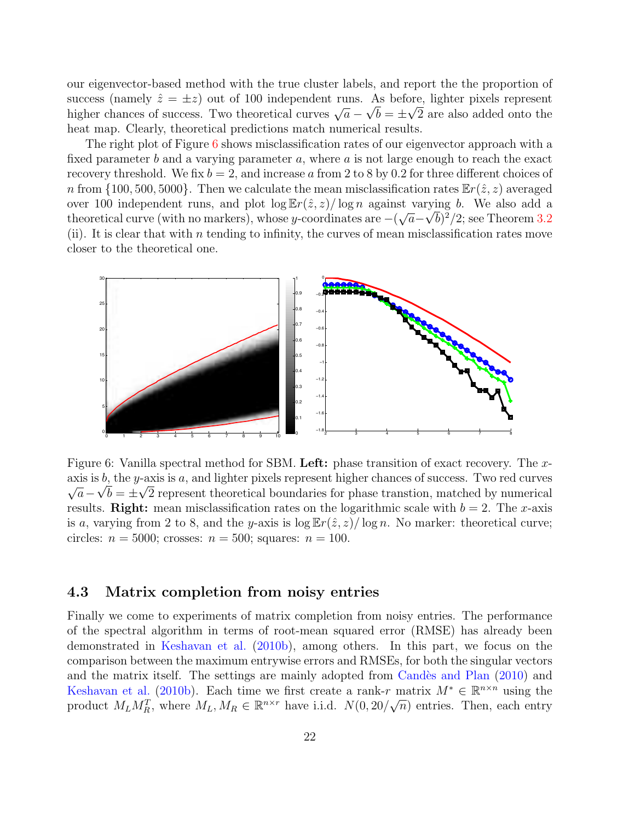our eigenvector-based method with the true cluster labels, and report the the proportion of success (namely  $\hat{z} = \pm z$ ) out of 100 independent runs. As before, lighter pixels represent success (namely  $z = \pm z$ ) out of 100 independent runs. As before, ighter pixels represent<br>higher chances of success. Two theoretical curves  $\sqrt{a} - \sqrt{b} = \pm \sqrt{2}$  are also added onto the heat map. Clearly, theoretical predictions match numerical results.

The right plot of Figure [6](#page-21-0) shows misclassification rates of our eigenvector approach with a fixed parameter b and a varying parameter  $a$ , where  $a$  is not large enough to reach the exact recovery threshold. We fix  $b = 2$ , and increase a from 2 to 8 by 0.2 for three different choices of n from  $\{100, 500, 5000\}$ . Then we calculate the mean misclassification rates  $\mathbb{E}r(\hat{z}, z)$  averaged over 100 independent runs, and plot  $\log \mathbb{E}r(\hat{z}, z)/\log n$  against varying b. We also add a theoretical curve (with no markers), whose y-coordinates are  $-(\sqrt{a}-\sqrt{b})^2/2$ ; see Theorem [3.2](#page-15-2) (ii). It is clear that with n tending to infinity, the curves of mean misclassification rates move closer to the theoretical one.

<span id="page-21-0"></span>

Figure 6: Vanilla spectral method for SBM. Left: phase transition of exact recovery. The xaxis is b, the y-axis is a, and lighter pixels represent higher chances of success. Two red curves  $\overline{a} - \sqrt{b} = \pm \sqrt{2}$  represent theoretical boundaries for phase transtion, matched by numerical results. Right: mean misclassification rates on the logarithmic scale with  $b = 2$ . The x-axis is a, varying from 2 to 8, and the y-axis is  $\log \mathbb{E}r(\hat{z}, z)/\log n$ . No marker: theoretical curve; circles:  $n = 5000$ ; crosses:  $n = 500$ ; squares:  $n = 100$ .

#### 4.3 Matrix completion from noisy entries

Finally we come to experiments of matrix completion from noisy entries. The performance of the spectral algorithm in terms of root-mean squared error (RMSE) has already been demonstrated in [Keshavan et al.](#page-54-7) [\(2010b\)](#page-54-7), among others. In this part, we focus on the comparison between the maximum entrywise errors and RMSEs, for both the singular vectors and the matrix itself. The settings are mainly adopted from Candès and Plan [\(2010\)](#page-52-8) and [Keshavan et al.](#page-54-7) [\(2010b\)](#page-54-7). Each time we first create a rank-r matrix  $M^* \in \mathbb{R}^{n \times n}$  using the product  $M_L M_R^T$ , where  $M_L, M_R \in \mathbb{R}^{n \times r}$  have i.i.d.  $N(0, 20/\sqrt{n})$  entries. Then, each entry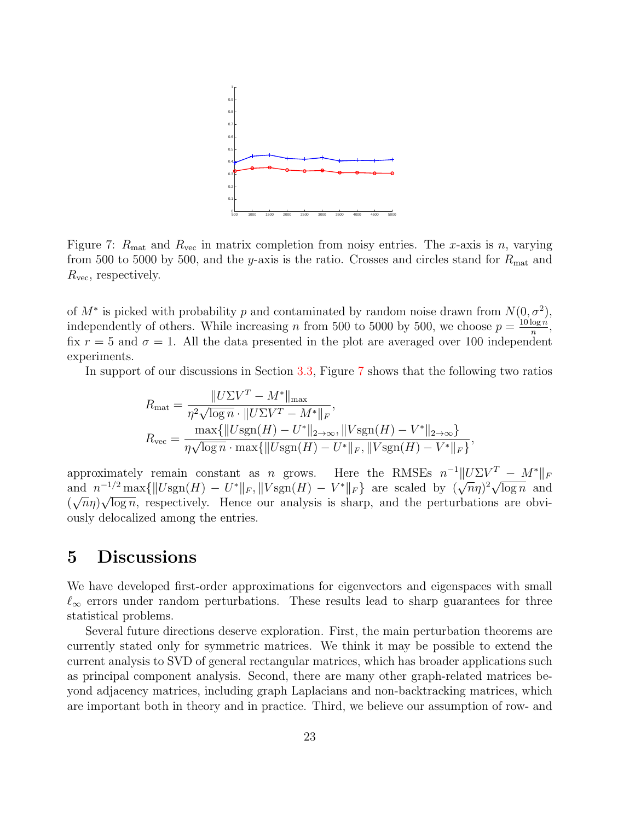<span id="page-22-1"></span>

Figure 7:  $R_{\text{mat}}$  and  $R_{\text{vec}}$  in matrix completion from noisy entries. The x-axis is n, varying from 500 to 5000 by 500, and the y-axis is the ratio. Crosses and circles stand for  $R_{\text{mat}}$  and  $R_{\text{vec}}$ , respectively.

of  $M^*$  is picked with probability p and contaminated by random noise drawn from  $N(0, \sigma^2)$ , independently of others. While increasing n from 500 to 5000 by 500, we choose  $p = \frac{10 \log n}{n}$  $\frac{\log n}{n}$ , fix  $r = 5$  and  $\sigma = 1$ . All the data presented in the plot are averaged over 100 independent experiments.

In support of our discussions in Section [3.3,](#page-17-1) Figure [7](#page-22-1) shows that the following two ratios

$$
R_{\text{mat}} = \frac{||U\Sigma V^T - M^*||_{\text{max}}}{\eta^2 \sqrt{\log n} \cdot ||U\Sigma V^T - M^*||_F},
$$
  
\n
$$
R_{\text{vec}} = \frac{\max\{||U\text{sgn}(H) - U^*||_{2 \to \infty}, ||V\text{sgn}(H) - V^*||_{2 \to \infty}\}}{\eta\sqrt{\log n} \cdot \max\{||U\text{sgn}(H) - U^*||_F, ||V\text{sgn}(H) - V^*||_F\}},
$$

approximately remain constant as n grows. Here the RMSEs  $n^{-1}||U\Sigma V^T - M^*||_F$ approximately remain constant as *n* grows. Here the KWSES *n*  $||U \Sigma V| = M ||F$ <br>and  $n^{-1/2} \max{\{||U \text{sgn}(H) - U^*||_F, ||V \text{sgn}(H) - V^*||_F\}}$  are scaled by  $(\sqrt{n}\eta)^2 \sqrt{\log n}$  and  $(\sqrt{n}\eta)\sqrt{\log n}$ , respectively. Hence our analysis is sharp, and the perturbations are obviously delocalized among the entries.

### <span id="page-22-0"></span>5 Discussions

We have developed first-order approximations for eigenvectors and eigenspaces with small  $\ell_{\infty}$  errors under random perturbations. These results lead to sharp guarantees for three statistical problems.

Several future directions deserve exploration. First, the main perturbation theorems are currently stated only for symmetric matrices. We think it may be possible to extend the current analysis to SVD of general rectangular matrices, which has broader applications such as principal component analysis. Second, there are many other graph-related matrices beyond adjacency matrices, including graph Laplacians and non-backtracking matrices, which are important both in theory and in practice. Third, we believe our assumption of row- and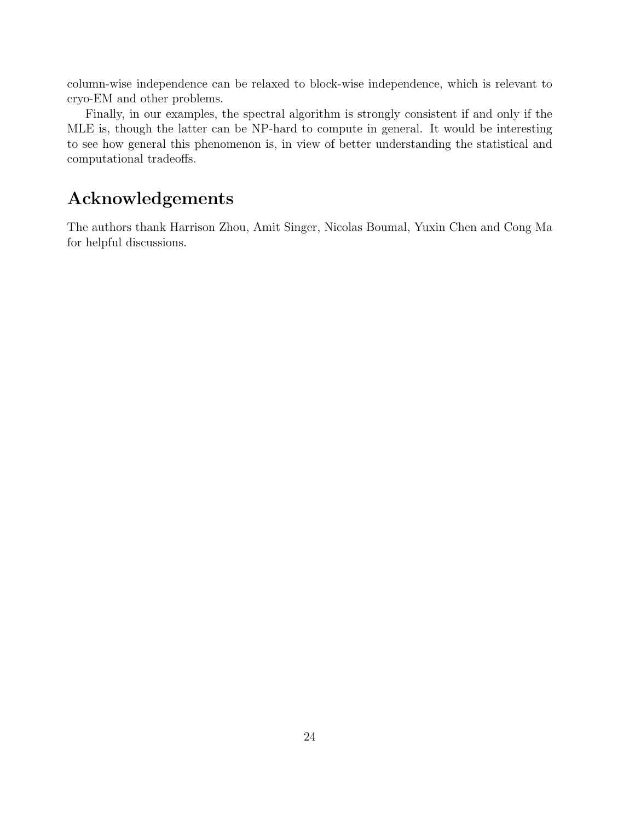column-wise independence can be relaxed to block-wise independence, which is relevant to cryo-EM and other problems.

Finally, in our examples, the spectral algorithm is strongly consistent if and only if the MLE is, though the latter can be NP-hard to compute in general. It would be interesting to see how general this phenomenon is, in view of better understanding the statistical and computational tradeoffs.

## Acknowledgements

The authors thank Harrison Zhou, Amit Singer, Nicolas Boumal, Yuxin Chen and Cong Ma for helpful discussions.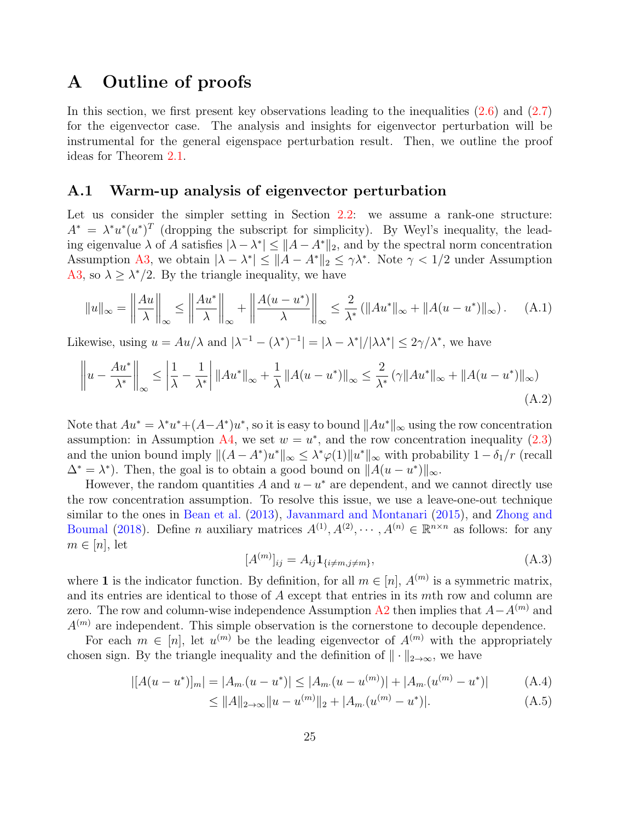### A Outline of proofs

In this section, we first present key observations leading to the inequalities [\(2.6\)](#page-12-3) and [\(2.7\)](#page-12-4) for the eigenvector case. The analysis and insights for eigenvector perturbation will be instrumental for the general eigenspace perturbation result. Then, we outline the proof ideas for Theorem [2.1.](#page-11-0)

#### <span id="page-24-3"></span>A.1 Warm-up analysis of eigenvector perturbation

Let us consider the simpler setting in Section [2.2:](#page-11-1) we assume a rank-one structure:  $A^* = \lambda^* u^* (u^*)^T$  (dropping the subscript for simplicity). By Weyl's inequality, the leading eigenvalue  $\lambda$  of A satisfies  $|\lambda - \lambda^*| \leq ||A - A^*||_2$ , and by the spectral norm concentration Assumption [A3,](#page-10-0) we obtain  $|\lambda - \lambda^*| \leq ||A - A^*||_2 \leq \gamma \lambda^*$ . Note  $\gamma < 1/2$  under Assumption [A3,](#page-10-0) so  $\lambda \geq \lambda^*/2$ . By the triangle inequality, we have

$$
||u||_{\infty} = \left\|\frac{Au}{\lambda}\right\|_{\infty} \le \left\|\frac{Au^*}{\lambda}\right\|_{\infty} + \left\|\frac{A(u - u^*)}{\lambda}\right\|_{\infty} \le \frac{2}{\lambda^*} \left(\|Au^*\|_{\infty} + \|A(u - u^*)\|_{\infty}\right). \tag{A.1}
$$

Likewise, using  $u = Au/\lambda$  and  $|\lambda^{-1} - (\lambda^*)^{-1}| = |\lambda - \lambda^*|/|\lambda \lambda^*| \leq 2\gamma/\lambda^*$ , we have

$$
\left\| u - \frac{Au^*}{\lambda^*} \right\|_{\infty} \le \left| \frac{1}{\lambda} - \frac{1}{\lambda^*} \right| \|Au^*\|_{\infty} + \frac{1}{\lambda} \|A(u - u^*)\|_{\infty} \le \frac{2}{\lambda^*} (\gamma \|Au^*\|_{\infty} + \|A(u - u^*)\|_{\infty})
$$
\n(A.2)

Note that  $Au^* = \lambda^* u^* + (A - A^*)u^*$ , so it is easy to bound  $||Au^*||_{\infty}$  using the row concentration assumption: in Assumption [A4,](#page-10-1) we set  $w = u^*$ , and the row concentration inequality [\(2.3\)](#page-10-3) and the union bound imply  $\|(A - A^*)u^*\|_{\infty} \leq \lambda^* \varphi(1) \|u^*\|_{\infty}$  with probability  $1 - \delta_1/r$  (recall  $\Delta^* = \lambda^*$ ). Then, the goal is to obtain a good bound on  $||A(u - u^*)||_{\infty}$ .

However, the random quantities A and  $u - u^*$  are dependent, and we cannot directly use the row concentration assumption. To resolve this issue, we use a leave-one-out technique similar to the ones in [Bean et al.](#page-52-13) [\(2013\)](#page-52-13), [Javanmard and Montanari](#page-54-13) [\(2015\)](#page-54-13), and [Zhong and](#page-57-2) [Boumal](#page-57-2) [\(2018\)](#page-57-2). Define *n* auxiliary matrices  $A^{(1)}, A^{(2)}, \cdots, A^{(n)} \in \mathbb{R}^{n \times n}$  as follows: for any  $m \in [n]$ , let

<span id="page-24-5"></span><span id="page-24-4"></span><span id="page-24-2"></span><span id="page-24-1"></span><span id="page-24-0"></span>
$$
[A^{(m)}]_{ij} = A_{ij} \mathbf{1}_{\{i \neq m, j \neq m\}},\tag{A.3}
$$

where 1 is the indicator function. By definition, for all  $m \in [n]$ ,  $A^{(m)}$  is a symmetric matrix, and its entries are identical to those of A except that entries in its mth row and column are zero. The row and column-wise independence Assumption [A2](#page-10-0) then implies that  $A-A^{(m)}$  and  $A^{(m)}$  are independent. This simple observation is the cornerstone to decouple dependence.

For each  $m \in [n]$ , let  $u^{(m)}$  be the leading eigenvector of  $A^{(m)}$  with the appropriately chosen sign. By the triangle inequality and the definition of  $\|\cdot\|_{2\to\infty}$ , we have

$$
|[A(u - u^*)]_m| = |A_m(u - u^*)| \le |A_m(u - u^{(m)})| + |A_m(u^{(m)} - u^*)|
$$
 (A.4)

$$
\leq \|A\|_{2\to\infty} \|u - u^{(m)}\|_2 + |A_m(u^{(m)} - u^*)|.
$$
\n(A.5)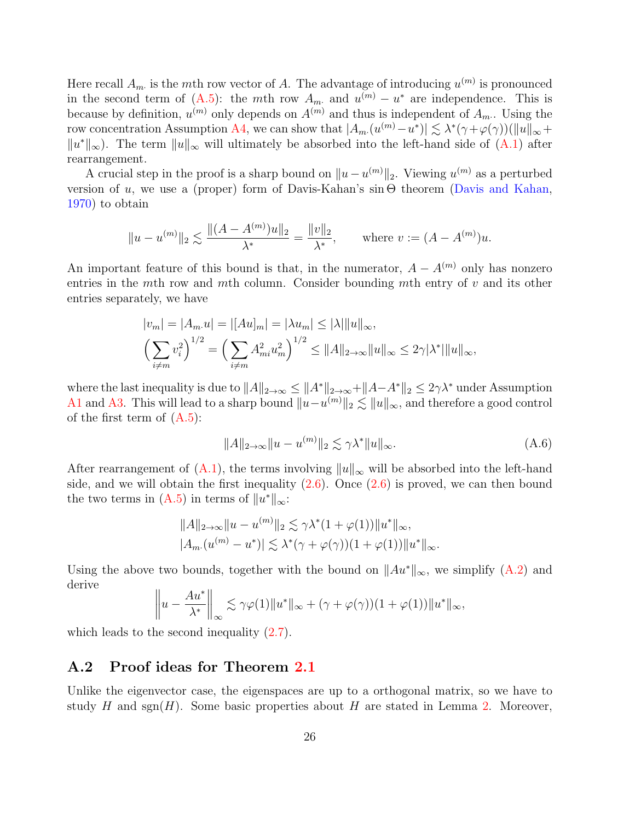Here recall  $A_m$  is the mth row vector of A. The advantage of introducing  $u^{(m)}$  is pronounced in the second term of  $(A.5)$ : the mth row  $A_m$  and  $u^{(m)} - u^*$  are independence. This is because by definition,  $u^{(m)}$  only depends on  $A^{(m)}$  and thus is independent of  $A_m$ . Using the row concentration Assumption [A4,](#page-10-1) we can show that  $|A_m(u^{(m)} - u^*)| \lesssim \lambda^* (\gamma + \varphi(\gamma)) (\|u\|_{\infty} +$  $||u^*||_{\infty}$ ). The term  $||u||_{\infty}$  will ultimately be absorbed into the left-hand side of [\(A.1\)](#page-24-1) after rearrangement.

A crucial step in the proof is a sharp bound on  $||u - u^{(m)}||_2$ . Viewing  $u^{(m)}$  as a perturbed version of u, we use a (proper) form of Davis-Kahan's  $\sin \Theta$  theorem [\(Davis and Kahan,](#page-53-1) [1970\)](#page-53-1) to obtain

$$
||u - u^{(m)}||_2 \lesssim \frac{||(A - A^{(m)})u||_2}{\lambda^*} = \frac{||v||_2}{\lambda^*}, \quad \text{where } v := (A - A^{(m)})u.
$$

An important feature of this bound is that, in the numerator,  $A - A^{(m)}$  only has nonzero entries in the mth row and mth column. Consider bounding mth entry of  $v$  and its other entries separately, we have

$$
|v_m| = |A_m u| = |[Au]_m| = |\lambda u_m| \le |\lambda| \|u\|_{\infty},
$$
  

$$
\left(\sum_{i \neq m} v_i^2\right)^{1/2} = \left(\sum_{i \neq m} A_{mi}^2 u_m^2\right)^{1/2} \le ||A||_{2 \to \infty} \|u\|_{\infty} \le 2\gamma |\lambda^*| \|u\|_{\infty},
$$

where the last inequality is due to  $||A||_{2\to\infty} \leq ||A^*||_{2\to\infty} + ||A-A^*||_2 \leq 2\gamma\lambda^*$  under Assumption [A1](#page-10-0) and [A3.](#page-10-0) This will lead to a sharp bound  $||u-u^{(m)}||_2 \lesssim ||u||_{\infty}$ , and therefore a good control of the first term of  $(A.5)$ :

<span id="page-25-0"></span>
$$
||A||_{2\to\infty}||u - u^{(m)}||_2 \lesssim \gamma \lambda^* ||u||_{\infty}.
$$
\n(A.6)

After rearrangement of [\(A.1\)](#page-24-1), the terms involving  $||u||_{\infty}$  will be absorbed into the left-hand side, and we will obtain the first inequality  $(2.6)$ . Once  $(2.6)$  is proved, we can then bound the two terms in  $(A.5)$  in terms of  $||u^*||_{\infty}$ :

$$
||A||_{2\to\infty}||u - u^{(m)}||_2 \lesssim \gamma \lambda^*(1 + \varphi(1))||u^*||_{\infty},
$$
  

$$
|A_m(u^{(m)} - u^*)| \lesssim \lambda^*(\gamma + \varphi(\gamma))(1 + \varphi(1))||u^*||_{\infty}.
$$

Using the above two bounds, together with the bound on  $||Au^*||_{\infty}$ , we simplify [\(A.2\)](#page-24-2) and derive

$$
\left\|u - \frac{Au^*}{\lambda^*}\right\|_{\infty} \lesssim \gamma \varphi(1) \|u^*\|_{\infty} + (\gamma + \varphi(\gamma))(1 + \varphi(1))\|u^*\|_{\infty},
$$

which leads to the second inequality  $(2.7)$ .

### A.2 Proof ideas for Theorem [2.1](#page-11-0)

Unlike the eigenvector case, the eigenspaces are up to a orthogonal matrix, so we have to study H and sgn(H). Some basic properties about H are stated in Lemma [2.](#page-27-0) Moreover,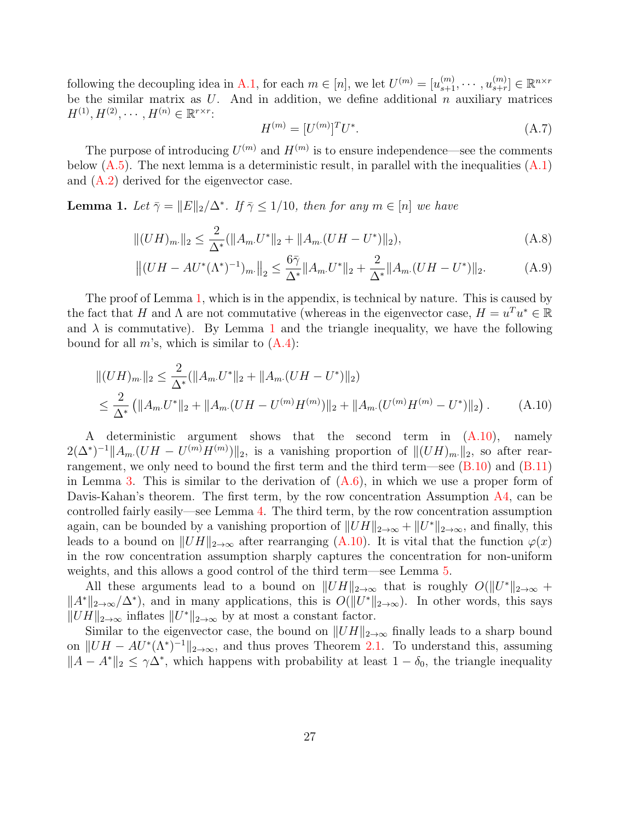following the decoupling idea in [A.1,](#page-24-3) for each  $m \in [n]$ , we let  $U^{(m)} = [u_{s+1}^{(m)}, \cdots, u_{s+r}^{(m)}]$  $_{s+r}^{(m)}] \in \mathbb{R}^{n \times r}$ be the similar matrix as  $U$ . And in addition, we define additional  $n$  auxiliary matrices  $H^{(1)}, H^{(2)}, \cdots, H^{(n)} \in \mathbb{R}^{r \times r}$ :

<span id="page-26-2"></span><span id="page-26-1"></span>
$$
H^{(m)} = [U^{(m)}]^T U^*.
$$
\n(A.7)

The purpose of introducing  $U^{(m)}$  and  $H^{(m)}$  is to ensure independence—see the comments below  $(A.5)$ . The next lemma is a deterministic result, in parallel with the inequalities  $(A.1)$ and [\(A.2\)](#page-24-2) derived for the eigenvector case.

<span id="page-26-0"></span>**Lemma 1.** Let  $\bar{\gamma} = ||E||_2/\Delta^*$ . If  $\bar{\gamma} \leq 1/10$ , then for any  $m \in [n]$  we have

$$
||(UH)_{m\cdot}||_2 \le \frac{2}{\Delta^*} (||A_m \cdot U^*||_2 + ||A_m \cdot (UH - U^*)||_2),
$$
\n(A.8)

$$
\left\| (UH - AU^*(\Lambda^*)^{-1})_{m} \right\|_2 \le \frac{6\bar{\gamma}}{\Delta^*} \|A_m U^*\|_2 + \frac{2}{\Delta^*} \|A_m (UH - U^*)\|_2.
$$
 (A.9)

The proof of Lemma [1,](#page-26-0) which is in the appendix, is technical by nature. This is caused by the fact that H and  $\Lambda$  are not commutative (whereas in the eigenvector case,  $H = u^T u^* \in \mathbb{R}$ and  $\lambda$  is commutative). By Lemma [1](#page-26-0) and the triangle inequality, we have the following bound for all  $m$ 's, which is similar to  $(A.4)$ :

$$
||(UH)_{m\cdot}||_2 \le \frac{2}{\Delta^*} (||A_m \cdot U^*||_2 + ||A_m \cdot (UH - U^*)||_2)
$$
  

$$
\le \frac{2}{\Delta^*} (||A_m \cdot U^*||_2 + ||A_m \cdot (UH - U^{(m)}H^{(m)})||_2 + ||A_m \cdot (U^{(m)}H^{(m)} - U^*)||_2).
$$
 (A.10)

A deterministic argument shows that the second term in [\(A.10\)](#page-26-1), namely  $2(\Delta^*)^{-1} \|A_{m}(UH - U^{(m)}H^{(m)})\|_2$ , is a vanishing proportion of  $\|(UH)_{m} \|_2$ , so after rearrangement, we only need to bound the first term and the third term—see  $(B.10)$  and  $(B.11)$ in Lemma [3.](#page-29-2) This is similar to the derivation of  $(A.6)$ , in which we use a proper form of Davis-Kahan's theorem. The first term, by the row concentration Assumption  $\overline{A4}$ , can be controlled fairly easily—see Lemma [4.](#page-31-0) The third term, by the row concentration assumption again, can be bounded by a vanishing proportion of  $||UH||_{2\to\infty} + ||U^*||_{2\to\infty}$ , and finally, this leads to a bound on  $||UH||_{2\to\infty}$  after rearranging [\(A.10\)](#page-26-1). It is vital that the function  $\varphi(x)$ in the row concentration assumption sharply captures the concentration for non-uniform weights, and this allows a good control of the third term—see Lemma [5.](#page-32-0)

All these arguments lead to a bound on  $||UH||_{2\to\infty}$  that is roughly  $O(||U^*||_{2\to\infty} +$  $||A^*||_{2\to\infty}/\Delta^*$ , and in many applications, this is  $O(||U^*||_{2\to\infty})$ . In other words, this says  $||UH||_{2\to\infty}$  inflates  $||U^*||_{2\to\infty}$  by at most a constant factor.

Similar to the eigenvector case, the bound on  $||UH||_{2\rightarrow\infty}$  finally leads to a sharp bound on  $||UH - AU<sup>*</sup>(\Lambda<sup>*</sup>)<sup>-1</sup>||<sub>2→∞</sub>$ , and thus proves Theorem [2.1.](#page-11-0) To understand this, assuming  $||A - A^*||_2 \leq \gamma \Delta^*$ , which happens with probability at least  $1 - \delta_0$ , the triangle inequality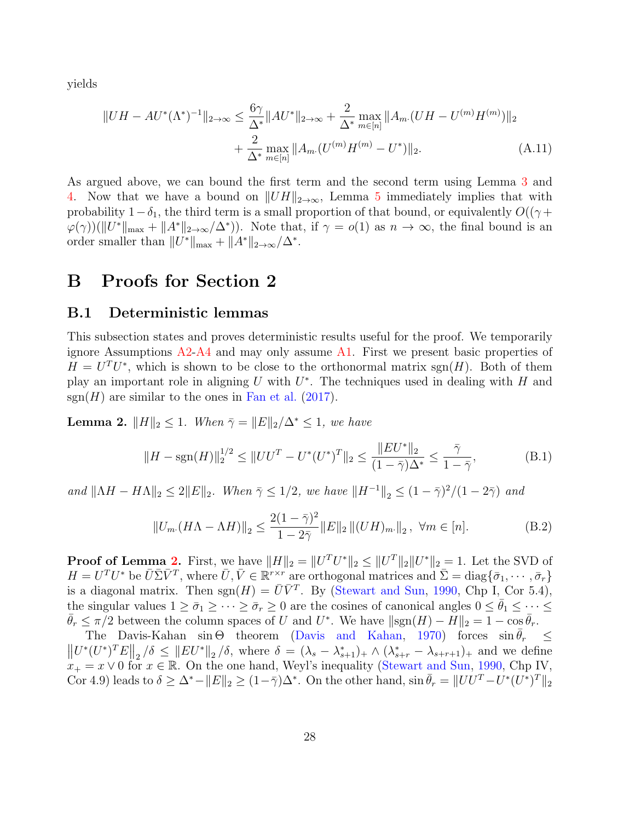yields

$$
||UH - AU^*(\Lambda^*)^{-1}||_{2 \to \infty} \le \frac{6\gamma}{\Delta^*} ||AU^*||_{2 \to \infty} + \frac{2}{\Delta^*} \max_{m \in [n]} ||A_m (UH - U^{(m)}H^{(m)})||_2
$$
  
+ 
$$
\frac{2}{\Delta^*} \max_{m \in [n]} ||A_m (U^{(m)}H^{(m)} - U^*)||_2.
$$
 (A.11)

As argued above, we can bound the first term and the second term using Lemma [3](#page-29-2) and [4.](#page-31-0) Now that we have a bound on  $||UH||_{2\rightarrow\infty}$ , Lemma [5](#page-32-0) immediately implies that with probability  $1-\delta_1$ , the third term is a small proportion of that bound, or equivalently  $O((\gamma +$  $\varphi(\gamma)(\|U^*\|_{\max} + \|A^*\|_{2\to\infty}/\Delta^*)$ ). Note that, if  $\gamma = o(1)$  as  $n \to \infty$ , the final bound is an order smaller than  $||U^*||_{\max} + ||A^*||_{2\to\infty}/\Delta^*$ .

### B Proofs for Section 2

#### B.1 Deterministic lemmas

This subsection states and proves deterministic results useful for the proof. We temporarily ignore Assumptions  $A2-A4$  $A2-A4$  and may only assume [A1.](#page-10-0) First we present basic properties of  $H = U<sup>T</sup>U<sup>*</sup>$ , which is shown to be close to the orthonormal matrix sgn(H). Both of them play an important role in aligning  $U$  with  $U^*$ . The techniques used in dealing with  $H$  and  $sgn(H)$  are similar to the ones in [Fan et al.](#page-53-13) [\(2017\)](#page-53-13).

<span id="page-27-0"></span>**Lemma 2.**  $||H||_2 \leq 1$ . When  $\bar{\gamma} = ||E||_2/\Delta^* \leq 1$ , we have

$$
||H - \operatorname{sgn}(H)||_2^{1/2} \le ||UU^T - U^*(U^*)^T||_2 \le \frac{||EU^*||_2}{(1 - \bar{\gamma})\Delta^*} \le \frac{\bar{\gamma}}{1 - \bar{\gamma}},
$$
(B.1)

and  $||\Lambda H - H\Lambda||_2 \leq 2||E||_2$ . When  $\bar{\gamma} \leq 1/2$ , we have  $||H^{-1}||_2 \leq (1 - \bar{\gamma})^2/(1 - 2\bar{\gamma})$  and

$$
||U_m(H\Lambda - \Lambda H)||_2 \le \frac{2(1-\bar{\gamma})^2}{1-2\bar{\gamma}} ||E||_2 ||(UH)_m||_2, \ \forall m \in [n].
$$
 (B.2)

**Proof of Lemma [2.](#page-27-0)** First, we have  $||H||_2 = ||U^T U^*||_2 \le ||U^T||_2 ||U^*||_2 = 1$ . Let the SVD of  $H = U^T U^*$  be  $\bar{U} \bar{\Sigma} \bar{V}^T$ , where  $\bar{U}, \bar{V} \in \mathbb{R}^{r \times r}$  are orthogonal matrices and  $\bar{\Sigma} = \text{diag}\{\bar{\sigma}_1, \cdots, \bar{\sigma}_r\}$ is a diagonal matrix. Then  $sgn(H) = \overline{U}\overline{V}^T$ . By [\(Stewart and Sun,](#page-56-4) [1990,](#page-56-4) Chp I, Cor 5.4), the singular values  $1 \ge \bar{\sigma}_1 \ge \cdots \ge \bar{\sigma}_r \ge 0$  are the cosines of canonical angles  $0 \le \bar{\theta}_1 \le \cdots \le$  $\bar{\theta}_r \leq \pi/2$  between the column spaces of U and U<sup>\*</sup>. We have  $\|\text{sgn}(H) - H\|_2 = 1 - \cos \bar{\theta}_r$ .

The Davis-Kahan  $\sin \Theta$  theorem [\(Davis and Kahan,](#page-53-1) [1970\)](#page-53-1) forces  $\sin \bar{\theta}_r \leq$  $\left\| U^*(U^*)^T E \right\|_2 / \delta \leq \left\| EU^* \right\|_2 / \delta$ , where  $\delta = (\lambda_s - \lambda_{s+1}^*)_+ \wedge (\lambda_{s+r}^* - \lambda_{s+r+1})_+$  and we define  $x_+ = x \vee 0$  for  $x \in \mathbb{R}$ . On the one hand, Weyl's inequality [\(Stewart and Sun,](#page-56-4) [1990,](#page-56-4) Chp IV, Cor 4.9) leads to  $\delta \geq \Delta^* - ||E||_2 \geq (1 - \bar{\gamma})\Delta^*$ . On the other hand,  $\sin \bar{\theta}_r = ||UU^T - U^*(U^*)^T||_2$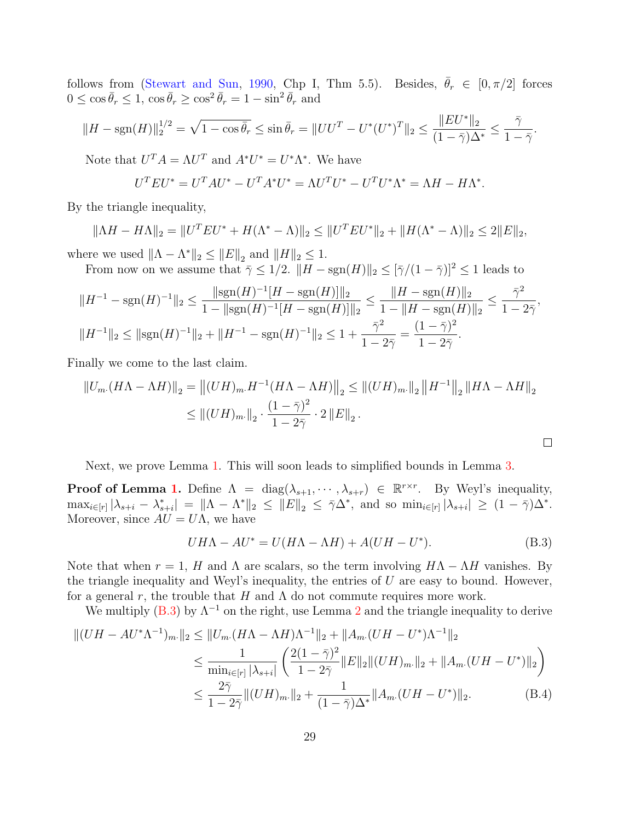follows from [\(Stewart and Sun,](#page-56-4) [1990,](#page-56-4) Chp I, Thm 5.5). Besides,  $\bar{\theta}_r \in [0, \pi/2]$  forces  $0 \leq \cos \bar{\theta}_r \leq 1$ ,  $\cos \bar{\theta}_r \geq \cos^2 \bar{\theta}_r = 1 - \sin^2 \bar{\theta}_r$  and

$$
||H - \text{sgn}(H)||_2^{1/2} = \sqrt{1 - \cos \bar{\theta}_r} \le \sin \bar{\theta}_r = ||UU^T - U^*(U^*)^T||_2 \le \frac{||EU^*||_2}{(1 - \bar{\gamma})\Delta^*} \le \frac{\bar{\gamma}}{1 - \bar{\gamma}}.
$$

Note that  $U^T A = \Lambda U^T$  and  $A^* U^* = U^* \Lambda^*$ . We have

$$
UT EU* = UT AU* - UT A* U* = \Lambda UT U* - UT U* \Lambda* = \Lambda H - H \Lambda*.
$$

By the triangle inequality,

$$
\|\Lambda H - H\Lambda\|_2 = \|U^T E U^* + H(\Lambda^* - \Lambda)\|_2 \le \|U^T E U^*\|_2 + \|H(\Lambda^* - \Lambda)\|_2 \le 2\|E\|_2,
$$

where we used  $\|\Lambda - \Lambda^*\|_2 \leq \|E\|_2$  and  $\|H\|_2 \leq 1$ . From now on we assume that  $\overline{\gamma} \leq 1/2$ .  $||H - \text{sgn}(H)||_2 \leq |\overline{\gamma}/(1 - \overline{\gamma})|^2 \leq 1$  leads to

$$
||H^{-1} - \text{sgn}(H)^{-1}||_2 \le \frac{||\text{sgn}(H)^{-1}[H - \text{sgn}(H)]||_2}{1 - ||\text{sgn}(H)^{-1}[H - \text{sgn}(H)]||_2} \le \frac{||H - \text{sgn}(H)||_2}{1 - ||H - \text{sgn}(H)||_2} \le \frac{\bar{\gamma}^2}{1 - 2\bar{\gamma}},
$$
  

$$
||H^{-1}||_2 \le ||\text{sgn}(H)^{-1}||_2 + ||H^{-1} - \text{sgn}(H)^{-1}||_2 \le 1 + \frac{\bar{\gamma}^2}{1 - 2\bar{\gamma}} = \frac{(1 - \bar{\gamma})^2}{1 - 2\bar{\gamma}}.
$$

Finally we come to the last claim.

$$
||U_{m}(H\Lambda - \Lambda H)||_2 = ||(UH)_{m}H^{-1}(H\Lambda - \Lambda H)||_2 \le ||(UH)_{m}||_2 ||H^{-1}||_2 ||H\Lambda - \Lambda H||_2
$$
  

$$
\le ||(UH)_{m}||_2 \cdot \frac{(1 - \bar{\gamma})^2}{1 - 2\bar{\gamma}} \cdot 2 ||E||_2.
$$

Next, we prove Lemma [1.](#page-26-0) This will soon leads to simplified bounds in Lemma [3.](#page-29-2)

**Proof of Lemma [1.](#page-26-0)** Define  $\Lambda = \text{diag}(\lambda_{s+1}, \dots, \lambda_{s+r}) \in \mathbb{R}^{r \times r}$ . By Weyl's inequality,  $\max_{i \in [r]} |\lambda_{s+i} - \lambda_{s+i}^*| = ||\Lambda - \Lambda^*||_2 \le ||E||_2 \le \overline{\gamma} \Delta^*$ , and so  $\min_{i \in [r]} |\lambda_{s+i}| \ge (1 - \overline{\gamma}) \Delta^*$ . Moreover, since  $AU = U\Lambda$ , we have

<span id="page-28-0"></span>
$$
UH\Lambda - AU^* = U(H\Lambda - \Lambda H) + A(UH - U^*).
$$
 (B.3)

<span id="page-28-1"></span> $\Box$ 

Note that when  $r = 1$ , H and  $\Lambda$  are scalars, so the term involving  $H\Lambda - \Lambda H$  vanishes. By the triangle inequality and Weyl's inequality, the entries of  $U$  are easy to bound. However, for a general r, the trouble that H and  $\Lambda$  do not commute requires more work.

We multiply [\(B.3\)](#page-28-0) by  $\Lambda^{-1}$  on the right, use Lemma [2](#page-27-0) and the triangle inequality to derive

$$
||(UH - AU^*\Lambda^{-1})_{m}||_2 \le ||U_m \cdot (H\Lambda - \Lambda H)\Lambda^{-1}||_2 + ||A_m \cdot (UH - U^*)\Lambda^{-1}||_2
$$
  
\n
$$
\le \frac{1}{\min_{i \in [r]} |\lambda_{s+i}|} \left(\frac{2(1-\bar{\gamma})^2}{1-2\bar{\gamma}} ||E||_2 ||(UH)_{m}||_2 + ||A_m \cdot (UH - U^*)||_2\right)
$$
  
\n
$$
\le \frac{2\bar{\gamma}}{1-2\bar{\gamma}} ||(UH)_{m}||_2 + \frac{1}{(1-\bar{\gamma})\Delta^*} ||A_m \cdot (UH - U^*)||_2.
$$
 (B.4)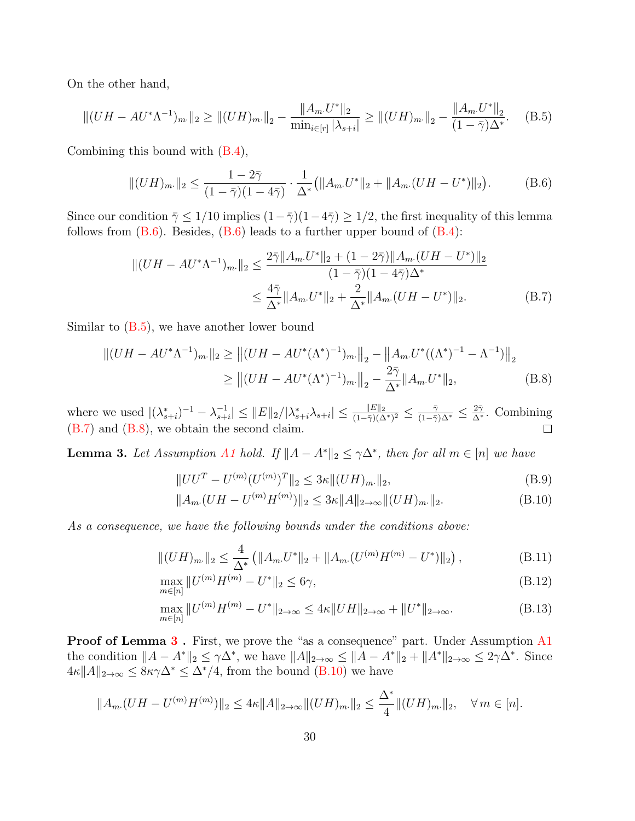On the other hand,

<span id="page-29-4"></span>
$$
||(UH - AU^*\Lambda^{-1})_{m\cdot}||_2 \ge ||(UH)_{m\cdot}||_2 - \frac{||A_m \cdot U^*||_2}{\min_{i \in [r]} |\lambda_{s+i}|} \ge ||(UH)_{m\cdot}||_2 - \frac{||A_m \cdot U^*||_2}{(1 - \bar{\gamma})\Delta^*}.
$$
 (B.5)

Combining this bound with [\(B.4\)](#page-28-1),

<span id="page-29-3"></span>
$$
||(UH)_{m\cdot}||_2 \le \frac{1-2\bar{\gamma}}{(1-\bar{\gamma})(1-4\bar{\gamma})} \cdot \frac{1}{\Delta^*} (||A_m \cdot U^*||_2 + ||A_m \cdot (UH - U^*)||_2). \tag{B.6}
$$

Since our condition  $\bar{\gamma} \leq 1/10$  implies  $(1-\bar{\gamma})(1-4\bar{\gamma}) \geq 1/2$ , the first inequality of this lemma follows from  $(B.6)$ . Besides,  $(B.6)$  leads to a further upper bound of  $(B.4)$ :

$$
||(UH - AU^*\Lambda^{-1})_{m\cdot}||_2 \le \frac{2\bar{\gamma}||A_m U^*||_2 + (1 - 2\bar{\gamma})||A_m (UH - U^*)||_2}{(1 - \bar{\gamma})(1 - 4\bar{\gamma})\Delta^*} \le \frac{4\bar{\gamma}}{\Delta^*}||A_m U^*||_2 + \frac{2}{\Delta^*}||A_m (UH - U^*)||_2.
$$
 (B.7)

Similar to  $(B.5)$ , we have another lower bound

$$
||(UH - AU^*\Lambda^{-1})_{m\cdot}||_2 \ge ||(UH - AU^*(\Lambda^*)^{-1})_{m\cdot}||_2 - ||A_m U^*((\Lambda^*)^{-1} - \Lambda^{-1})||_2
$$
  
 
$$
\ge ||(UH - AU^*(\Lambda^*)^{-1})_{m\cdot}||_2 - \frac{2\bar{\gamma}}{\Delta^*}||A_m U^*||_2,
$$
 (B.8)

 $\frac{-1}{s+i} \leq ||E||_2/|\lambda^*_{s+i}\lambda_{s+i}| \leq \frac{||E||_2}{(1-\bar{\gamma})(\Delta^*)^2} \leq \frac{\bar{\gamma}}{(1-\bar{\gamma})\Delta^*} \leq \frac{2\bar{\gamma}}{\Delta^*}.$  Combining where we used  $|(\lambda_{s+i}^*)^{-1} - \lambda_{s+1}^{-1}|$  $(B.7)$  and  $(B.8)$ , we obtain the second claim.  $\Box$ 

<span id="page-29-2"></span>**Lemma 3.** Let Assumption [A1](#page-10-0) hold. If  $||A - A^*||_2 \le \gamma \Delta^*$ , then for all  $m \in [n]$  we have

<span id="page-29-8"></span><span id="page-29-6"></span><span id="page-29-5"></span><span id="page-29-0"></span>
$$
||UU^T - U^{(m)}(U^{(m)})^T||_2 \le 3\kappa ||(UH)_{m}||_2,
$$
\n(B.9)

<span id="page-29-9"></span><span id="page-29-7"></span><span id="page-29-1"></span>
$$
||A_m(UH - U^{(m)}H^{(m)})||_2 \le 3\kappa ||A||_{2\to\infty} ||(UH)_m||_2.
$$
 (B.10)

As a consequence, we have the following bounds under the conditions above:

$$
||(UH)_{m\cdot}||_2 \leq \frac{4}{\Delta^*} \left( ||A_{m\cdot}U^*||_2 + ||A_{m\cdot}(U^{(m)}H^{(m)} - U^*)||_2 \right),
$$
\n(B.11)

$$
\max_{m \in [n]} \|U^{(m)}H^{(m)} - U^*\|_2 \le 6\gamma,
$$
\n(B.12)

$$
\max_{m \in [n]} \|U^{(m)}H^{(m)} - U^*\|_{2 \to \infty} \le 4\kappa \|UH\|_{2 \to \infty} + \|U^*\|_{2 \to \infty}.
$$
 (B.13)

**Proof of Lemma [3](#page-29-2).** First, we prove the "as a consequence" part. Under Assumption [A1](#page-10-0) the condition  $||A - A^*||_2 \leq \gamma \Delta^*$ , we have  $||A||_{2\to\infty} \leq ||A - A^*||_2 + ||A^*||_{2\to\infty} \leq 2\gamma \Delta^*$ . Since  $4\kappa \|A\|_{2\to\infty} \leq 8\kappa\gamma\Delta^* \leq \Delta^*/4$ , from the bound [\(B.10\)](#page-29-0) we have

$$
||A_{m}(UH - U^{(m)}H^{(m)})||_2 \le 4\kappa ||A||_{2\to\infty} ||(UH)_{m}||_2 \le \frac{\Delta^*}{4} ||(UH)_{m}||_2, \quad \forall m \in [n].
$$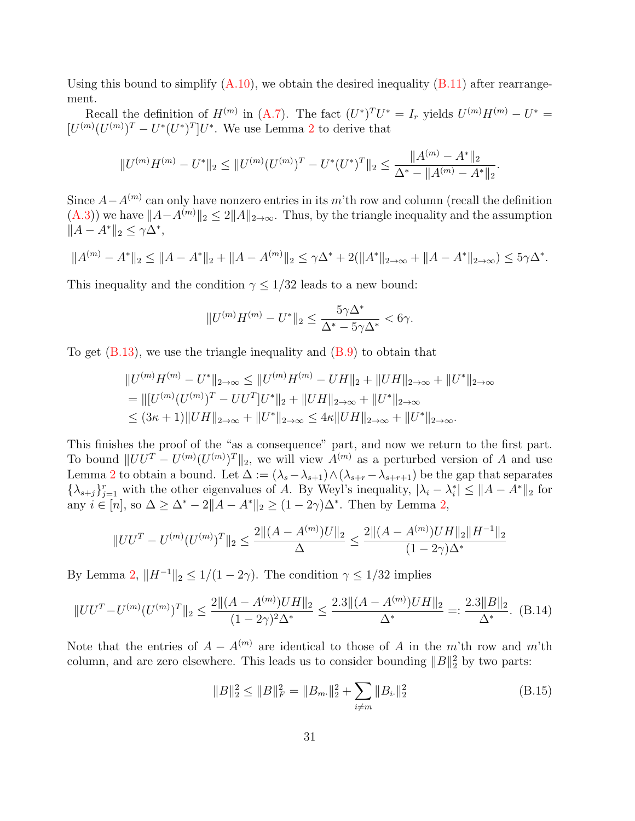Using this bound to simplify  $(A.10)$ , we obtain the desired inequality  $(B.11)$  after rearrangement.

Recall the definition of  $H^{(m)}$  in [\(A.7\)](#page-26-2). The fact  $(U^*)^T U^* = I_r$  yields  $U^{(m)} H^{(m)} - U^* =$  $[U^{(m)}(U^{(m)})^T - U^*(U^*)^T]U^*$ . We use Lemma [2](#page-27-0) to derive that

$$
||U^{(m)}H^{(m)} - U^*||_2 \le ||U^{(m)}(U^{(m)})^T - U^*(U^*)^T||_2 \le \frac{||A^{(m)} - A^*||_2}{\Delta^* - ||A^{(m)} - A^*||_2}.
$$

Since  $A - A^{(m)}$  can only have nonzero entries in its m'th row and column (recall the definition  $(A.3)$ ) we have  $||A-A^{(m)}||_2 \leq 2||A||_{2\to\infty}$ . Thus, by the triangle inequality and the assumption  $||A - A^*||_2 \leq \gamma \Delta^*,$ 

$$
||A^{(m)} - A^*||_2 \le ||A - A^*||_2 + ||A - A^{(m)}||_2 \le \gamma \Delta^* + 2(||A^*||_{2 \to \infty} + ||A - A^*||_{2 \to \infty}) \le 5\gamma \Delta^*.
$$

This inequality and the condition  $\gamma \leq 1/32$  leads to a new bound:

$$
||U^{(m)}H^{(m)}-U^*||_2\leq \frac{5\gamma\Delta^*}{\Delta^*-5\gamma\Delta^*}<6\gamma.
$$

To get  $(B.13)$ , we use the triangle inequality and  $(B.9)$  to obtain that

$$
||U^{(m)}H^{(m)} - U^*||_{2 \to \infty} \le ||U^{(m)}H^{(m)} - UH||_2 + ||UH||_{2 \to \infty} + ||U^*||_{2 \to \infty}
$$
  
= 
$$
||[U^{(m)}(U^{(m)})^T - UU^T]U^*||_2 + ||UH||_{2 \to \infty} + ||U^*||_{2 \to \infty}
$$
  

$$
\le (3\kappa + 1)||UH||_{2 \to \infty} + ||U^*||_{2 \to \infty} \le 4\kappa ||UH||_{2 \to \infty} + ||U^*||_{2 \to \infty}.
$$

This finishes the proof of the "as a consequence" part, and now we return to the first part. To bound  $||UU^T - U^{(m)}(U^{(m)})^T||_2$ , we will view  $A^{(m)}$  as a perturbed version of A and use Lemma [2](#page-27-0) to obtain a bound. Let  $\Delta := (\lambda_s - \lambda_{s+1}) \wedge (\lambda_{s+r} - \lambda_{s+r+1})$  be the gap that separates  $\{\lambda_{s+j}\}_{j=1}^r$  with the other eigenvalues of A. By Weyl's inequality,  $|\lambda_i - \lambda_i^*| \leq ||A - A^*||_2$  for any  $i \in [n]$ , so  $\Delta \geq \Delta^* - 2||A - A^*||_2 \geq (1 - 2\gamma)\Delta^*$ . Then by Lemma [2,](#page-27-0)

$$
||UU^T - U^{(m)}(U^{(m)})^T||_2 \le \frac{2|| (A - A^{(m)})U||_2}{\Delta} \le \frac{2|| (A - A^{(m)})UH||_2 ||H^{-1}||_2}{(1 - 2\gamma)\Delta^*}
$$

By Lemma [2,](#page-27-0)  $||H^{-1}||_2 \leq 1/(1-2\gamma)$ . The condition  $\gamma \leq 1/32$  implies

<span id="page-30-1"></span>
$$
||UU^T - U^{(m)}(U^{(m)})^T||_2 \le \frac{2||(A - A^{(m)})UH||_2}{(1 - 2\gamma)^2 \Delta^*} \le \frac{2.3||(A - A^{(m)})UH||_2}{\Delta^*} =: \frac{2.3||B||_2}{\Delta^*}.
$$
 (B.14)

Note that the entries of  $A - A^{(m)}$  are identical to those of A in the m'th row and m'th column, and are zero elsewhere. This leads us to consider bounding  $||B||_2^2$  by two parts:

<span id="page-30-0"></span>
$$
||B||_2^2 \le ||B||_F^2 = ||B_m||_2^2 + \sum_{i \ne m} ||B_i||_2^2
$$
 (B.15)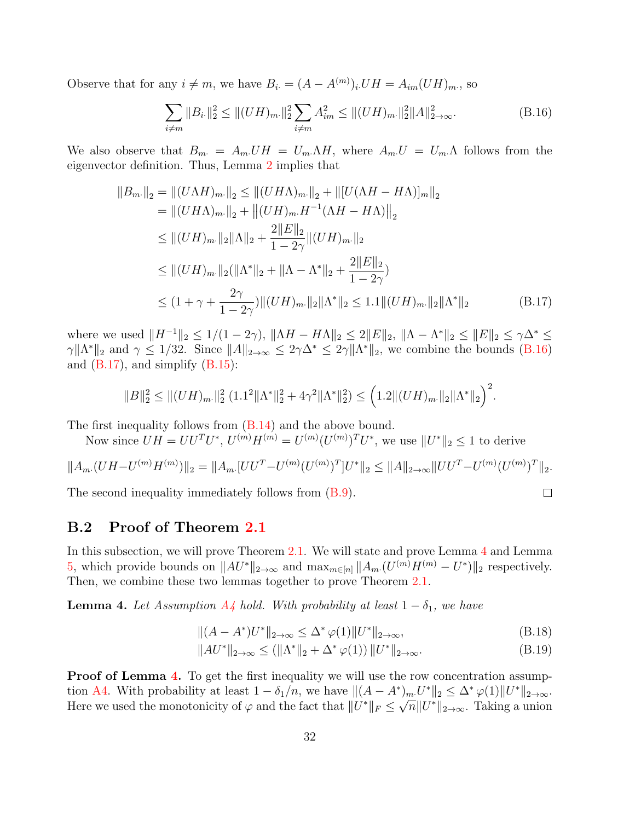Observe that for any  $i \neq m$ , we have  $B_i = (A - A^{(m)})_i \cup H = A_{im}(UH)_{m}$ , so

<span id="page-31-1"></span>
$$
\sum_{i \neq m} ||B_{i\cdot}||_2^2 \le ||(UH)_{m\cdot}||_2^2 \sum_{i \neq m} A_{im}^2 \le ||(UH)_{m\cdot}||_2^2 ||A||_{2 \to \infty}^2.
$$
 (B.16)

We also observe that  $B_m = A_m U H = U_m \Lambda H$ , where  $A_m U = U_m \Lambda$  follows from the eigenvector definition. Thus, Lemma [2](#page-27-0) implies that

$$
||B_{m\cdot}||_2 = ||(U\Lambda H)_{m\cdot}||_2 \le ||(UH\Lambda)_{m\cdot}||_2 + ||[U(\Lambda H - H\Lambda)]_{m}||_2
$$
  
\n
$$
= ||(UH\Lambda)_{m\cdot}||_2 + ||(UH)_{m\cdot}H^{-1}(\Lambda H - H\Lambda)||_2
$$
  
\n
$$
\le ||(UH)_{m\cdot}||_2||\Lambda||_2 + \frac{2||E||_2}{1 - 2\gamma}||(UH)_{m\cdot}||_2
$$
  
\n
$$
\le ||(UH)_{m\cdot}||_2(||\Lambda^*||_2 + ||\Lambda - \Lambda^*||_2 + \frac{2||E||_2}{1 - 2\gamma})
$$
  
\n
$$
\le (1 + \gamma + \frac{2\gamma}{1 - 2\gamma})||(UH)_{m\cdot}||_2||\Lambda^*||_2 \le 1.1||(UH)_{m\cdot}||_2||\Lambda^*||_2
$$
 (B.17)

where we used  $||H^{-1}||_2 \le 1/(1-2\gamma)$ ,  $||\Lambda H - H\Lambda||_2 \le 2||E||_2$ ,  $||\Lambda - \Lambda^*||_2 \le ||E||_2 \le \gamma \Delta^* \le$  $\gamma \| \Lambda^* \|_2$  and  $\gamma \leq 1/32$ . Since  $\|A\|_{2\to\infty} \leq 2\gamma \Delta^* \leq 2\gamma \|\Lambda^*\|_2$ , we combine the bounds [\(B.16\)](#page-31-1) and  $(B.17)$ , and simplify  $(B.15)$ :

$$
||B||_2^2 \le ||(UH)_{m}||_2^2 (1.1^2 ||\Lambda^*||_2^2 + 4\gamma^2 ||\Lambda^*||_2^2) \le (1.2 ||(UH)_{m}||_2 ||\Lambda^*||_2)^2.
$$

The first inequality follows from  $(B.14)$  and the above bound.

Now since  $UH = U U^{T} U^{*}$ ,  $U^{(m)} H^{(m)} = U^{(m)} (U^{(m)})^{T} U^{*}$ , we use  $||U^{*}||_{2} \leq 1$  to derive

$$
||A_{m}(UH - U^{(m)}H^{(m)})||_2 = ||A_{m}\cdot [UU^{T} - U^{(m)}(U^{(m)})^{T}]U^{*}||_2 \leq ||A||_{2 \to \infty} ||UU^{T} - U^{(m)}(U^{(m)})^{T}||_2.
$$

The second inequality immediately follows from [\(B.9\)](#page-29-8).

#### B.2 Proof of Theorem [2.1](#page-11-0)

In this subsection, we will prove Theorem [2.1.](#page-11-0) We will state and prove Lemma [4](#page-31-0) and Lemma [5,](#page-32-0) which provide bounds on  $||AU^*||_{2\to\infty}$  and  $\max_{m\in[n]} ||A_m(U^{(m)}H^{(m)}-U^*)||_2$  respectively. Then, we combine these two lemmas together to prove Theorem [2.1.](#page-11-0)

<span id="page-31-0"></span>**Lemma 4.** Let Assumption  $A_4$  hold. With probability at least  $1 - \delta_1$ , we have

$$
||(A - A^*)U^*||_{2 \to \infty} \le \Delta^* \varphi(1) ||U^*||_{2 \to \infty},
$$
\n(B.18)

<span id="page-31-2"></span> $\Box$ 

$$
||AU^*||_{2\to\infty} \le (||\Lambda^*||_2 + \Delta^* \varphi(1)) ||U^*||_{2\to\infty}.
$$
 (B.19)

**Proof of Lemma [4.](#page-31-0)** To get the first inequality we will use the row concentration assump-tion [A4.](#page-10-1) With probability at least  $1 - \delta_1/n$ , we have  $||(A - A^*)_m U^*||_2 \leq \Delta^* \varphi(1) ||U^*||_{2 \to \infty}$ . Here we used the monotonicity of  $\varphi$  and the fact that  $||U^*||_F \leq \sqrt{n}||U^*||_{2\to\infty}$ . Taking a union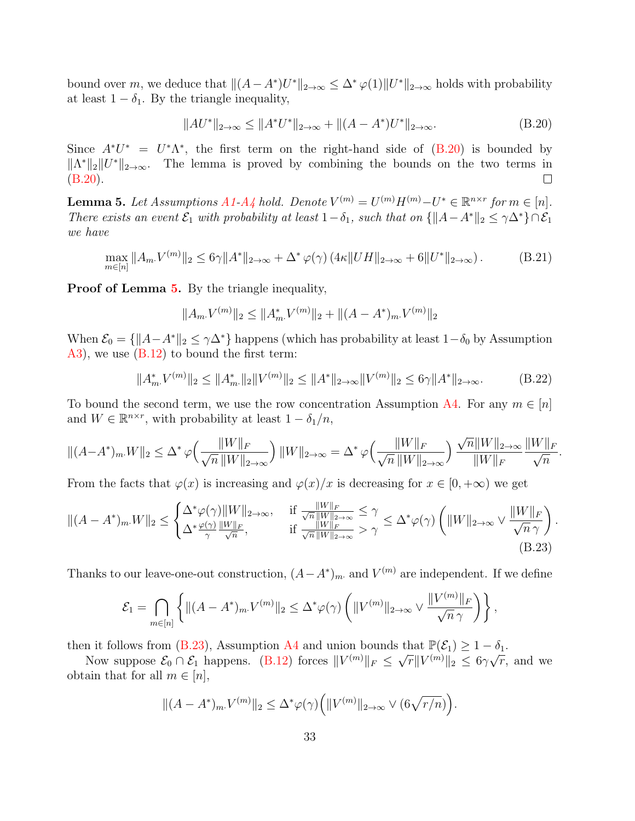bound over m, we deduce that  $||(A - A^*)U^*||_{2 \to \infty} \leq \Delta^* \varphi(1)||U^*||_{2 \to \infty}$  holds with probability at least  $1 - \delta_1$ . By the triangle inequality,

<span id="page-32-1"></span>
$$
||AU^*||_{2\to\infty} \le ||A^*U^*||_{2\to\infty} + ||(A - A^*)U^*||_{2\to\infty}.
$$
 (B.20)

Since  $A^*U^* = U^*\Lambda^*$ , the first term on the right-hand side of  $(B.20)$  is bounded by  $||\Lambda^*||_2||U^*||_{2\to\infty}$ . The lemma is proved by combining the bounds on the two terms in [\(B.20\)](#page-32-1).  $\Box$ 

<span id="page-32-0"></span>**Lemma 5.** Let Assumptions  $A1-A$  $A1-A$ <sub>4</sub> hold. Denote  $V^{(m)} = U^{(m)}H^{(m)} - U^* \in \mathbb{R}^{n \times r}$  for  $m \in [n]$ . There exists an event  $\mathcal{E}_1$  with probability at least  $1-\delta_1$ , such that on  $\{\|A-A^*\|_2 \leq \gamma \Delta^*\}\cap \mathcal{E}_1$ we have

$$
\max_{m \in [n]} \|A_m V^{(m)}\|_2 \le 6\gamma \|A^*\|_{2 \to \infty} + \Delta^* \varphi(\gamma) \left(4\kappa \|UH\|_{2 \to \infty} + 6\|U^*\|_{2 \to \infty}\right). \tag{B.21}
$$

Proof of Lemma [5.](#page-32-0) By the triangle inequality,

$$
||A_m V^{(m)}||_2 \le ||A_m^* V^{(m)}||_2 + ||(A - A^*)_m V^{(m)}||_2
$$

When  $\mathcal{E}_0 = \{\Vert A - A^*\Vert_2 \leq \gamma \Delta^* \}$  happens (which has probability at least  $1-\delta_0$  by Assumption [A3\)](#page-10-0), we use [\(B.12\)](#page-29-9) to bound the first term:

<span id="page-32-3"></span>
$$
||A_m^* \cdot V^{(m)}||_2 \le ||A_m^*||_2 ||V^{(m)}||_2 \le ||A^*||_{2 \to \infty} ||V^{(m)}||_2 \le 6\gamma ||A^*||_{2 \to \infty}.
$$
 (B.22)

To bound the second term, we use the row concentration Assumption [A4.](#page-10-1) For any  $m \in [n]$ and  $W \in \mathbb{R}^{n \times r}$ , with probability at least  $1 - \delta_1/n$ ,

$$
\|(A-A^*)_m.W\|_2 \le \Delta^* \varphi \Big(\frac{\|W\|_F}{\sqrt n\, \|W\|_{2\to\infty}}\Big) \, \|W\|_{2\to\infty} = \Delta^* \varphi \Big(\frac{\|W\|_F}{\sqrt n\, \|W\|_{2\to\infty}}\Big) \, \frac{\sqrt n \|W\|_{2\to\infty}}{\|W\|_F} \frac{\|W\|_F}{\sqrt n}.
$$

From the facts that  $\varphi(x)$  is increasing and  $\varphi(x)/x$  is decreasing for  $x \in [0, +\infty)$  we get

$$
||(A - A^*)_{m} W||_2 \le \begin{cases} \Delta^* \varphi(\gamma) ||W||_{2 \to \infty}, & \text{if } \frac{||W||_F}{\sqrt{n} ||W||_{2 \to \infty}} \le \gamma \\ \Delta^* \frac{\varphi(\gamma)}{\gamma} \frac{||W||_F}{\sqrt{n}}, & \text{if } \frac{||W||_F}{\sqrt{n} ||W||_{2 \to \infty}} > \gamma \end{cases} \le \Delta^* \varphi(\gamma) \left(||W||_{2 \to \infty} \vee \frac{||W||_F}{\sqrt{n} \gamma} \right).
$$
\n(B.23)

Thanks to our leave-one-out construction,  $(A - A^*)_{m}$  and  $V^{(m)}$  are independent. If we define

$$
\mathcal{E}_1 = \bigcap_{m \in [n]} \left\{ \|(A - A^*)_{m \cdot} V^{(m)}\|_2 \leq \Delta^* \varphi(\gamma) \left( \|V^{(m)}\|_{2 \to \infty} \vee \frac{\|V^{(m)}\|_F}{\sqrt{n} \gamma} \right) \right\},
$$

then it follows from [\(B.23\)](#page-32-2), Assumption [A4](#page-10-1) and union bounds that  $\mathbb{P}(\mathcal{E}_1) \geq 1 - \delta_1$ .

Now suppose  $\mathcal{E}_0 \cap \mathcal{E}_1$  happens. [\(B.12\)](#page-29-9) forces  $||V^{(m)}||_F \leq \sqrt{r}||V^{(m)}||_2 \leq 6\gamma\sqrt{r}$ , and we obtain that for all  $m \in [n]$ ,

<span id="page-32-2"></span>
$$
||(A - A^*)_{m}V^{(m)}||_2 \le \Delta^* \varphi(\gamma) \Big(||V^{(m)}||_{2 \to \infty} \vee (6\sqrt{r/n})\Big).
$$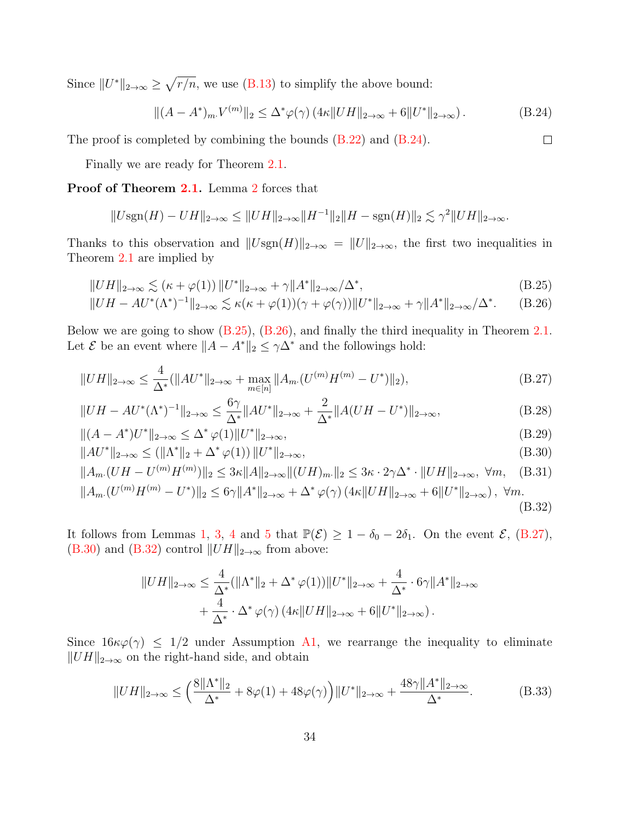Since  $||U^*||_{2\to\infty} \ge \sqrt{r/n}$ , we use [\(B.13\)](#page-29-7) to simplify the above bound:

<span id="page-33-0"></span>
$$
\|(A - A^*)_{m} V^{(m)}\|_2 \le \Delta^* \varphi(\gamma) \left(4\kappa \|UH\|_{2 \to \infty} + 6\|U^*\|_{2 \to \infty}\right). \tag{B.24}
$$

<span id="page-33-8"></span><span id="page-33-7"></span><span id="page-33-5"></span><span id="page-33-4"></span><span id="page-33-3"></span><span id="page-33-2"></span><span id="page-33-1"></span> $\Box$ 

The proof is completed by combining the bounds  $(B.22)$  and  $(B.24)$ .

Finally we are ready for Theorem [2.1.](#page-11-0)

Proof of Theorem [2.1.](#page-11-0) Lemma [2](#page-27-0) forces that

$$
||U\text{sgn}(H) - UH||_{2\to\infty} \le ||UH||_{2\to\infty}||H^{-1}||_2||H - \text{sgn}(H)||_2 \lesssim \gamma^2 ||UH||_{2\to\infty}.
$$

Thanks to this observation and  $||Usgn(H)||_{2\to\infty} = ||U||_{2\to\infty}$ , the first two inequalities in Theorem [2.1](#page-11-0) are implied by

$$
||UH||_{2\to\infty} \lesssim (\kappa + \varphi(1)) ||U^*||_{2\to\infty} + \gamma ||A^*||_{2\to\infty}/\Delta^*,
$$
\n(B.25)

$$
||UH - AU^*(\Lambda^*)^{-1}||_{2\to\infty} \lesssim \kappa(\kappa + \varphi(1))(\gamma + \varphi(\gamma))||U^*||_{2\to\infty} + \gamma||A^*||_{2\to\infty}/\Delta^*.
$$
 (B.26)

Below we are going to show [\(B.25\)](#page-33-1), [\(B.26\)](#page-33-2), and finally the third inequality in Theorem [2.1.](#page-11-0) Let  $\mathcal E$  be an event where  $||A - A^*||_2 \leq \gamma \Delta^*$  and the followings hold:

$$
||UH||_{2\to\infty} \le \frac{4}{\Delta^*} (||AU^*||_{2\to\infty} + \max_{m\in[n]} ||A_m(U^{(m)}H^{(m)} - U^*)||_2),
$$
\n(B.27)

$$
||UH - AU^*(\Lambda^*)^{-1}||_{2 \to \infty} \le \frac{6\gamma}{\Delta^*} ||AU^*||_{2 \to \infty} + \frac{2}{\Delta^*} ||A(UH - U^*)||_{2 \to \infty},
$$
\n(B.28)

$$
||(A - A^*)U^*||_{2 \to \infty} \le \Delta^* \varphi(1) ||U^*||_{2 \to \infty},
$$
\n(B.29)

$$
||AU^*||_{2\to\infty} \le (||\Lambda^*||_2 + \Delta^* \varphi(1)) ||U^*||_{2\to\infty},
$$
\n(B.30)

$$
||A_m (UH - U^{(m)} H^{(m)})||_2 \le 3\kappa ||A||_{2\to\infty} ||(UH)_m||_2 \le 3\kappa \cdot 2\gamma \Delta^* \cdot ||UH||_{2\to\infty}, \ \forall m, \quad (B.31)
$$

$$
||A_{m}(U^{(m)}H^{(m)} - U^*)||_2 \le 6\gamma ||A^*||_{2\to\infty} + \Delta^* \varphi(\gamma) (4\kappa ||UH||_{2\to\infty} + 6||U^*||_{2\to\infty}), \ \forall m. \tag{B.32}
$$

It follows from Lemmas [1,](#page-26-0) [3,](#page-29-2) [4](#page-31-0) and [5](#page-32-0) that  $\mathbb{P}(\mathcal{E}) \ge 1 - \delta_0 - 2\delta_1$ . On the event  $\mathcal{E}$ , [\(B.27\)](#page-33-3), [\(B.30\)](#page-33-4) and [\(B.32\)](#page-33-5) control  $||UH||_{2\rightarrow\infty}$  from above:

$$
||UH||_{2\to\infty} \leq \frac{4}{\Delta^*} (||\Lambda^*||_2 + \Delta^* \varphi(1)) ||U^*||_{2\to\infty} + \frac{4}{\Delta^*} \cdot 6\gamma ||A^*||_{2\to\infty}
$$
  
+ 
$$
\frac{4}{\Delta^*} \cdot \Delta^* \varphi(\gamma) (4\kappa ||UH||_{2\to\infty} + 6||U^*||_{2\to\infty}).
$$

Since  $16\kappa\varphi(\gamma) \leq 1/2$  under Assumption [A1,](#page-10-0) we rearrange the inequality to eliminate  $||UH||_{2\rightarrow\infty}$  on the right-hand side, and obtain

<span id="page-33-6"></span>
$$
||UH||_{2\to\infty} \le \left(\frac{8||\Lambda^*||_2}{\Delta^*} + 8\varphi(1) + 48\varphi(\gamma)\right) ||U^*||_{2\to\infty} + \frac{48\gamma ||A^*||_{2\to\infty}}{\Delta^*}.
$$
 (B.33)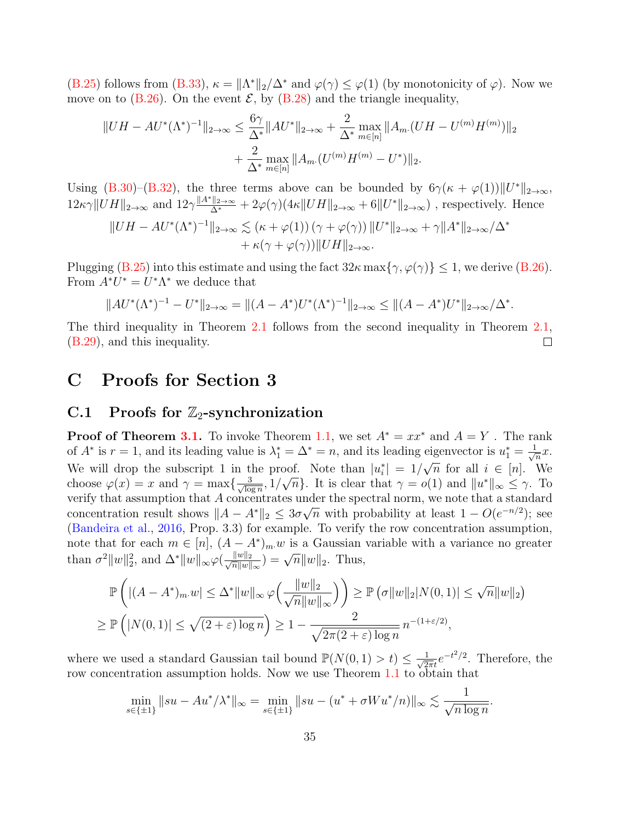[\(B.25\)](#page-33-1) follows from [\(B.33\)](#page-33-6),  $\kappa = ||\Lambda^*||_2/\Delta^*$  and  $\varphi(\gamma) \leq \varphi(1)$  (by monotonicity of  $\varphi$ ). Now we move on to  $(B.26)$ . On the event  $\mathcal{E}$ , by  $(B.28)$  and the triangle inequality,

$$
||UH - AU^*(\Lambda^*)^{-1}||_{2\to\infty} \le \frac{6\gamma}{\Delta^*} ||AU^*||_{2\to\infty} + \frac{2}{\Delta^*} \max_{m \in [n]} ||A_m (UH - U^{(m)}H^{(m)})||_2
$$
  
+ 
$$
\frac{2}{\Delta^*} \max_{m \in [n]} ||A_m (U^{(m)}H^{(m)} - U^*)||_2.
$$

Using [\(B.30\)](#page-33-4)–[\(B.32\)](#page-33-5), the three terms above can be bounded by  $6\gamma(\kappa + \varphi(1))||U^*||_{2\to\infty}$ ,  $12\kappa\gamma\|UH\|_{2\to\infty}$  and  $12\gamma\frac{\|A^*\|_{2\to\infty}}{\Delta^*}+2\varphi(\gamma)(4\kappa\|UH\|_{2\to\infty}+6\|U^*\|_{2\to\infty})$ , respectively. Hence

$$
||UH - AU^*(\Lambda^*)^{-1}||_{2\to\infty} \lesssim (\kappa + \varphi(1)) (\gamma + \varphi(\gamma)) ||U^*||_{2\to\infty} + \gamma ||A^*||_{2\to\infty}/\Delta^* + \kappa(\gamma + \varphi(\gamma)) ||UH||_{2\to\infty}.
$$

Plugging [\(B.25\)](#page-33-1) into this estimate and using the fact  $32\kappa \max\{\gamma, \varphi(\gamma)\} \leq 1$ , we derive [\(B.26\)](#page-33-2). From  $A^*U^* = U^*\Lambda^*$  we deduce that

$$
||AU^*(\Lambda^*)^{-1} - U^*||_{2\to\infty} = ||(A - A^*)U^*(\Lambda^*)^{-1}||_{2\to\infty} \le ||(A - A^*)U^*||_{2\to\infty}/\Delta^*.
$$

The third inequality in Theorem [2.1](#page-11-0) follows from the second inequality in Theorem [2.1,](#page-11-0) [\(B.29\)](#page-33-8), and this inequality.  $\Box$ 

### C Proofs for Section 3

### C.1 Proofs for  $\mathbb{Z}_2$ -synchronization

**Proof of Theorem [3.1.](#page-13-1)** To invoke Theorem [1.1,](#page-5-0) we set  $A^* = xx^*$  and  $A = Y$ . The rank of  $A^*$  is  $r=1$ , and its leading value is  $\lambda_1^*=\Delta^*=n$ , and its leading eigenvector is  $u_1^*=\frac{1}{\sqrt{2}}$  $\bar{a}^x$ . We will drop the subscript 1 in the proof. Note than  $|u_i^*| = 1/$ √  $\overline{n}$  for all  $i \in [n]$ . We choose  $\varphi(x) = x$  and  $\gamma = \max\{\frac{3}{\sqrt{2}}\}$  $\frac{3}{\log n}, 1/$ ∪∪<br>∕  $\overline{n}$ }. It is clear that  $\gamma = o(1)$  and  $||u^*||_{\infty} \leq \gamma$ . To verify that assumption that A concentrates under the spectral norm, we note that a standard concentration result shows  $||A - A^*||_2 \leq 3\sigma\sqrt{n}$  with probability at least  $1 - O(e^{-n/2})$ ; see [\(Bandeira et al.,](#page-52-4) [2016,](#page-52-4) Prop. 3.3) for example. To verify the row concentration assumption, note that for each  $m \in [n]$ ,  $(A - A^*)_{m}$  is a Gaussian variable with a variance no greater than  $\sigma^2 ||w||_2^2$ , and  $\Delta^* ||w||_{\infty} \varphi(\frac{||w||_2}{\sqrt{n}||w||_2})$  $\frac{\|w\|_2}{\overline{n}\|w\|_{\infty}}$  =  $\sqrt{n}\|w\|_2$ . Thus,

$$
\mathbb{P}\left(|(A-A^*)_{m}.w| \le \Delta^* \|w\|_{\infty} \varphi\left(\frac{\|w\|_2}{\sqrt{n}\|w\|_{\infty}}\right)\right) \ge \mathbb{P}\left(\sigma \|w\|_2 |N(0,1)| \le \sqrt{n}\|w\|_2\right)
$$
  

$$
\ge \mathbb{P}\left(|N(0,1)| \le \sqrt{(2+\varepsilon)\log n}\right) \ge 1 - \frac{2}{\sqrt{2\pi(2+\varepsilon)\log n}} n^{-(1+\varepsilon/2)},
$$

where we used a standard Gaussian tail bound  $\mathbb{P}(N(0,1) > t) \leq \frac{1}{\sqrt{2}}$  $\frac{1}{2\pi t}e^{-t^2/2}$ . Therefore, the row concentration assumption holds. Now we use Theorem [1.1](#page-5-0) to obtain that

$$
\min_{s \in \{\pm 1\}} \|su - Au^* / \lambda^* \|_{\infty} = \min_{s \in \{\pm 1\}} \|su - (u^* + \sigma Wu^* / n) \|_{\infty} \lesssim \frac{1}{\sqrt{n \log n}}.
$$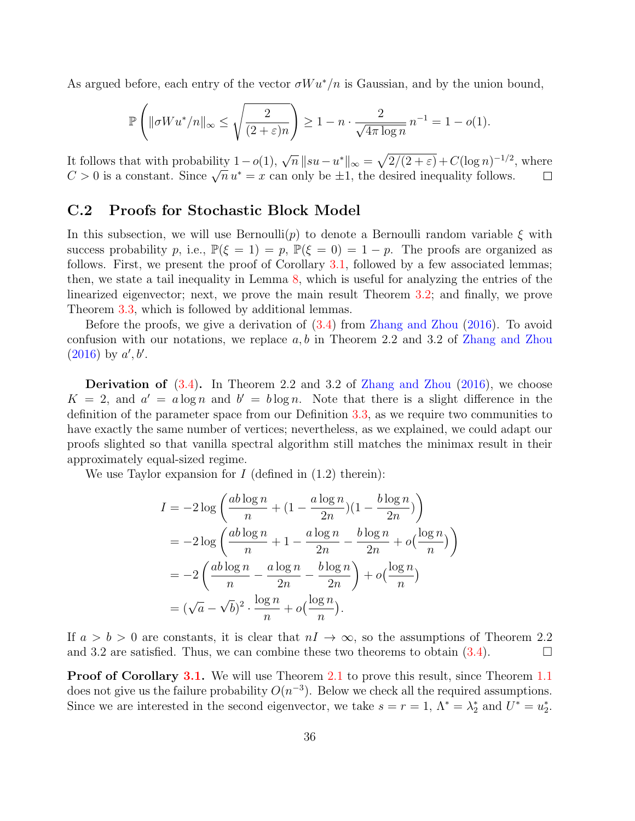As argued before, each entry of the vector  $\sigma W u^*/n$  is Gaussian, and by the union bound,

$$
\mathbb{P}\left(\|\sigma W u^*/n\|_{\infty} \le \sqrt{\frac{2}{(2+\varepsilon)n}}\right) \ge 1 - n \cdot \frac{2}{\sqrt{4\pi \log n}} n^{-1} = 1 - o(1).
$$

It follows that with probability  $1-o(1)$ ,  $\sqrt{n} ||su-u^*||_{\infty} = \sqrt{\frac{2}{2+\epsilon}} + C(\log n)^{-1/2}$ , where To constant with probability  $1 - o(1)$ ,  $\sqrt{n} ||s u - u||_{\infty} = \sqrt{2/(2 + \epsilon)} + C(\log n)$  (b)<br>  $C > 0$  is a constant. Since  $\sqrt{n} u^* = x$  can only be  $\pm 1$ , the desired inequality follows.  $\Box$ 

#### C.2 Proofs for Stochastic Block Model

In this subsection, we will use Bernoulli(p) to denote a Bernoulli random variable  $\xi$  with success probability p, i.e.,  $\mathbb{P}(\xi = 1) = p$ ,  $\mathbb{P}(\xi = 0) = 1 - p$ . The proofs are organized as follows. First, we present the proof of Corollary [3.1,](#page-16-0) followed by a few associated lemmas; then, we state a tail inequality in Lemma [8,](#page-37-0) which is useful for analyzing the entries of the linearized eigenvector; next, we prove the main result Theorem [3.2;](#page-15-2) and finally, we prove Theorem [3.3,](#page-17-0) which is followed by additional lemmas.

Before the proofs, we give a derivation of [\(3.4\)](#page-15-0) from [Zhang and Zhou](#page-57-3) [\(2016\)](#page-57-3). To avoid confusion with our notations, we replace  $a, b$  in Theorem 2.2 and 3.2 of [Zhang and Zhou](#page-57-3)  $(2016)$  by  $a', b'.$ 

**Derivation of**  $(3.4)$ . In Theorem 2.2 and 3.2 of [Zhang and Zhou](#page-57-3)  $(2016)$ , we choose  $K = 2$ , and  $a' = a \log n$  and  $b' = b \log n$ . Note that there is a slight difference in the definition of the parameter space from our Definition [3.3,](#page-15-1) as we require two communities to have exactly the same number of vertices; nevertheless, as we explained, we could adapt our proofs slighted so that vanilla spectral algorithm still matches the minimax result in their approximately equal-sized regime.

We use Taylor expansion for  $I$  (defined in  $(1.2)$  therein):

$$
I = -2\log\left(\frac{ab\log n}{n} + (1 - \frac{a\log n}{2n})(1 - \frac{b\log n}{2n})\right)
$$
  
= 
$$
-2\log\left(\frac{ab\log n}{n} + 1 - \frac{a\log n}{2n} - \frac{b\log n}{2n} + o\left(\frac{\log n}{n}\right)\right)
$$
  
= 
$$
-2\left(\frac{ab\log n}{n} - \frac{a\log n}{2n} - \frac{b\log n}{2n}\right) + o\left(\frac{\log n}{n}\right)
$$
  
= 
$$
(\sqrt{a} - \sqrt{b})^2 \cdot \frac{\log n}{n} + o\left(\frac{\log n}{n}\right).
$$

If  $a > b > 0$  are constants, it is clear that  $nI \rightarrow \infty$ , so the assumptions of Theorem 2.2 and 3.2 are satisfied. Thus, we can combine these two theorems to obtain  $(3.4)$ .

**Proof of Corollary [3.1.](#page-16-0)** We will use Theorem [2.1](#page-11-0) to prove this result, since Theorem [1.1](#page-5-0) does not give us the failure probability  $O(n^{-3})$ . Below we check all the required assumptions. Since we are interested in the second eigenvector, we take  $s = r = 1$ ,  $\Lambda^* = \lambda_2^*$  and  $U^* = u_2^*$ .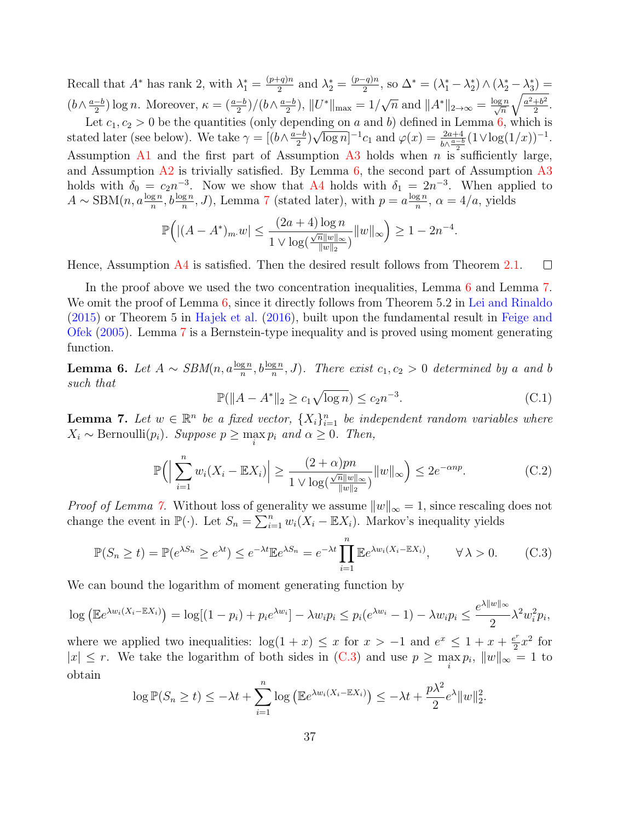Recall that  $A^*$  has rank 2, with  $\lambda_1^* = \frac{(p+q)n}{2}$  $\frac{(-q)n}{2}$  and  $\lambda_2^* = \frac{(p-q)n}{2}$  $\frac{(q)n}{2}$ , so  $\Delta^* = (\lambda_1^* - \lambda_2^*) \wedge (\lambda_2^* - \lambda_3^*) =$  $(b \wedge \frac{a-b}{2})$  $\frac{(-b)}{2}$ ) log *n*. Moreover,  $\kappa = \frac{a-b}{2}$  $/ (b \wedge \frac{a-b}{2})$  $\frac{1}{2}$ ,  $||U^*||_{\text{max}} = 1/\sqrt{n}$  and  $||A^*||_{2\to\infty} = \frac{\log n}{\sqrt{n}}$  $\int a^2+b^2$  $\frac{+b^2}{2}$ .

Let  $c_1, c_2 > 0$  be the quantities (only depending on a and b) defined in Lemma [6,](#page-36-0) which is stated later (see below). We take  $\gamma = [(b \wedge \frac{a-b}{2})]$  $\frac{-b}{2}$ ) $\sqrt{\log n}$ ]<sup>-1</sup>c<sub>1</sub> and  $\varphi(x) = \frac{2a+4}{b\wedge \frac{a-b}{2}} (1 \vee \log(1/x))^{-1}$ . Assumption [A1](#page-10-0) and the first part of Assumption [A3](#page-10-0) holds when n is sufficiently large, and Assumption  $A2$  is trivially satisfied. By Lemma [6,](#page-36-0) the second part of Assumption  $A3$ holds with  $\delta_0 = c_2 n^{-3}$ . Now we show that [A4](#page-10-1) holds with  $\delta_1 = 2n^{-3}$ . When applied to  $A \sim \text{SBM}(n, a\frac{\log n}{n}, b\frac{\log n}{n}, J)$ , Lemma [7](#page-36-1) (stated later), with  $p = a\frac{\log n}{n}$  $\frac{g n}{n}$ ,  $\alpha = 4/a$ , yields

$$
\mathbb{P}\Big(|(A - A^*)_{m}.w| \le \frac{(2a+4)\log n}{1 \vee \log(\frac{\sqrt{n}||w||_{\infty}}{||w||_2})} ||w||_{\infty} \Big) \ge 1 - 2n^{-4}.
$$

Hence, Assumption [A4](#page-10-1) is satisfied. Then the desired result follows from Theorem [2.1.](#page-11-0)  $\Box$ 

In the proof above we used the two concentration inequalities, Lemma [6](#page-36-0) and Lemma [7.](#page-36-1) We omit the proof of Lemma [6,](#page-36-0) since it directly follows from Theorem 5.2 in [Lei and Rinaldo](#page-55-12) [\(2015\)](#page-55-12) or Theorem 5 in [Hajek et al.](#page-54-3) [\(2016\)](#page-54-3), built upon the fundamental result in [Feige and](#page-53-14) [Ofek](#page-53-14) [\(2005\)](#page-53-14). Lemma [7](#page-36-1) is a Bernstein-type inequality and is proved using moment generating function.

<span id="page-36-0"></span>**Lemma 6.** Let  $A \sim \text{SBM}(n, a\frac{\log n}{n}, b\frac{\log n}{n}, J)$ . There exist  $c_1, c_2 > 0$  determined by a and b such that

$$
\mathbb{P}(\|A - A^*\|_2 \ge c_1 \sqrt{\log n}) \le c_2 n^{-3}.\tag{C.1}
$$

<span id="page-36-1"></span>**Lemma 7.** Let  $w \in \mathbb{R}^n$  be a fixed vector,  $\{X_i\}_{i=1}^n$  be independent random variables where  $X_i \sim \text{Bernoulli}(p_i)$ . Suppose  $p \ge \max_i p_i$  and  $\alpha \ge 0$ . Then,

$$
\mathbb{P}\Big(\Big|\sum_{i=1}^n w_i (X_i - \mathbb{E}X_i)\Big| \ge \frac{(2+\alpha)pn}{1 \vee \log(\frac{\sqrt{n}||w||_{\infty}}{||w||_2})} ||w||_{\infty}\Big) \le 2e^{-\alpha np}.\tag{C.2}
$$

*Proof of Lemma [7.](#page-36-1)* Without loss of generality we assume  $||w||_{\infty} = 1$ , since rescaling does not change the event in  $\mathbb{P}(\cdot)$ . Let  $S_n = \sum_{i=1}^n w_i (X_i - \mathbb{E}X_i)$ . Markov's inequality yields

<span id="page-36-2"></span>
$$
\mathbb{P}(S_n \ge t) = \mathbb{P}(e^{\lambda S_n} \ge e^{\lambda t}) \le e^{-\lambda t} \mathbb{E}e^{\lambda S_n} = e^{-\lambda t} \prod_{i=1}^n \mathbb{E}e^{\lambda w_i (X_i - \mathbb{E}X_i)}, \qquad \forall \lambda > 0. \tag{C.3}
$$

We can bound the logarithm of moment generating function by

$$
\log \left( \mathbb{E} e^{\lambda w_i (X_i - \mathbb{E} X_i)} \right) = \log[(1 - p_i) + p_i e^{\lambda w_i}] - \lambda w_i p_i \le p_i (e^{\lambda w_i} - 1) - \lambda w_i p_i \le \frac{e^{\lambda ||w||_{\infty}}}{2} \lambda^2 w_i^2 p_i,
$$

where we applied two inequalities:  $\log(1+x) \leq x$  for  $x > -1$  and  $e^x \leq 1 + x + \frac{e^x}{2}$  $\frac{e^r}{2}x^2$  for  $|x| \leq r$ . We take the logarithm of both sides in [\(C.3\)](#page-36-2) and use  $p \geq \max_i p_i$ ,  $||w||_{\infty} = 1$  to obtain

$$
\log \mathbb{P}(S_n \ge t) \le -\lambda t + \sum_{i=1}^n \log \left( \mathbb{E} e^{\lambda w_i (X_i - \mathbb{E} X_i)} \right) \le -\lambda t + \frac{p\lambda^2}{2} e^{\lambda} ||w||_2^2.
$$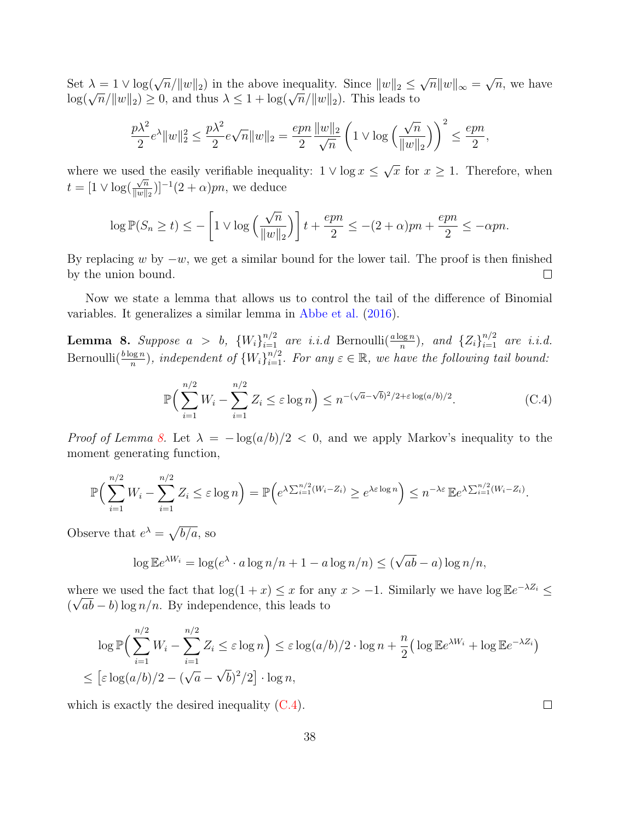Set  $\lambda = 1 \vee \log(\sqrt{n}/\|w\|_2)$  in the above inequality. Since  $\|w\|_2 \leq$ √  $\overline{n}$ || $w$ || $\infty =$ √  $\overline{n}$ , we have Log( $\sqrt{n}/||w||_2 \geq 0$ , and thus  $\lambda \leq 1 + \log(\sqrt{n}/||w||_2)$ . This leads to

$$
\frac{p\lambda^2}{2}e^{\lambda}||w||_2^2 \le \frac{p\lambda^2}{2}e^{\sqrt{n}}||w||_2 = \frac{epn}{2}\frac{||w||_2}{\sqrt{n}}\left(1 \vee \log\left(\frac{\sqrt{n}}{||w||_2}\right)\right)^2 \le \frac{epn}{2},
$$

where we used the easily verifiable inequality:  $1 \vee \log x \leq$ √ ed the easily verifiable inequality:  $1 \vee \log x \leq \sqrt{x}$  for  $x \geq 1$ . Therefore, when  $t = [1 \vee \log(\frac{\sqrt{n}}{\log n})]$  $\frac{\sqrt{n}}{\|w\|_2}$ )]<sup>-1</sup>(2 +  $\alpha$ )*pn*, we deduce

$$
\log \mathbb{P}(S_n \ge t) \le -\left[1 \vee \log\left(\frac{\sqrt{n}}{\|w\|_2}\right)\right]t + \frac{epn}{2} \le -(2+\alpha)pn + \frac{epn}{2} \le -\alpha pn.
$$

By replacing w by  $-w$ , we get a similar bound for the lower tail. The proof is then finished by the union bound.  $\Box$ 

Now we state a lemma that allows us to control the tail of the difference of Binomial variables. It generalizes a similar lemma in [Abbe et al.](#page-51-1) [\(2016\)](#page-51-1).

<span id="page-37-0"></span>**Lemma 8.** Suppose  $a > b$ ,  ${W_i}_{i=1}^{n/2}$  are i.i.d Bernoulli $(\frac{a \log n}{n})$ , and  ${Z_i}_{i=1}^{n/2}$  are i.i.d. Bernoulli $(\frac{b \log n}{n})$ , independent of  $\{W_i\}_{i=1}^{n/2}$ . For any  $\varepsilon \in \mathbb{R}$ , we have the following tail bound:

<span id="page-37-1"></span>
$$
\mathbb{P}\Big(\sum_{i=1}^{n/2} W_i - \sum_{i=1}^{n/2} Z_i \le \varepsilon \log n\Big) \le n^{-(\sqrt{a}-\sqrt{b})^2/2 + \varepsilon \log(a/b)/2}.\tag{C.4}
$$

*Proof of Lemma [8.](#page-37-0)* Let  $\lambda = -\log(a/b)/2 < 0$ , and we apply Markov's inequality to the moment generating function,

$$
\mathbb{P}\Big(\sum_{i=1}^{n/2}W_i-\sum_{i=1}^{n/2}Z_i\leq \varepsilon\log n\Big)=\mathbb{P}\Big(e^{\lambda\sum_{i=1}^{n/2}(W_i-Z_i)}\geq e^{\lambda\varepsilon\log n}\Big)\leq n^{-\lambda\varepsilon}\,\mathbb{E}e^{\lambda\sum_{i=1}^{n/2}(W_i-Z_i)}.
$$

Observe that  $e^{\lambda} = \sqrt{b/a}$ , so

$$
\log \mathbb{E}e^{\lambda W_i} = \log(e^{\lambda} \cdot a \log n/n + 1 - a \log n/n) \le (\sqrt{ab} - a) \log n/n,
$$

where we used the fact that  $\log(1+x) \leq x$  for any  $x > -1$ . Similarly we have  $\log \mathbb{E}e^{-\lambda Z_i} \leq$  $(\sqrt{ab} - b) \log n/n$ . By independence, this leads to

$$
\log \mathbb{P}\Big(\sum_{i=1}^{n/2} W_i - \sum_{i=1}^{n/2} Z_i \le \varepsilon \log n\Big) \le \varepsilon \log(a/b)/2 \cdot \log n + \frac{n}{2} \Big(\log \mathbb{E}e^{\lambda W_i} + \log \mathbb{E}e^{-\lambda Z_i}\Big)
$$
  

$$
\le \left[\varepsilon \log(a/b)/2 - (\sqrt{a} - \sqrt{b})^2/2\right] \cdot \log n,
$$

which is exactly the desired inequality  $(C.4)$ .

 $\Box$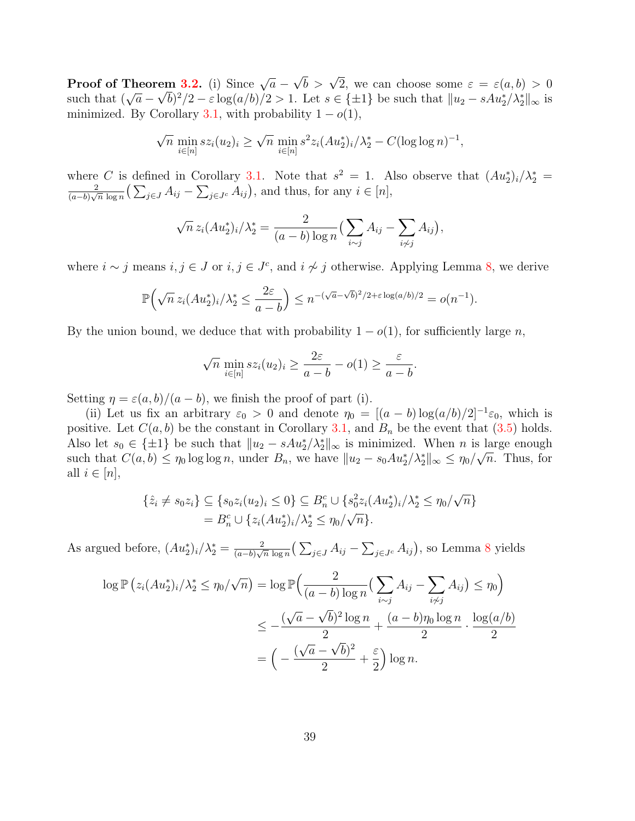**Proof of Theorem [3.2.](#page-15-2)** (i) Since  $\sqrt{a}$  – **em 3.2.** (i) Since  $\sqrt{a} - \sqrt{b} > \sqrt{2}$ , we can choose some  $\varepsilon = \varepsilon(a, b) > 0$ **FIGURE THEST SISTEM** 1.2. (1) Since  $\sqrt{a} - \sqrt{b}$  >  $\sqrt{2}$ , we can choose some  $\varepsilon = \varepsilon(a, b) > 0$ <br>such that  $(\sqrt{a} - \sqrt{b})^2/2 - \varepsilon \log(a/b)/2 > 1$ . Let  $s \in \{\pm 1\}$  be such that  $||u_2 - sAu_2^*/\lambda_2^*||_{\infty}$  is minimized. By Corollary [3.1,](#page-16-0) with probability  $1 - o(1)$ ,

$$
\sqrt{n} \min_{i \in [n]} s z_i(u_2)_i \ge \sqrt{n} \min_{i \in [n]} s^2 z_i (Au_2^*)_i / \lambda_2^* - C(\log \log n)^{-1},
$$

where C is defined in Corollary [3.1.](#page-16-0) Note that  $s^2 = 1$ . Also observe that  $(Au_2^*)_i/\lambda_2^* =$ 2  $\frac{2}{(a-b)\sqrt{n}\log n} \left( \sum_{j\in J} A_{ij} - \sum_{j\in J^c} A_{ij} \right)$ , and thus, for any  $i \in [n]$ ,

$$
\sqrt{n} z_i (Au_2^*)_i / \lambda_2^* = \frac{2}{(a-b)\log n} \left( \sum_{i \sim j} A_{ij} - \sum_{i \not\sim j} A_{ij} \right),
$$

where  $i \sim j$  means  $i, j \in J$  or  $i, j \in J^c$ , and  $i \not\sim j$  otherwise. Applying Lemma [8,](#page-37-0) we derive

$$
\mathbb{P}\left(\sqrt{n}\,z_i(Au_2^*)_i/\lambda_2^*\leq \frac{2\varepsilon}{a-b}\right)\leq n^{-(\sqrt{a}-\sqrt{b})^2/2+\varepsilon\log(a/b)/2}=o(n^{-1}).
$$

By the union bound, we deduce that with probability  $1 - o(1)$ , for sufficiently large n,

$$
\sqrt{n} \min_{i \in [n]} s z_i (u_2)_i \ge \frac{2\varepsilon}{a - b} - o(1) \ge \frac{\varepsilon}{a - b}.
$$

Setting  $\eta = \varepsilon(a, b)/(a - b)$ , we finish the proof of part (i).

(ii) Let us fix an arbitrary  $\varepsilon_0 > 0$  and denote  $\eta_0 = [(a - b) \log(a/b)/2]^{-1} \varepsilon_0$ , which is positive. Let  $C(a, b)$  be the constant in Corollary [3.1,](#page-16-0) and  $B_n$  be the event that [\(3.5\)](#page-16-1) holds. Also let  $s_0 \in {\pm 1}$  be such that  $||u_2 - sAu_2^*/\lambda_2^*||_{\infty}$  is minimized. When n is large enough such that  $C(a, b) \leq \eta_0 \log \log n$ , under  $B_n$ , we have  $||u_2 - s_0 A u_2^* / \lambda_2^*||_{\infty} \leq \eta_0 / \sqrt{n}$ . Thus, for all  $i \in [n]$ ,

$$
\{\hat{z}_i \neq s_0 z_i\} \subseteq \{s_0 z_i (u_2)_i \leq 0\} \subseteq B_n^c \cup \{s_0^2 z_i (Au_2^*)_i/\lambda_2^* \leq \eta_0/\sqrt{n}\}
$$
  
=  $B_n^c \cup \{z_i (Au_2^*)_i/\lambda_2^* \leq \eta_0/\sqrt{n}\}.$ 

As argued before,  $(Au_2^*)_i/\lambda_2^* = \frac{2}{(a-b)\sqrt{2}}$  $\frac{2}{(a-b)\sqrt{n}\log n}(\sum_{j\in J}A_{ij}-\sum_{j\in J^c}A_{ij}),$  so Lemma [8](#page-37-0) yields

$$
\log \mathbb{P}\left(z_i(Au_2^*)_i/\lambda_2^* \le \eta_0/\sqrt{n}\right) = \log \mathbb{P}\left(\frac{2}{(a-b)\log n}\left(\sum_{i\sim j} A_{ij} - \sum_{i\neq j} A_{ij}\right) \le \eta_0\right)
$$
  

$$
\le -\frac{(\sqrt{a}-\sqrt{b})^2\log n}{2} + \frac{(a-b)\eta_0\log n}{2} \cdot \frac{\log(a/b)}{2}
$$
  

$$
= \left(-\frac{(\sqrt{a}-\sqrt{b})^2}{2} + \frac{\varepsilon}{2}\right)\log n.
$$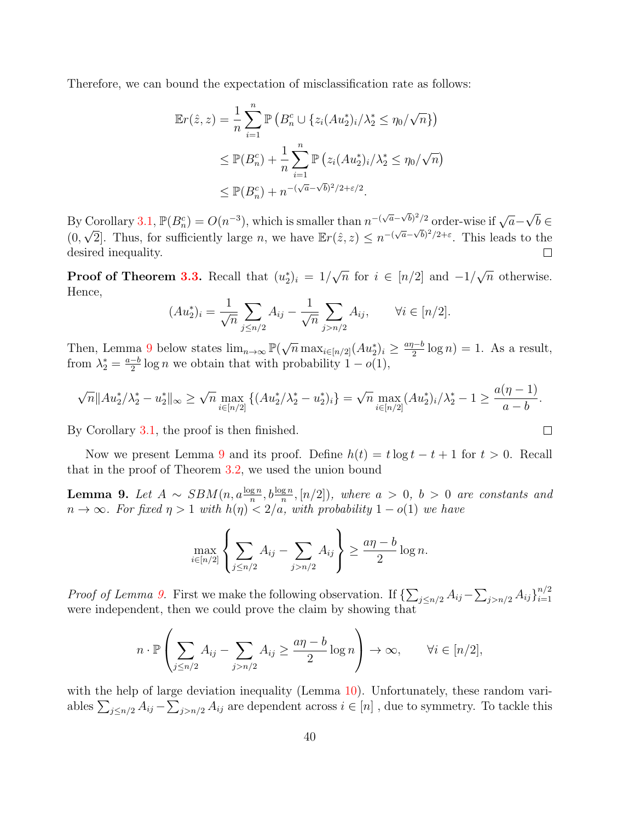Therefore, we can bound the expectation of misclassification rate as follows:

$$
\mathbb{E}r(\hat{z}, z) = \frac{1}{n} \sum_{i=1}^{n} \mathbb{P} \left( B_n^c \cup \{ z_i (Au_2^*)_i / \lambda_2^* \le \eta_0 / \sqrt{n} \} \right)
$$
  
\n
$$
\le \mathbb{P}(B_n^c) + \frac{1}{n} \sum_{i=1}^{n} \mathbb{P} \left( z_i (Au_2^*)_i / \lambda_2^* \le \eta_0 / \sqrt{n} \right)
$$
  
\n
$$
\le \mathbb{P}(B_n^c) + n^{-(\sqrt{a} - \sqrt{b})^2 / 2 + \varepsilon / 2}.
$$

√ By Corollary [3.1,](#page-16-0)  $\mathbb{P}(B_n^c) = O(n^{-3})$ , which is smaller than  $n^{-(\sqrt{a}-\sqrt{b})^2/2}$  order-wise if  $\sqrt{a}-$ Corollary 3.1,  $\mathbb{P}(B_n^c) = O(n^{-3})$ , which is smaller than  $n^{-(\sqrt{a}-\sqrt{b})^2/2}$  order-wise if  $\sqrt{a}-\sqrt{b} \in \mathbb{R}^3$ .  $(0, \sqrt{2}]$ . Thus, for sufficiently large n, we have  $\mathbb{E}r(\hat{z}, z) \leq n^{-(\sqrt{a}-\sqrt{b})^2/2+\varepsilon}$ . This leads to the desired inequality. Г

**Proof of Theorem [3.3.](#page-17-0)** Recall that  $(u_2^*)_i = 1/$ √  $\overline{n}$  for  $i \in [n/2]$  and  $-1/$ √  $\overline{n}$  otherwise. Hence,

$$
(Au_2^*)_i = \frac{1}{\sqrt{n}} \sum_{j \le n/2} A_{ij} - \frac{1}{\sqrt{n}} \sum_{j > n/2} A_{ij}, \qquad \forall i \in [n/2].
$$

Then, Lemma [9](#page-39-0) below states  $\lim_{n\to\infty} \mathbb{P}(\sqrt{n} \max_{i\in[n/2]} (Au_2^*)_i \ge \frac{a\eta - b}{2}$  $\frac{p-b}{2} \log n$  = 1. As a result, from  $\lambda_2^* = \frac{a-b}{2}$  $\frac{-b}{2}$  log *n* we obtain that with probability  $1 - o(1)$ ,

$$
\sqrt{n}||Au_2^*/\lambda_2^*-u_2^*||_{\infty} \ge \sqrt{n} \max_{i \in [n/2]} \left\{ (Au_2^*/\lambda_2^*-u_2^*)_i \right\} = \sqrt{n} \max_{i \in [n/2]} (Au_2^*)_i/\lambda_2^*-1 \ge \frac{a(\eta-1)}{a-b}.
$$

 $\Box$ 

By Corollary [3.1,](#page-16-0) the proof is then finished.

Now we present Lemma [9](#page-39-0) and its proof. Define  $h(t) = t \log t - t + 1$  for  $t > 0$ . Recall that in the proof of Theorem [3.2,](#page-15-2) we used the union bound

<span id="page-39-0"></span>**Lemma 9.** Let  $A \sim \text{SBM}(n, a\frac{\log n}{n}, b\frac{\log n}{n}, [n/2])$ , where  $a > 0$ ,  $b > 0$  are constants and  $n \to \infty$ . For fixed  $\eta > 1$  with  $h(\eta) < 2/a$ , with probability  $1 - o(1)$  we have

$$
\max_{i\in[n/2]}\left\{\sum_{j\leq n/2}A_{ij}-\sum_{j>n/2}A_{ij}\right\}\geq \frac{a\eta-b}{2}\log n.
$$

*Proof of Lemma [9.](#page-39-0)* First we make the following observation. If  $\{\sum_{j\leq n/2} A_{ij} - \sum_{j>n/2} A_{ij}\}_{i=1}^{n/2}$  $i=1$ were independent, then we could prove the claim by showing that

$$
n \cdot \mathbb{P}\left(\sum_{j \le n/2} A_{ij} - \sum_{j>n/2} A_{ij} \ge \frac{a\eta - b}{2} \log n\right) \to \infty, \qquad \forall i \in [n/2],
$$

with the help of large deviation inequality (Lemma [10\)](#page-41-0). Unfortunately, these random variables  $\sum_{j\leq n/2} A_{ij} - \sum_{j>n/2} A_{ij}$  are dependent across  $i \in [n]$ , due to symmetry. To tackle this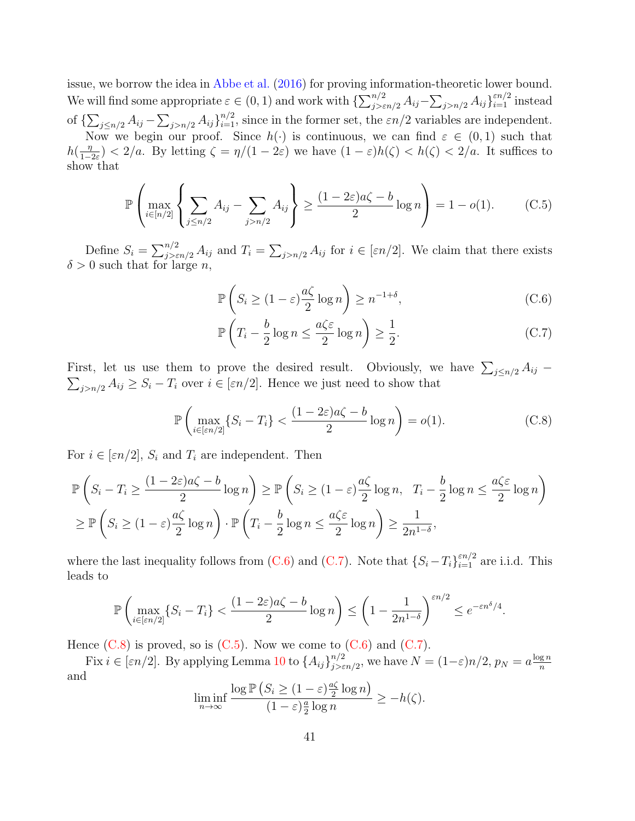issue, we borrow the idea in [Abbe et al.](#page-51-1) [\(2016\)](#page-51-1) for proving information-theoretic lower bound. We will find some appropriate  $\varepsilon \in (0,1)$  and work with  $\{\sum_{j>\varepsilon n/2}^{n/2} A_{ij} - \sum_{j>n/2} A_{ij}\}_{i=1}^{\varepsilon n/2}$  instead of  $\{\sum_{j\leq n/2} A_{ij} - \sum_{j>n/2} A_{ij}\}_{i=1}^{n/2}$ , since in the former set, the  $\varepsilon n/2$  variables are independent. Now we begin our proof. Since  $h(\cdot)$  is continuous, we can find  $\varepsilon \in (0,1)$  such that  $h\left(\frac{\eta}{1-\eta}\right)$  $\frac{\eta}{1-2\varepsilon}$   $\leq$  2/a. By letting  $\zeta = \eta/(1-2\varepsilon)$  we have  $(1-\varepsilon)h(\zeta) < h(\zeta) < 2/a$ . It suffices to show that

$$
\mathbb{P}\left(\max_{i \in [n/2]} \left\{ \sum_{j \le n/2} A_{ij} - \sum_{j > n/2} A_{ij} \right\} \ge \frac{(1 - 2\varepsilon)a\zeta - b}{2} \log n \right) = 1 - o(1). \tag{C.5}
$$

Define  $S_i = \sum_{j>\varepsilon n/2}^{n/2} A_{ij}$  and  $T_i = \sum_{j>n/2} A_{ij}$  for  $i \in [\varepsilon n/2]$ . We claim that there exists  $\delta > 0$  such that for large n,

<span id="page-40-3"></span><span id="page-40-0"></span>
$$
\mathbb{P}\left(S_i \ge (1-\varepsilon)\frac{a\zeta}{2}\log n\right) \ge n^{-1+\delta},\tag{C.6}
$$

<span id="page-40-2"></span><span id="page-40-1"></span>
$$
\mathbb{P}\left(T_i - \frac{b}{2}\log n \le \frac{a\zeta\varepsilon}{2}\log n\right) \ge \frac{1}{2}.\tag{C.7}
$$

First, let us use them to prove the desired result. Obviously, we have  $\sum_{j \leq n/2} A_{ij}$  $\sum_{j>n/2} A_{ij} \geq S_i - T_i$  over  $i \in [\varepsilon n/2]$ . Hence we just need to show that

$$
\mathbb{P}\left(\max_{i\in[\varepsilon n/2]} \{S_i - T_i\} < \frac{(1 - 2\varepsilon)a\zeta - b}{2}\log n\right) = o(1). \tag{C.8}
$$

For  $i \in [\varepsilon n/2], S_i$  and  $T_i$  are independent. Then

$$
\mathbb{P}\left(S_i - T_i \ge \frac{(1 - 2\varepsilon)a\zeta - b}{2}\log n\right) \ge \mathbb{P}\left(S_i \ge (1 - \varepsilon)\frac{a\zeta}{2}\log n, T_i - \frac{b}{2}\log n \le \frac{a\zeta\varepsilon}{2}\log n\right)
$$
  

$$
\ge \mathbb{P}\left(S_i \ge (1 - \varepsilon)\frac{a\zeta}{2}\log n\right) \cdot \mathbb{P}\left(T_i - \frac{b}{2}\log n \le \frac{a\zeta\varepsilon}{2}\log n\right) \ge \frac{1}{2n^{1 - \delta}},
$$

where the last inequality follows from [\(C.6\)](#page-40-0) and [\(C.7\)](#page-40-1). Note that  $\{S_i - T_i\}_{i=1}^{\varepsilon n/2}$  are i.i.d. This leads to

$$
\mathbb{P}\left(\max_{i\in[\varepsilon n/2]} \{S_i-T_i\} < \frac{(1-2\varepsilon)a\zeta - b}{2}\log n\right) \le \left(1-\frac{1}{2n^{1-\delta}}\right)^{\varepsilon n/2} \le e^{-\varepsilon n^{\delta}/4}.
$$

Hence  $(C.8)$  is proved, so is  $(C.5)$ . Now we come to  $(C.6)$  and  $(C.7)$ .

Fix  $i \in [\varepsilon n/2]$ . By applying Lemma [10](#page-41-0) to  $\{A_{ij}\}_{i>\varepsilon}^{n/2}$  $\sum_{j>\varepsilon n/2}^{n/2}$ , we have  $N=(1-\varepsilon)n/2$ ,  $p_N=a\frac{\log n}{n}$ n and

$$
\liminf_{n \to \infty} \frac{\log \mathbb{P}\left(S_i \ge (1-\varepsilon)\frac{a\zeta}{2}\log n\right)}{(1-\varepsilon)\frac{a}{2}\log n} \ge -h(\zeta).
$$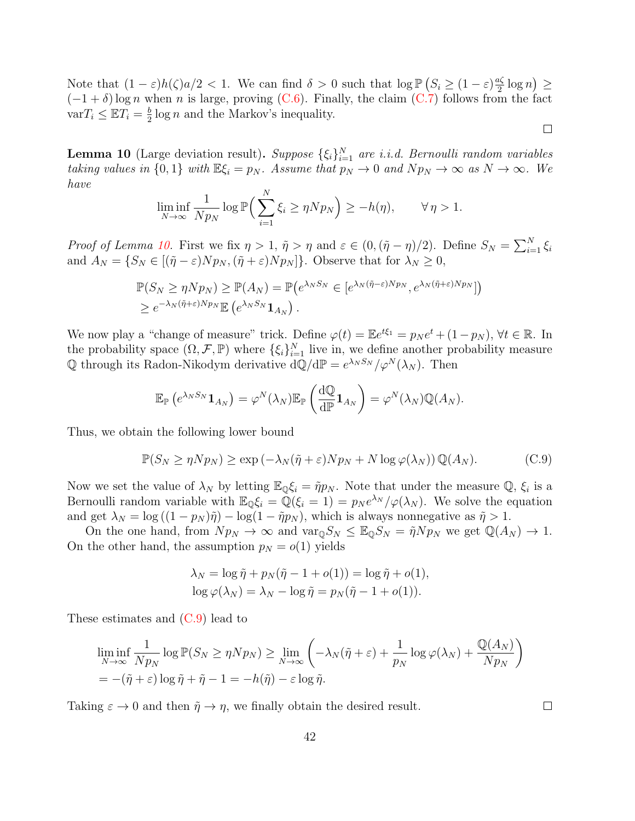Note that  $(1 - \varepsilon)h(\zeta)a/2 < 1$ . We can find  $\delta > 0$  such that  $\log \mathbb{P}\left(S_i \geq (1 - \varepsilon)\frac{a\zeta}{2}\right)$  $\frac{2\zeta}{2}\log n$ )  $\geq$  $(-1+\delta)\log n$  when n is large, proving [\(C.6\)](#page-40-0). Finally, the claim [\(C.7\)](#page-40-1) follows from the fact  $varT_i \leq \mathbb{E}T_i = \frac{b}{2}$  $\frac{b}{2}$  log *n* and the Markov's inequality.

<span id="page-41-0"></span>**Lemma 10** (Large deviation result). Suppose  $\{\xi_i\}_{i=1}^N$  are i.i.d. Bernoulli random variables taking values in  $\{0,1\}$  with  $\mathbb{E}\xi_i = p_N$ . Assume that  $p_N \to 0$  and  $Np_N \to \infty$  as  $N \to \infty$ . We have

$$
\liminf_{N \to \infty} \frac{1}{N p_N} \log \mathbb{P} \Big( \sum_{i=1}^N \xi_i \ge \eta N p_N \Big) \ge -h(\eta), \qquad \forall \eta > 1.
$$

*Proof of Lemma [10.](#page-41-0)* First we fix  $\eta > 1$ ,  $\tilde{\eta} > \eta$  and  $\varepsilon \in (0, (\tilde{\eta} - \eta)/2)$ . Define  $S_N = \sum_{i=1}^N \xi_i$ and  $A_N = \{S_N \in [(\tilde{\eta} - \varepsilon)Np_N, (\tilde{\eta} + \varepsilon)Np_N]\}\.$  Observe that for  $\lambda_N \geq 0$ ,

$$
\mathbb{P}(S_N \ge \eta N p_N) \ge \mathbb{P}(A_N) = \mathbb{P}(e^{\lambda_N S_N} \in [e^{\lambda_N (\tilde{\eta} - \varepsilon) N p_N}, e^{\lambda_N (\tilde{\eta} + \varepsilon) N p_N}])
$$
  

$$
\ge e^{-\lambda_N (\tilde{\eta} + \varepsilon) N p_N} \mathbb{E}(e^{\lambda_N S_N} \mathbf{1}_{A_N}).
$$

We now play a "change of measure" trick. Define  $\varphi(t) = \mathbb{E}e^{t\xi_1} = p_N e^t + (1-p_N)$ ,  $\forall t \in \mathbb{R}$ . In the probability space  $(\Omega, \mathcal{F}, \mathbb{P})$  where  $\{\xi_i\}_{i=1}^N$  live in, we define another probability measure Q through its Radon-Nikodym derivative  $dQ/dP = e^{\lambda_N S_N}/\varphi^N(\lambda_N)$ . Then

$$
\mathbb{E}_{\mathbb{P}}\left(e^{\lambda_N S_N}\mathbf{1}_{A_N}\right)=\varphi^N(\lambda_N)\mathbb{E}_{\mathbb{P}}\left(\frac{\mathrm{d}\mathbb{Q}}{\mathrm{d}\mathbb{P}}\mathbf{1}_{A_N}\right)=\varphi^N(\lambda_N)\mathbb{Q}(A_N).
$$

Thus, we obtain the following lower bound

$$
\mathbb{P}(S_N \ge \eta N p_N) \ge \exp(-\lambda_N(\tilde{\eta} + \varepsilon) N p_N + N \log \varphi(\lambda_N)) \mathbb{Q}(A_N).
$$
 (C.9)

Now we set the value of  $\lambda_N$  by letting  $\mathbb{E}_{\mathbb{Q}}\xi_i = \tilde{\eta}p_N$ . Note that under the measure  $\mathbb{Q}, \xi_i$  is a Bernoulli random variable with  $\mathbb{E}_{\mathbb{Q}}\xi_i = \mathbb{Q}(\xi_i = 1) = p_N e^{\lambda_N}/\varphi(\lambda_N)$ . We solve the equation and get  $\lambda_N = \log((1 - p_N)\tilde{\eta}) - \log(1 - \tilde{\eta}p_N)$ , which is always nonnegative as  $\tilde{\eta} > 1$ .

On the one hand, from  $Np_N \to \infty$  and  $\text{var}_{\mathbb{Q}} S_N \leq \mathbb{E}_{\mathbb{Q}} S_N = \tilde{\eta} Np_N$  we get  $\mathbb{Q}(A_N) \to 1$ . On the other hand, the assumption  $p_N = o(1)$  yields

$$
\lambda_N = \log \tilde{\eta} + p_N(\tilde{\eta} - 1 + o(1)) = \log \tilde{\eta} + o(1),
$$
  

$$
\log \varphi(\lambda_N) = \lambda_N - \log \tilde{\eta} = p_N(\tilde{\eta} - 1 + o(1)).
$$

These estimates and [\(C.9\)](#page-41-1) lead to

$$
\liminf_{N \to \infty} \frac{1}{N p_N} \log \mathbb{P}(S_N \ge \eta N p_N) \ge \lim_{N \to \infty} \left( -\lambda_N(\tilde{\eta} + \varepsilon) + \frac{1}{p_N} \log \varphi(\lambda_N) + \frac{\mathbb{Q}(A_N)}{N p_N} \right)
$$
  
=  $-(\tilde{\eta} + \varepsilon) \log \tilde{\eta} + \tilde{\eta} - 1 = -h(\tilde{\eta}) - \varepsilon \log \tilde{\eta}.$ 

Taking  $\varepsilon \to 0$  and then  $\tilde{\eta} \to \eta$ , we finally obtain the desired result.

<span id="page-41-1"></span> $\Box$ 

 $\Box$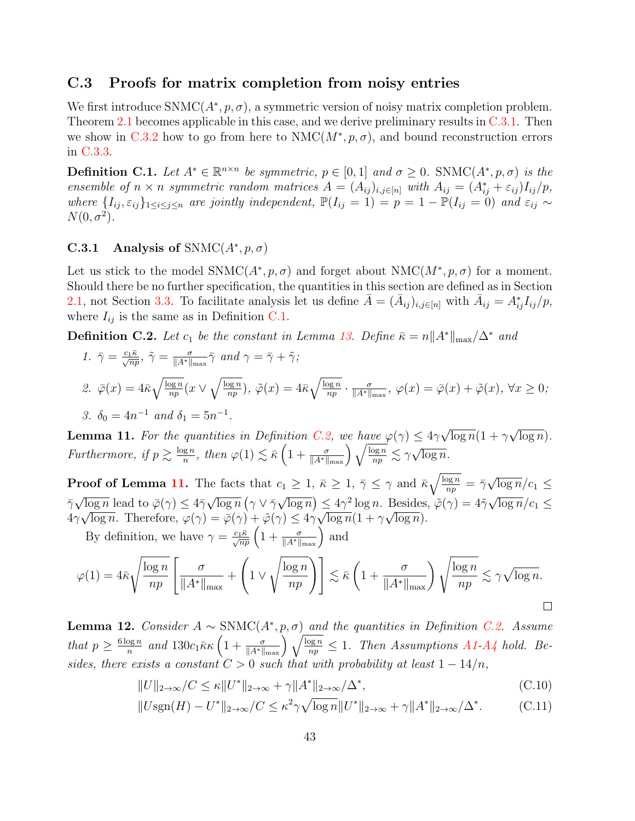#### C.3 Proofs for matrix completion from noisy entries

We first introduce  $SNNC(A^*, p, \sigma)$ , a symmetric version of noisy matrix completion problem. Theorem [2.1](#page-11-0) becomes applicable in this case, and we derive preliminary results in  $C.3.1$ . Then we show in [C.3.2](#page-45-0) how to go from here to  $NMC(M^*, p, \sigma)$ , and bound reconstruction errors in [C.3.3.](#page-46-0)

<span id="page-42-1"></span>**Definition C.1.** Let  $A^* \in \mathbb{R}^{n \times n}$  be symmetric,  $p \in [0, 1]$  and  $\sigma \geq 0$ . SNMC $(A^*, p, \sigma)$  is the ensemble of  $n \times n$  symmetric random matrices  $A = (A_{ij})_{i,j \in [n]}$  with  $A_{ij} = (A_{ij}^* + \varepsilon_{ij})I_{ij}/p$ , where  $\{I_{ij}, \varepsilon_{ij}\}_{1\leq i\leq j\leq n}$  are jointly independent,  $\mathbb{P}(I_{ij} = 1) = p = 1 - \mathbb{P}(I_{ij} = 0)$  and  $\varepsilon_{ij} \sim$  $N(0, \sigma^2)$ .

### <span id="page-42-0"></span>C.3.1 Analysis of SNMC $(A^*, p, \sigma)$

Let us stick to the model SNMC( $A^*, p, \sigma$ ) and forget about NMC( $M^*, p, \sigma$ ) for a moment. Should there be no further specification, the quantities in this section are defined as in Section [2.1,](#page-9-0) not Section [3.3.](#page-17-1) To facilitate analysis let us define  $\bar{A} = (\bar{A}_{ij})_{i,j \in [n]}$  with  $\bar{A}_{ij} = A_{ij}^* I_{ij}/p$ , where  $I_{ij}$  is the same as in Definition [C.1.](#page-42-1)

<span id="page-42-2"></span>**Definition C.2.** Let  $c_1$  be the constant in Lemma [13.](#page-43-0) Define  $\bar{\kappa} = n||A^*||_{\max}/\Delta^*$  and

1. 
$$
\bar{\gamma} = \frac{c_1 \bar{\kappa}}{\sqrt{np}}, \ \tilde{\gamma} = \frac{\sigma}{\|A^*\|_{\max}} \bar{\gamma} \text{ and } \gamma = \bar{\gamma} + \tilde{\gamma};
$$
  
\n2.  $\bar{\varphi}(x) = 4\bar{\kappa} \sqrt{\frac{\log n}{np}} (x \vee \sqrt{\frac{\log n}{np}}), \ \tilde{\varphi}(x) = 4\bar{\kappa} \sqrt{\frac{\log n}{np}} \cdot \frac{\sigma}{\|A^*\|_{\max}}, \ \varphi(x) = \bar{\varphi}(x) + \tilde{\varphi}(x), \ \forall x \ge 0;$   
\n3.  $\delta_0 = 4n^{-1} \text{ and } \delta_1 = 5n^{-1}.$ 

<span id="page-42-3"></span>**Lemma 11.** For the quantities in Definition [C.2,](#page-42-2) we have  $\varphi(\gamma) \leq 4\gamma$  $\overline{\log n}(1 + \gamma$  $\overline{\log n}$ ). Furthermore, if  $p \geq \frac{\log n}{n}$  $\frac{g_n}{m}$ , then  $\varphi(1) \lesssim \bar{\kappa} \left(1 + \frac{\sigma}{\|A^*\|_{\max}}\right) \sqrt{\frac{\log n}{np}} \lesssim \gamma \sqrt{\frac{\log n}{np}}$  $\overline{\log n}$ .

**Proof of Lemma [11.](#page-42-3)** The facts that  $c_1 \geq 1$ ,  $\bar{\kappa} \geq 1$ ,  $\bar{\gamma} \leq \gamma$  and  $\bar{\kappa}\sqrt{\frac{\log n}{nn}}$  $\frac{\log n}{np} = \bar{\gamma}$ √  $\overline{\log n}/c_1 \leq$  $\bar{\gamma}$ √  $\overline{\log n}$  lead to  $\bar{\varphi}(\gamma) \leq 4\bar{\gamma}$ √  $\overline{\log n}$  (  $\gamma \vee \bar{\gamma}$ √  $\overline{\log n}$ )  $\leq 4\gamma^2 \log n$ . Besides,  $\tilde{\varphi}(\gamma) = 4\tilde{\gamma}$  $^{\prime}$  $\sqrt{\log n}$  lead to  $\overline{\varphi}(\gamma) \leq 4\overline{\gamma}\sqrt{\log n} \left(\gamma \vee \overline{\gamma}\sqrt{\log n}\right) \leq 4\gamma^2 \log n$ . Besides,  $\tilde{\varphi}(\gamma) = 4\tilde{\gamma}\sqrt{\log n}/c_1 \leq$  $4\gamma\sqrt{\log n}$ . Therefore,  $\varphi(\gamma) = \bar{\varphi}(\gamma) + \tilde{\varphi}(\gamma) \le 4\gamma\sqrt{\log n}(1 + \gamma\sqrt{\log n})$ . By definition, we have  $\gamma = \frac{c_1 \bar{\kappa}}{\sqrt{np}} \left( 1 + \frac{\sigma}{\|A^*\|_{\max}} \right)$  and

$$
\varphi(1) = 4\bar{\kappa} \sqrt{\frac{\log n}{np}} \left[ \frac{\sigma}{\|A^*\|_{\max}} + \left( 1 \vee \sqrt{\frac{\log n}{np}} \right) \right] \lesssim \bar{\kappa} \left( 1 + \frac{\sigma}{\|A^*\|_{\max}} \right) \sqrt{\frac{\log n}{np}} \lesssim \gamma \sqrt{\log n}.
$$

<span id="page-42-4"></span>**Lemma 12.** Consider  $A \sim \text{SNMC}(A^*, p, \sigma)$  and the quantities in Definition [C.2.](#page-42-2) Assume that  $p \geq \frac{6 \log n}{n}$  $\frac{\log n}{n}$  and  $130c_1 \bar{\kappa} \kappa \left(1+\frac{\sigma}{\|A^*\|_{\max}}\right)\sqrt{\frac{\log n}{np}} \leq 1$ . Then Assumptions [A1-](#page-10-0)[A4](#page-10-1) hold. Besides, there exists a constant  $C > 0$  such that with probability at least  $1 - 14/n$ ,

<span id="page-42-5"></span>
$$
||U||_{2\to\infty}/C \le \kappa ||U^*||_{2\to\infty} + \gamma ||A^*||_{2\to\infty}/\Delta^*,
$$
\n(C.10)

<span id="page-42-6"></span>
$$
||U\text{sgn}(H) - U^*||_{2 \to \infty}/C \le \kappa^2 \gamma \sqrt{\log n} ||U^*||_{2 \to \infty} + \gamma ||A^*||_{2 \to \infty}/\Delta^*.
$$
 (C.11)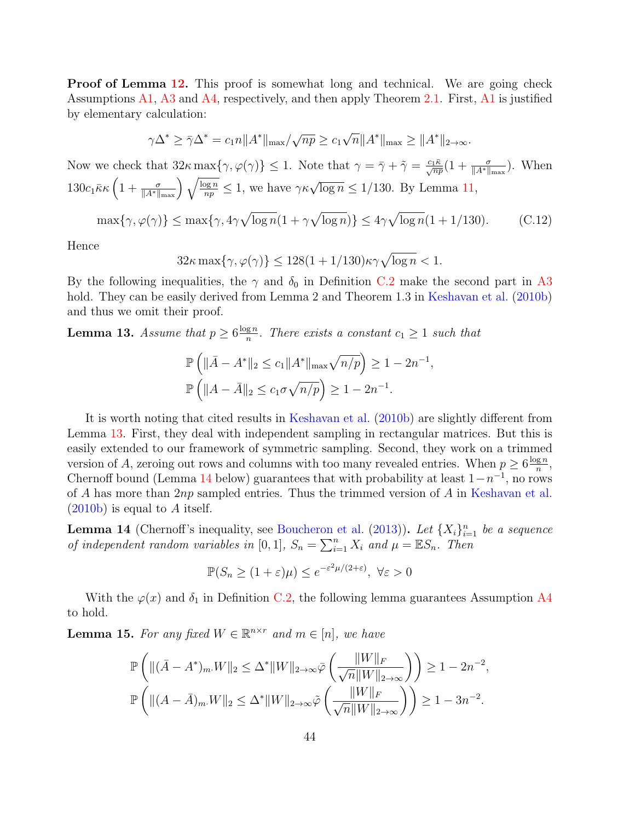**Proof of Lemma [12.](#page-42-4)** This proof is somewhat long and technical. We are going check Assumptions  $A1$ ,  $A3$  and  $A4$ , respectively, and then apply Theorem [2.1.](#page-11-0) First,  $A1$  is justified by elementary calculation:

$$
\gamma \Delta^* \ge \bar{\gamma} \Delta^* = c_1 n \|A^*\|_{\max} / \sqrt{np} \ge c_1 \sqrt{n} \|A^*\|_{\max} \ge \|A^*\|_{2 \to \infty}.
$$

Now we check that  $32\kappa \max\{\gamma, \varphi(\gamma)\}\leq 1$ . Note that  $\gamma = \bar{\gamma} + \tilde{\gamma} = \frac{c_1 \bar{\kappa}}{\sqrt{np}}(1 + \frac{\sigma}{\|A^*\|_{\max}})$ . When  $130c_1\bar{\kappa}\kappa\left(1+\frac{\sigma}{\|A^*\|_{\max}}\right)\sqrt{\frac{\log n}{np}} \leq 1$ , we have  $\gamma\kappa\sqrt{\log n} \leq 1/130$ . By Lemma [11,](#page-42-3)

$$
\max\{\gamma, \varphi(\gamma)\} \le \max\{\gamma, 4\gamma\sqrt{\log n}(1 + \gamma\sqrt{\log n})\} \le 4\gamma\sqrt{\log n}(1 + 1/130). \tag{C.12}
$$

Hence

<span id="page-43-3"></span>
$$
32\kappa \max\{\gamma, \varphi(\gamma)\} \le 128(1 + 1/130)\kappa \gamma \sqrt{\log n} < 1.
$$

By the following inequalities, the  $\gamma$  and  $\delta_0$  in Definition [C.2](#page-42-2) make the second part in [A3](#page-10-0) hold. They can be easily derived from Lemma 2 and Theorem 1.3 in [Keshavan et al.](#page-54-7) [\(2010b\)](#page-54-7) and thus we omit their proof.

<span id="page-43-0"></span>**Lemma 13.** Assume that  $p \geq 6 \frac{\log n}{n}$  $\frac{g_n}{n}$ . There exists a constant  $c_1 \geq 1$  such that

$$
\mathbb{P}\left(\|\bar{A} - A^*\|_2 \le c_1 \|A^*\|_{\max} \sqrt{n/p}\right) \ge 1 - 2n^{-1},
$$
  

$$
\mathbb{P}\left(\|A - \bar{A}\|_2 \le c_1 \sigma \sqrt{n/p}\right) \ge 1 - 2n^{-1}.
$$

It is worth noting that cited results in [Keshavan et al.](#page-54-7) [\(2010b\)](#page-54-7) are slightly different from Lemma [13.](#page-43-0) First, they deal with independent sampling in rectangular matrices. But this is easily extended to our framework of symmetric sampling. Second, they work on a trimmed version of A, zeroing out rows and columns with too many revealed entries. When  $p \geq 6 \frac{\log n}{n}$  $\frac{\mathbf{g}\,n}{n}$ , Chernoff bound (Lemma [14](#page-43-1) below) guarantees that with probability at least  $1-n^{-1}$ , no rows of A has more than  $2np$  sampled entries. Thus the trimmed version of A in [Keshavan et al.](#page-54-7)  $(2010b)$  is equal to A itself.

<span id="page-43-1"></span>**Lemma 14** (Chernoff's inequality, see [Boucheron et al.](#page-52-14) [\(2013\)](#page-52-14)). Let  $\{X_i\}_{i=1}^n$  be a sequence of independent random variables in [0, 1],  $S_n = \sum_{i=1}^n X_i$  and  $\mu = \mathbb{E}S_n$ . Then

$$
\mathbb{P}(S_n \ge (1+\varepsilon)\mu) \le e^{-\varepsilon^2 \mu/(2+\varepsilon)}, \ \forall \varepsilon > 0
$$

With the  $\varphi(x)$  and  $\delta_1$  in Definition [C.2,](#page-42-2) the following lemma guarantees Assumption [A4](#page-10-1) to hold.

<span id="page-43-2"></span>**Lemma 15.** For any fixed  $W \in \mathbb{R}^{n \times r}$  and  $m \in [n]$ , we have

$$
\mathbb{P}\left(\| (\bar{A} - A^*)_m W \|_2 \le \Delta^* \|W\|_{2 \to \infty} \bar{\varphi}\left(\frac{\|W\|_F}{\sqrt{n} \|W\|_{2 \to \infty}}\right)\right) \ge 1 - 2n^{-2},
$$
  

$$
\mathbb{P}\left(\| (A - \bar{A})_m W \|_2 \le \Delta^* \|W\|_{2 \to \infty} \tilde{\varphi}\left(\frac{\|W\|_F}{\sqrt{n} \|W\|_{2 \to \infty}}\right)\right) \ge 1 - 3n^{-2}.
$$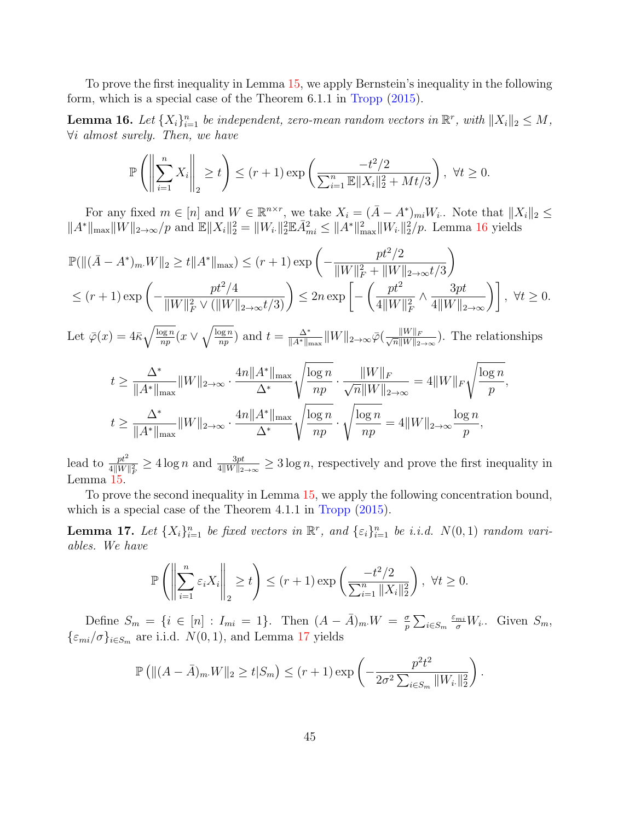To prove the first inequality in Lemma [15,](#page-43-2) we apply Bernstein's inequality in the following form, which is a special case of the Theorem 6.1.1 in [Tropp](#page-56-15) [\(2015\)](#page-56-15).

<span id="page-44-0"></span>**Lemma 16.** Let  $\{X_i\}_{i=1}^n$  be independent, zero-mean random vectors in  $\mathbb{R}^r$ , with  $||X_i||_2 \leq M$ , ∀i almost surely. Then, we have

$$
\mathbb{P}\left(\left\|\sum_{i=1}^{n} X_i\right\|_2 \ge t\right) \le (r+1) \exp\left(\frac{-t^2/2}{\sum_{i=1}^{n} \mathbb{E} \|X_i\|_2^2 + Mt/3}\right), \ \forall t \ge 0.
$$

For any fixed  $m \in [n]$  and  $W \in \mathbb{R}^{n \times r}$ , we take  $X_i = (\bar{A} - A^*)_{mi} W_i$ . Note that  $||X_i||_2 \le$  $||A^*||_{\text{max}} ||W||_{2\to\infty}/p$  and  $\mathbb{E}||X_i||_2^2 = ||W_i||_2^2 \mathbb{E} \bar{A}_{mi}^2 \leq ||A^*||_{\text{max}}^2 ||W_i||_2^2/p$ . Lemma [16](#page-44-0) yields

$$
\mathbb{P}(\| (\bar{A} - A^*)_{m \cdot} W \|_2 \ge t \| A^* \|_{\max}) \le (r+1) \exp\left( - \frac{pt^2/2}{\|W\|_F^2 + \|W\|_{2 \to \infty} t/3} \right)
$$
  

$$
\le (r+1) \exp\left( - \frac{pt^2/4}{\|W\|_F^2 \vee (\|W\|_{2 \to \infty} t/3)} \right) \le 2n \exp\left[ - \left( \frac{pt^2}{4 \|W\|_F^2} \wedge \frac{3pt}{4 \|W\|_{2 \to \infty}} \right) \right], \ \forall t \ge 0.
$$

Let  $\bar{\varphi}(x) = 4\bar{\kappa}\sqrt{\frac{\log n}{n}}$  $\sqrt{\frac{\log n}{np}}(x \vee \sqrt{\frac{\log n}{np}})$  $\frac{\log n}{np}$  and  $t = \frac{\Delta^*}{\|A^*\|_p}$  $\frac{\Delta^*}{\|A^*\|_{\max}}\|W\|_{2\rightarrow\infty} \bar{\varphi}(\frac{\|W\|_F}{\sqrt{n}\|W\|_2})$  $\frac{\|W\|_F}{n\|W\|_{2\to\infty}}$ ). The relationships

$$
t \ge \frac{\Delta^*}{\|A^*\|_{\max}} \|W\|_{2\to\infty} \cdot \frac{4n \|A^*\|_{\max}}{\Delta^*} \sqrt{\frac{\log n}{np}} \cdot \frac{\|W\|_F}{\sqrt{n} \|W\|_{2\to\infty}} = 4 \|W\|_F \sqrt{\frac{\log n}{p}},
$$
  

$$
t \ge \frac{\Delta^*}{\|A^*\|_{\max}} \|W\|_{2\to\infty} \cdot \frac{4n \|A^*\|_{\max}}{\Delta^*} \sqrt{\frac{\log n}{np}} \cdot \sqrt{\frac{\log n}{np}} = 4 \|W\|_{2\to\infty} \frac{\log n}{p},
$$

lead to  $\frac{pt^2}{4||W||_F^2} \ge 4 \log n$  and  $\frac{3pt}{4||W||_{2\to\infty}} \ge 3 \log n$ , respectively and prove the first inequality in Lemma [15.](#page-43-2)

To prove the second inequality in Lemma [15,](#page-43-2) we apply the following concentration bound, which is a special case of the Theorem 4.1.1 in [Tropp](#page-56-15) [\(2015\)](#page-56-15).

<span id="page-44-1"></span>**Lemma 17.** Let  $\{X_i\}_{i=1}^n$  be fixed vectors in  $\mathbb{R}^r$ , and  $\{\varepsilon_i\}_{i=1}^n$  be i.i.d.  $N(0, 1)$  random variables. We have

$$
\mathbb{P}\left(\left\|\sum_{i=1}^n \varepsilon_i X_i\right\|_2 \ge t\right) \le (r+1) \exp\left(\frac{-t^2/2}{\sum_{i=1}^n \|X_i\|_2^2}\right), \ \forall t \ge 0.
$$

Define  $S_m = \{i \in [n] : I_{mi} = 1\}$ . Then  $(A - \overline{A})_m W = \frac{\sigma}{n}$  $\frac{\sigma}{p}\sum_{i\in S_m}$  $\frac{\varepsilon_{mi}}{\sigma}W_i$ . Given  $S_m$ ,  $\{\varepsilon_{mi}/\sigma\}_{i\in S_m}$  are i.i.d.  $N(0, 1)$ , and Lemma [17](#page-44-1) yields

$$
\mathbb{P}\left(\|(A-\bar{A})_{m}W\|_{2} \geq t|S_{m}\right) \leq (r+1)\exp\left(-\frac{p^{2}t^{2}}{2\sigma^{2}\sum_{i\in S_{m}}\|W_{i\cdot}\|_{2}^{2}}\right).
$$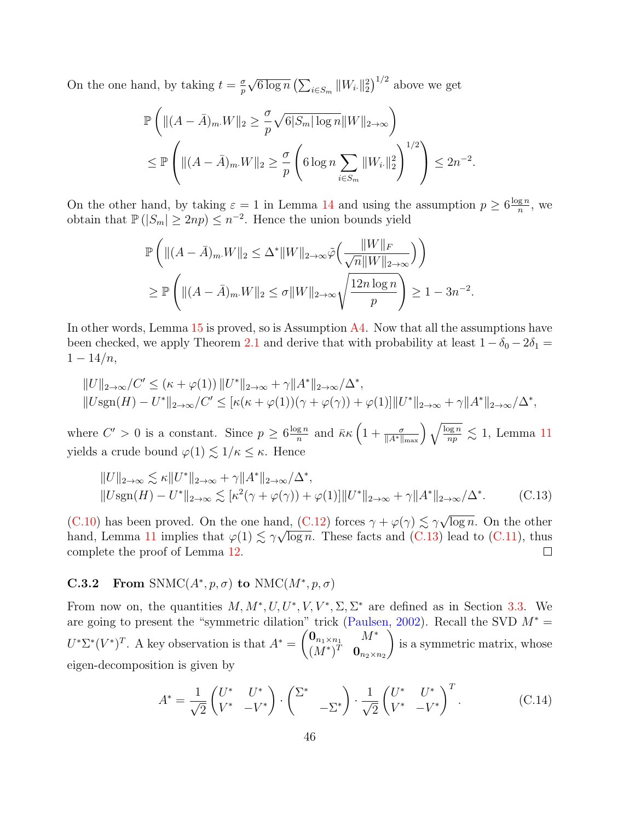On the one hand, by taking  $t = \frac{\sigma}{n}$ p √  $\overline{6 \log n} \left( \sum_{i \in S_m} ||W_{i\cdot}||_2^2 \right)^{1/2}$  above we get

$$
\mathbb{P}\left(\|(A-\bar{A})_{m}W\|_{2} \geq \frac{\sigma}{p}\sqrt{6|S_{m}|\log n} \|W\|_{2\to\infty}\right)
$$
  

$$
\leq \mathbb{P}\left(\|(A-\bar{A})_{m}W\|_{2} \geq \frac{\sigma}{p}\left(6\log n \sum_{i\in S_{m}} \|W_{i\cdot}\|_{2}^{2}\right)^{1/2}\right) \leq 2n^{-2}.
$$

On the other hand, by taking  $\varepsilon = 1$  in Lemma [14](#page-43-1) and using the assumption  $p \geq 6 \frac{\log n}{n}$  $\frac{\lg n}{n}$ , we obtain that  $\mathbb{P}(|S_m| \geq 2np) \leq n^{-2}$ . Hence the union bounds yield

$$
\mathbb{P}\left(\|(A-\bar{A})_{m}W\|_{2} \leq \Delta^{*} \|W\|_{2\to\infty} \tilde{\varphi}\left(\frac{\|W\|_{F}}{\sqrt{n}\|W\|_{2\to\infty}}\right)\right) \geq \mathbb{P}\left(\|(A-\bar{A})_{m}W\|_{2} \leq \sigma \|W\|_{2\to\infty} \sqrt{\frac{12n\log n}{p}}\right) \geq 1-3n^{-2}.
$$

In other words, Lemma [15](#page-43-2) is proved, so is Assumption [A4.](#page-10-1) Now that all the assumptions have been checked, we apply Theorem [2.1](#page-11-0) and derive that with probability at least  $1 - \delta_0 - 2\delta_1 =$  $1 - 14/n$ ,

$$
||U||_{2\to\infty}/C' \leq (\kappa + \varphi(1))||U^*||_{2\to\infty} + \gamma ||A^*||_{2\to\infty}/\Delta^*,
$$
  

$$
||Usgn(H) - U^*||_{2\to\infty}/C' \leq [\kappa(\kappa + \varphi(1))(\gamma + \varphi(\gamma)) + \varphi(1)]||U^*||_{2\to\infty} + \gamma ||A^*||_{2\to\infty}/\Delta^*,
$$

where  $C' > 0$  is a constant. Since  $p \geq 6 \frac{\log n}{n}$  $\frac{g n}{n}$  and  $\bar{\kappa} \kappa \left(1 + \frac{\sigma}{\|A^*\|_{\max}}\right) \sqrt{\frac{\log n}{np}} \lesssim 1$ , Lemma [11](#page-42-3) yields a crude bound  $\varphi(1) \lesssim 1/\kappa \leq \kappa$ . Hence

$$
||U||_{2\to\infty} \lesssim \kappa ||U^*||_{2\to\infty} + \gamma ||A^*||_{2\to\infty}/\Delta^*,
$$
  

$$
||Usgn(H) - U^*||_{2\to\infty} \lesssim [\kappa^2(\gamma + \varphi(\gamma)) + \varphi(1)] ||U^*||_{2\to\infty} + \gamma ||A^*||_{2\to\infty}/\Delta^*.
$$
 (C.13)

[\(C.10\)](#page-42-5) has been proved. On the one hand, [\(C.12\)](#page-43-3) forces  $\gamma + \varphi(\gamma) \lesssim \gamma \sqrt{\frac{\Gamma(1-\gamma)}{\Gamma(1-\gamma)}}$ nd,  $(C.12)$  forces  $\gamma + \varphi(\gamma) \lesssim \gamma \sqrt{\log n}$ . On the other hand, Lemma [11](#page-42-3) implies that  $\varphi(1) \lesssim \gamma \sqrt{\log n}$ . These facts and [\(C.13\)](#page-45-1) lead to [\(C.11\)](#page-42-6), thus complete the proof of Lemma [12.](#page-42-4)  $\Box$ 

### <span id="page-45-0"></span>**C.3.2** From SNMC( $A^*, p, \sigma$ ) to NMC( $M^*, p, \sigma$ )

From now on, the quantities  $M, M^*, U, U^*, V, V^*, \Sigma, \Sigma^*$  are defined as in Section [3.3.](#page-17-1) We are going to present the "symmetric dilation" trick [\(Paulsen,](#page-55-14) [2002\)](#page-55-14). Recall the SVD  $M^* =$  $U^*\Sigma^*(V^*)^T$ . A key observation is that  $A^* = \begin{pmatrix} \mathbf{0}_{n_1 \times n_1} & M^* \\ M^* \Sigma^* & \mathbf{0} \end{pmatrix}$  $(M^*)^T \quad \mathbf{0}_{n_2 \times n_2}$  $\setminus$ is a symmetric matrix, whose eigen-decomposition is given by

<span id="page-45-2"></span><span id="page-45-1"></span>
$$
A^* = \frac{1}{\sqrt{2}} \begin{pmatrix} U^* & U^* \\ V^* & -V^* \end{pmatrix} \cdot \begin{pmatrix} \Sigma^* & \\ & -\Sigma^* \end{pmatrix} \cdot \frac{1}{\sqrt{2}} \begin{pmatrix} U^* & U^* \\ V^* & -V^* \end{pmatrix}^T.
$$
 (C.14)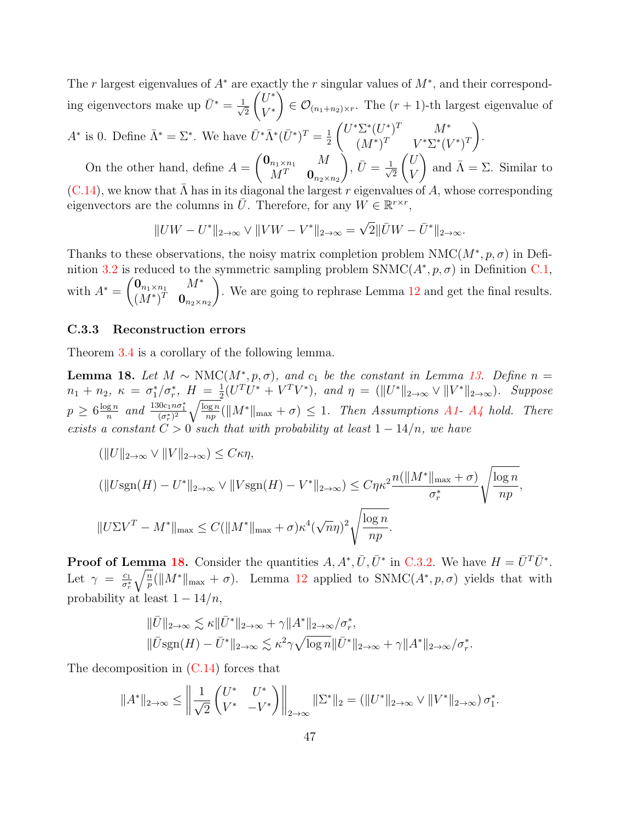The r largest eigenvalues of  $A^*$  are exactly the r singular values of  $M^*$ , and their corresponding eigenvectors make up  $\bar{U}^* = \frac{1}{\sqrt{2}}$ 2  $\int U^*$ V ∗  $\setminus$  $\in \mathcal{O}_{(n_1+n_2)\times r}$ . The  $(r+1)$ -th largest eigenvalue of  $A^*$  is 0. Define  $\bar{\Lambda}^* = \Sigma^*$ . We have  $\bar{U}^* \bar{\Lambda}^* (\bar{U}^*)^T = \frac{1}{2}$  $\int U^* \Sigma^* (U^*)^T$   $M^*$  $\setminus$ .

2  $(M^*)^T$   $V^* \Sigma^* (V^*)^T$ On the other hand, define  $A =$  $\int \mathbf{0}_{n_1\times n_1}$  M  $M^T$  0 $n_2 \times n_2$  $\bigg), \overline{U} = \frac{1}{\sqrt{2}}$ 2  $\sqrt{U}$ V ) and  $\bar{\Lambda} = \Sigma$ . Similar to

 $(C.14)$ , we know that  $\Lambda$  has in its diagonal the largest r eigenvalues of A, whose corresponding eigenvectors are the columns in  $\overline{U}$ . Therefore, for any  $W \in \mathbb{R}^{r \times r}$ ,

$$
||UW - U^*||_{2 \to \infty} \vee ||VW - V^*||_{2 \to \infty} = \sqrt{2}||\bar{U}W - \bar{U}^*||_{2 \to \infty}.
$$

Thanks to these observations, the noisy matrix completion problem  $NMC(M^*, p, \sigma)$  in Defi-nition [3.2](#page-18-0) is reduced to the symmetric sampling problem  $\text{SNMC}(A^*, p, \sigma)$  in Definition [C.1,](#page-42-1) with  $A^* = \begin{pmatrix} \mathbf{0}_{n_1 \times n_1} & M^* \\ M^* & \mathbf{0} \end{pmatrix}$  $(M^*)^T \quad \mathbf{0}_{n_2 \times n_2}$  $\setminus$ . We are going to rephrase Lemma [12](#page-42-4) and get the final results.

#### <span id="page-46-0"></span>C.3.3 Reconstruction errors

Theorem [3.4](#page-18-1) is a corollary of the following lemma.

<span id="page-46-1"></span>**Lemma 18.** Let  $M \sim NMC(M^*, p, \sigma)$ , and  $c_1$  be the constant in Lemma [13.](#page-43-0) Define  $n =$  $n_1 + n_2, \; \kappa \, = \, \sigma_1^{\ast}/\sigma_r^{\ast}, \; H \, = \, \frac{1}{2}$  $\frac{1}{2}(U^T U^* + V^T V^*)$ , and  $\eta = (\|U^*\|_{2\to\infty} \vee \|V^*\|_{2\to\infty})$ . Suppose  $p \geq 6 \frac{\log n}{n}$  $\frac{gn}{n}$  and  $\frac{130c_1n\sigma_1^*}{(\sigma_r^*)^2} \sqrt{\frac{\log n}{np}}$  $\frac{\log n}{np}(\|M^*\|_{\max} + \sigma) \leq 1$ . Then Assumptions [A1-](#page-10-0) [A4](#page-10-1) hold. There exists a constant  $C > 0$  such that with probability at least  $1 - 14/n$ , we have

$$
(\|U\|_{2\to\infty} \vee \|V\|_{2\to\infty}) \le C\kappa\eta,
$$
  

$$
(\|U\text{sgn}(H) - U^*\|_{2\to\infty} \vee \|V\text{sgn}(H) - V^*\|_{2\to\infty}) \le C\eta\kappa^2 \frac{n(\|M^*\|_{\max} + \sigma)}{\sigma_r^*} \sqrt{\frac{\log n}{np}},
$$
  

$$
\|U\Sigma V^T - M^*\|_{\max} \le C(\|M^*\|_{\max} + \sigma)\kappa^4(\sqrt{n}\eta)^2 \sqrt{\frac{\log n}{np}}.
$$

**Proof of Lemma [18.](#page-46-1)** Consider the quantities  $A, A^*, \overline{U}, \overline{U}^*$  in [C.3.2.](#page-45-0) We have  $H = \overline{U}^T \overline{U}^*$ . Let  $\gamma = \frac{c_1}{\sigma^*}$  $\overline{\sigma_r^*}$  $\sqrt{\frac{n}{p}}(||M^*||_{\max} + \sigma)$ . Lemma [12](#page-42-4) applied to SNMC( $A^*, p, \sigma$ ) yields that with probability at least  $1 - \frac{14}{n}$ ,

$$
\begin{aligned} &\|\bar{U}\|_{2\to\infty} \lesssim \kappa \|\bar{U}^*\|_{2\to\infty} + \gamma \|A^*\|_{2\to\infty}/\sigma_r^*,\\ &\|\bar{U}\text{sgn}(H) - \bar{U}^*\|_{2\to\infty} \lesssim \kappa^2 \gamma \sqrt{\log n} \|\bar{U}^*\|_{2\to\infty} + \gamma \|A^*\|_{2\to\infty}/\sigma_r^*. \end{aligned}
$$

The decomposition in [\(C.14\)](#page-45-2) forces that

$$
||A^*||_{2\to\infty} \le \left\| \frac{1}{\sqrt{2}} \begin{pmatrix} U^* & U^* \\ V^* & -V^* \end{pmatrix} \right\|_{2\to\infty} ||\Sigma^*||_2 = (||U^*||_{2\to\infty} \vee ||V^*||_{2\to\infty}) \sigma_1^*.
$$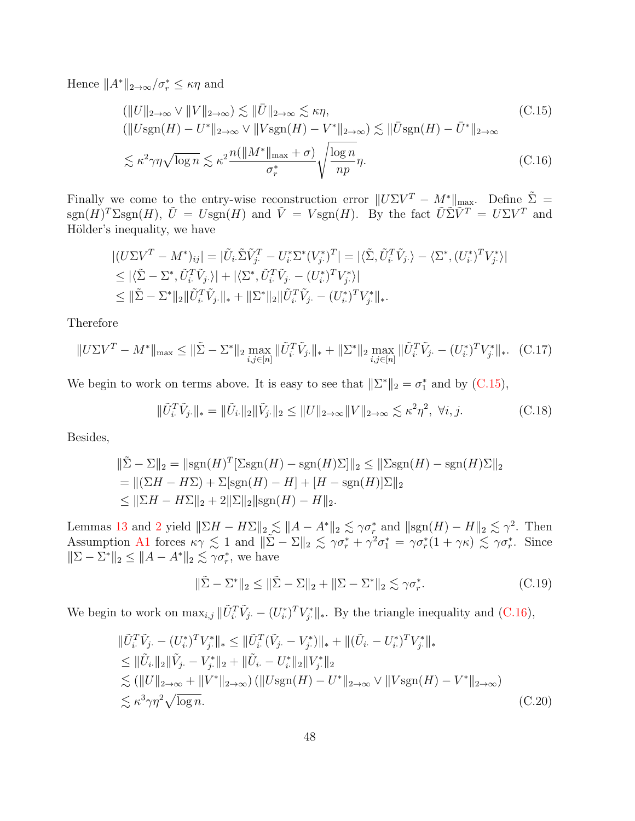Hence  $||A^*||_{2\to\infty}/\sigma_r^* \leq \kappa\eta$  and

<span id="page-47-1"></span><span id="page-47-0"></span>
$$
(\|U\|_{2\to\infty} \vee \|V\|_{2\to\infty}) \lesssim \|\bar{U}\|_{2\to\infty} \lesssim \kappa\eta,
$$
  
\n
$$
(\|U\text{sgn}(H) - U^*\|_{2\to\infty} \vee \|V\text{sgn}(H) - V^*\|_{2\to\infty}) \lesssim \|\bar{U}\text{sgn}(H) - \bar{U}^*\|_{2\to\infty}
$$
  
\n
$$
\lesssim \kappa^2 \gamma\eta \sqrt{\log n} \lesssim \kappa^2 \frac{n(\|M^*\|_{\max} + \sigma)}{\sigma_r^*} \sqrt{\frac{\log n}{np}} \eta.
$$
\n(C.16)

Finally we come to the entry-wise reconstruction error  $||U\Sigma V^T - M^*||_{\text{max}}$ . Define  $\tilde{\Sigma}$  =  $\text{sgn}(H)^T\Sigma \text{sgn}(H)$ ,  $\tilde{U} = U \text{sgn}(H)$  and  $\tilde{V} = V \text{sgn}(H)$ . By the fact  $\tilde{U}\tilde{\Sigma}\tilde{V}^T = U\Sigma V^T$  and Hölder's inequality, we have

$$
\begin{split} &|(U\Sigma V^T - M^*)_{ij}| = |\tilde{U}_i \tilde{\Sigma} \tilde{V}_j^T - U_i^* \Sigma^* (V_j^*)^T| = |\langle \tilde{\Sigma}, \tilde{U}_i^T \tilde{V}_j \rangle - \langle \Sigma^*, (U_i^*)^T V_j^* \rangle| \\ &\leq |\langle \tilde{\Sigma} - \Sigma^*, \tilde{U}_i^T \tilde{V}_j \rangle| + |\langle \Sigma^*, \tilde{U}_i^T \tilde{V}_j \cdot - (U_i^*)^T V_j^* \rangle| \\ &\leq \|\tilde{\Sigma} - \Sigma^*\|_2 \|\tilde{U}_i^T \tilde{V}_j \cdot\|_* + \|\Sigma^*\|_2 \|\tilde{U}_i^T \tilde{V}_j \cdot - (U_i^*)^T V_j^* \|_* . \end{split}
$$

Therefore

$$
||U\Sigma V^{T} - M^{*}||_{\max} \le ||\tilde{\Sigma} - \Sigma^{*}||_{2} \max_{i,j \in [n]} ||\tilde{U}_{i}^{T}\tilde{V}_{j}||_{*} + ||\Sigma^{*}||_{2} \max_{i,j \in [n]} ||\tilde{U}_{i}^{T}\tilde{V}_{j} - (U_{i}^{*})^{T}V_{j}^{*}||_{*}.
$$
 (C.17)

We begin to work on terms above. It is easy to see that  $\|\Sigma^*\|_2 = \sigma_1^*$  and by [\(C.15\)](#page-47-0),

<span id="page-47-5"></span><span id="page-47-2"></span>
$$
\|\tilde{U}_{i\cdot}^T \tilde{V}_{j\cdot}\|_{*} = \|\tilde{U}_{i\cdot}\|_{2} \|\tilde{V}_{j\cdot}\|_{2} \le \|U\|_{2 \to \infty} \|V\|_{2 \to \infty} \lesssim \kappa^2 \eta^2, \ \forall i, j.
$$
 (C.18)

Besides,

$$
\|\tilde{\Sigma} - \Sigma\|_2 = \|\text{sgn}(H)^T[\Sigma \text{sgn}(H) - \text{sgn}(H)\Sigma]\|_2 \le \|\Sigma \text{sgn}(H) - \text{sgn}(H)\Sigma\|_2
$$
  
= 
$$
\|(\Sigma H - H\Sigma) + \Sigma[\text{sgn}(H) - H] + [H - \text{sgn}(H)]\Sigma\|_2
$$
  

$$
\le \|\Sigma H - H\Sigma\|_2 + 2\|\Sigma\|_2\|\text{sgn}(H) - H\|_2.
$$

Lemmas [13](#page-43-0) and [2](#page-27-0) yield  $\|\Sigma H - H\Sigma\|_2 \lesssim \|A - A^*\|_2 \lesssim \gamma \sigma_r^*$  and  $\|\text{sgn}(H) - H\|_2 \lesssim \gamma^2$ . Then Assumption [A1](#page-10-0) forces  $\kappa \gamma \lesssim 1$  and  $\|\tilde{\Sigma} - \Sigma\|_2 \lesssim \gamma \sigma_r^* + \gamma^2 \sigma_1^* = \gamma \sigma_r^*(1 + \gamma \kappa) \lesssim \gamma \sigma_r^*$ . Since  $\|\Sigma - \Sigma^*\|_2 \le \|A - A^*\|_2 \lesssim \gamma \sigma_r^*$ , we have

<span id="page-47-4"></span><span id="page-47-3"></span>
$$
\|\tilde{\Sigma} - \Sigma^*\|_2 \le \|\tilde{\Sigma} - \Sigma\|_2 + \|\Sigma - \Sigma^*\|_2 \lesssim \gamma \sigma_r^*.
$$
 (C.19)

We begin to work on  $\max_{i,j} \|\tilde{U}_i^T \tilde{V}_{j} - (U_i^*)^T V_j^*\|_*$ . By the triangle inequality and  $(C.16)$ ,

$$
\|\tilde{U}_{i\cdot}^T \tilde{V}_{j\cdot} - (U_{i\cdot}^*)^T V_{j\cdot}^* \|_{*} \le \|\tilde{U}_{i\cdot}^T (\tilde{V}_{j\cdot} - V_{j\cdot}^*) \|_{*} + \| (\tilde{U}_{i\cdot} - U_{i\cdot}^*)^T V_{j\cdot}^* \|_{*} \le \|\tilde{U}_{i\cdot}\|_{2} \|\tilde{V}_{j\cdot} - V_{j\cdot}^*\|_{2} + \|\tilde{U}_{i\cdot} - U_{i\cdot}^*\|_{2} \|V_{j\cdot}^* \|_{2} \lesssim (\|U\|_{2 \to \infty} + \|V^*\|_{2 \to \infty}) (\|U \text{sgn}(H) - U^*\|_{2 \to \infty} \vee \|V \text{sgn}(H) - V^*\|_{2 \to \infty}) \lesssim \kappa^3 \gamma \eta^2 \sqrt{\log n}.
$$
\n(C.20)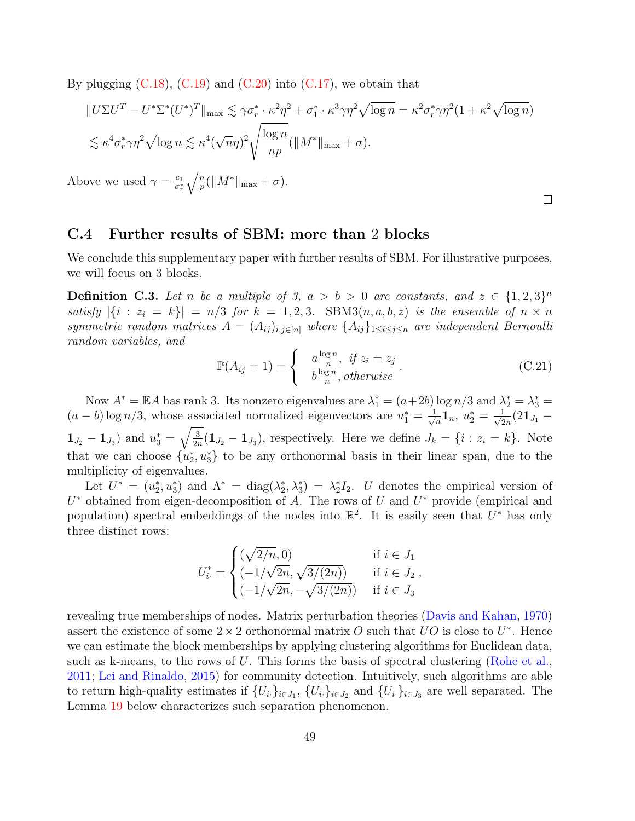By plugging  $(C.18)$ ,  $(C.19)$  and  $(C.20)$  into  $(C.17)$ , we obtain that

$$
||U\Sigma U^{T} - U^{*}\Sigma^{*}(U^{*})^{T}||_{\max} \lesssim \gamma \sigma_{r}^{*} \cdot \kappa^{2} \eta^{2} + \sigma_{1}^{*} \cdot \kappa^{3} \gamma \eta^{2} \sqrt{\log n} = \kappa^{2} \sigma_{r}^{*} \gamma \eta^{2} (1 + \kappa^{2} \sqrt{\log n})
$$
  

$$
\lesssim \kappa^{4} \sigma_{r}^{*} \gamma \eta^{2} \sqrt{\log n} \lesssim \kappa^{4} (\sqrt{n}\eta)^{2} \sqrt{\frac{\log n}{np}} (||M^{*}||_{\max} + \sigma).
$$
  
ove we used  $\gamma = \frac{c_{1}}{\sigma^{*}} \sqrt{\frac{n}{n}} (||M^{*}||_{\max} + \sigma).$ 

 $Ab<sub>0</sub>$  $\overline{\sigma_r^*} \bigvee \overline{p}$ 

C.4 Further results of SBM: more than 2 blocks

We conclude this supplementary paper with further results of SBM. For illustrative purposes, we will focus on 3 blocks.

<span id="page-48-0"></span>**Definition C.3.** Let n be a multiple of 3,  $a > b > 0$  are constants, and  $z \in \{1,2,3\}^n$ satisfy  $|\{i : z_i = k\}| = n/3$  for  $k = 1, 2, 3$ . SBM3 $(n, a, b, z)$  is the ensemble of  $n \times n$ symmetric random matrices  $A = (A_{ij})_{i,j \in [n]}$  where  $\{A_{ij}\}_{1 \leq i \leq j \leq n}$  are independent Bernoulli random variables, and

$$
\mathbb{P}(A_{ij}=1) = \begin{cases} a \frac{\log n}{n}, & \text{if } z_i = z_j \\ b \frac{\log n}{n}, & \text{otherwise} \end{cases} . \tag{C.21}
$$

 $\Box$ 

Now  $A^* = \mathbb{E}A$  has rank 3. Its nonzero eigenvalues are  $\lambda_1^* = (a+2b) \log n/3$  and  $\lambda_2^* = \lambda_3^* =$  $(a - b) \log n/3$ , whose associated normalized eigenvectors are  $u_1^* = \frac{1}{\sqrt{3}}$  $\frac{1}{n} \mathbf{1}_n, \ u_2^* = \frac{1}{\sqrt{2}}$  $\frac{1}{2n}(2\mathbf{1}_{J_{1}}}% ,\mathbf{1}_{J_{2}})$  $1_{J_2} - 1_{J_3}$  and  $u_3^* = \sqrt{\frac{3}{2r}}$  $\frac{3}{2n}(1_{J_2}-1_{J_3})$ , respectively. Here we define  $J_k = \{i : z_i = k\}$ . Note that we can choose  $\{u_2^*, u_3^*\}$  to be any orthonormal basis in their linear span, due to the multiplicity of eigenvalues.

Let  $U^* = (u_2^*, u_3^*)$  and  $\Lambda^* = \text{diag}(\lambda_2^*, \lambda_3^*) = \lambda_2^* I_2$ . U denotes the empirical version of  $U^*$  obtained from eigen-decomposition of A. The rows of U and  $U^*$  provide (empirical and population) spectral embeddings of the nodes into  $\mathbb{R}^2$ . It is easily seen that  $U^*$  has only three distinct rows:

$$
U_i^* = \begin{cases} (\sqrt{2/n}, 0) & \text{if } i \in J_1 \\ (-1/\sqrt{2n}, \sqrt{3/(2n)}) & \text{if } i \in J_2 \\ (-1/\sqrt{2n}, -\sqrt{3/(2n)}) & \text{if } i \in J_3 \end{cases}
$$

revealing true memberships of nodes. Matrix perturbation theories [\(Davis and Kahan,](#page-53-1) [1970\)](#page-53-1) assert the existence of some  $2 \times 2$  orthonormal matrix O such that UO is close to U<sup>\*</sup>. Hence we can estimate the block memberships by applying clustering algorithms for Euclidean data, such as k-means, to the rows of U. This forms the basis of spectral clustering [\(Rohe et al.,](#page-56-13) [2011;](#page-56-13) [Lei and Rinaldo,](#page-55-12) [2015\)](#page-55-12) for community detection. Intuitively, such algorithms are able to return high-quality estimates if  $\{U_i\}_{i\in J_1}$ ,  $\{U_i\}_{i\in J_2}$  and  $\{U_i\}_{i\in J_3}$  are well separated. The Lemma [19](#page-49-0) below characterizes such separation phenomenon.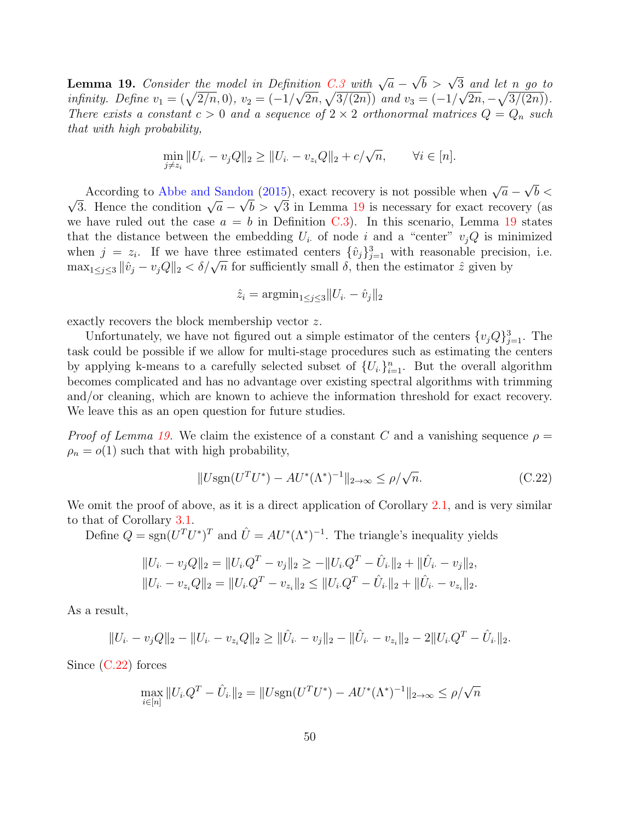<span id="page-49-0"></span>**Lemma 19.** Consider the model in Definition [C.3](#page-48-0) with  $\sqrt{a}$  – ition C.3 with  $\sqrt{a} - \sqrt{b} > \sqrt{3}$  and let n go to infinity. Define  $v_1 = (\sqrt{2/n}, 0), v_2 = (-1/\sqrt{2n}, \sqrt{3/(2n)})$  and  $v_3 = (-1/\sqrt{2n}, -\sqrt{3/(2n)})$ . There exists a constant  $c > 0$  and a sequence of  $2 \times 2$  orthonormal matrices  $Q = Q_n$  such that with high probability,

$$
\min_{j \neq z_i} \|U_{i \cdot} - v_j Q\|_2 \ge \|U_{i \cdot} - v_{z_i} Q\|_2 + c/\sqrt{n}, \qquad \forall i \in [n].
$$

According to [Abbe and Sandon](#page-51-4) [\(2015\)](#page-51-4), exact recovery is not possible when  $\sqrt{a}$  – √ According to Abbe and Sandon (2015), exact recovery is not possible when  $\sqrt{a} - \sqrt{b} < \sqrt{3}$ . Hence the condition  $\sqrt{a} - \sqrt{b} > \sqrt{3}$  in Lemma [19](#page-49-0) is necessary for exact recovery (as lon (2015), exact recovery is not possible when  $\sqrt{a} - \sqrt{b}$ we have ruled out the case  $a = b$  in Definition [C.3\)](#page-48-0). In this scenario, Lemma [19](#page-49-0) states that the distance between the embedding  $U_i$  of node i and a "center"  $v_j Q$  is minimized when  $j = z_i$ . If we have three estimated centers  $\{\hat{v}_j\}_{j=1}^3$  with reasonable precision, i.e. when  $j = z_i$ . It we have three estimated centers  $\{v_j\}_{j=1}^{\infty}$  with reasonable precision  $\max_{1 \leq j \leq 3} ||\hat{v}_j - v_j Q||_2 < \delta/\sqrt{n}$  for sufficiently small  $\delta$ , then the estimator  $\hat{z}$  given by

$$
\hat{z}_i = \operatorname{argmin}_{1 \le j \le 3} ||U_{i.} - \hat{v}_j||_2
$$

exactly recovers the block membership vector z.

Unfortunately, we have not figured out a simple estimator of the centers  $\{v_j Q\}_{j=1}^3$ . The task could be possible if we allow for multi-stage procedures such as estimating the centers by applying k-means to a carefully selected subset of  $\{U_i\}_{i=1}^n$ . But the overall algorithm becomes complicated and has no advantage over existing spectral algorithms with trimming and/or cleaning, which are known to achieve the information threshold for exact recovery. We leave this as an open question for future studies.

*Proof of Lemma [19.](#page-49-0)* We claim the existence of a constant C and a vanishing sequence  $\rho =$  $\rho_n = o(1)$  such that with high probability,

<span id="page-49-1"></span>
$$
||U\text{sgn}(U^T U^*) - AU^*(\Lambda^*)^{-1}||_{2\to\infty} \le \rho/\sqrt{n}.\tag{C.22}
$$

We omit the proof of above, as it is a direct application of Corollary [2.1,](#page-12-2) and is very similar to that of Corollary [3.1.](#page-16-0)

Define  $Q = sgn(U^T U^*)^T$  and  $\hat{U} = AU^*(\Lambda^*)^{-1}$ . The triangle's inequality yields

$$
||U_{i} - v_{j}Q||_{2} = ||U_{i}Q^{T} - v_{j}||_{2} \ge -||U_{i}Q^{T} - \hat{U}_{i}||_{2} + ||\hat{U}_{i} - v_{j}||_{2},
$$
  

$$
||U_{i} - v_{z_{i}}Q||_{2} = ||U_{i}Q^{T} - v_{z_{i}}||_{2} \le ||U_{i}Q^{T} - \hat{U}_{i}||_{2} + ||\hat{U}_{i} - v_{z_{i}}||_{2}.
$$

As a result,

$$
||U_{i} - v_{j}Q||_{2} - ||U_{i} - v_{z_{i}}Q||_{2} \ge ||\hat{U}_{i} - v_{j}||_{2} - ||\hat{U}_{i} - v_{z_{i}}||_{2} - 2||U_{i}Q^{T} - \hat{U}_{i}||_{2}.
$$

Since [\(C.22\)](#page-49-1) forces

$$
\max_{i \in [n]} \|U_i \cdot Q^T - \hat{U}_i\|_2 = \|U \text{sgn}(U^T U^*) - AU^*(\Lambda^*)^{-1}\|_{2 \to \infty} \le \rho/\sqrt{n}
$$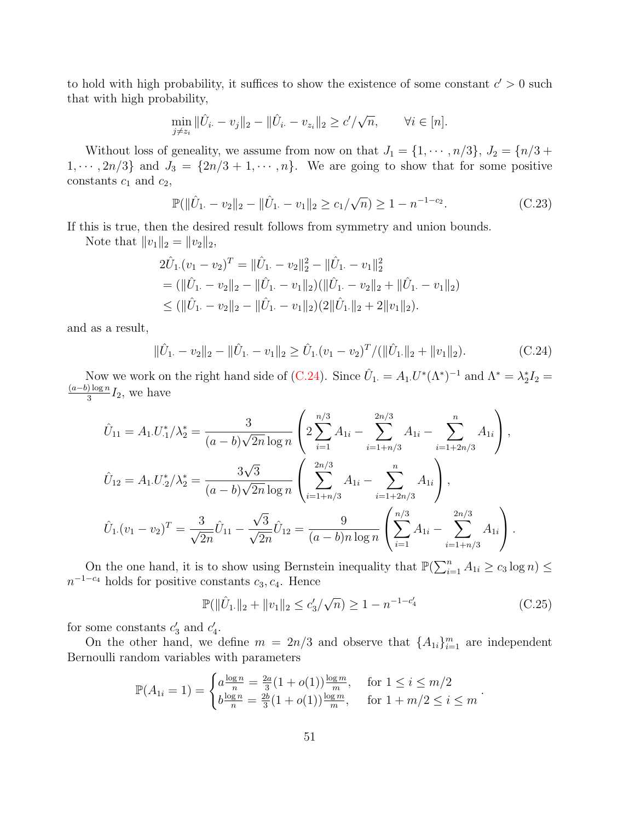to hold with high probability, it suffices to show the existence of some constant  $c' > 0$  such that with high probability,

$$
\min_{j \neq z_i} \|\hat{U}_{i\cdot} - v_j\|_2 - \|\hat{U}_{i\cdot} - v_{z_i}\|_2 \geq c'/\sqrt{n}, \qquad \forall i \in [n].
$$

Without loss of geneality, we assume from now on that  $J_1 = \{1, \dots, n/3\}, J_2 = \{n/3 + 1/3\}$  $1, \dots, 2n/3$  and  $J_3 = \{2n/3 + 1, \dots, n\}$ . We are going to show that for some positive constants  $c_1$  and  $c_2$ ,

<span id="page-50-1"></span>
$$
\mathbb{P}(\|\hat{U}_{1.} - v_{2}\|_{2} - \|\hat{U}_{1.} - v_{1}\|_{2} \ge c_{1}/\sqrt{n}) \ge 1 - n^{-1-c_{2}}.
$$
\n(C.23)

If this is true, then the desired result follows from symmetry and union bounds.

Note that  $||v_1||_2 = ||v_2||_2$ ,

$$
2\hat{U}_1.(v_1 - v_2)^T = ||\hat{U}_1. - v_2||_2^2 - ||\hat{U}_1. - v_1||_2^2
$$
  
= (|| $\hat{U}_1$ . -  $v_2$ || $2$  - || $\hat{U}_1$ . -  $v_1$ || $2$ )(|| $\hat{U}_1$ . -  $v_2$ || $2$  + || $\hat{U}_1$ . -  $v_1$ || $2$ )  

$$
\leq (||\hat{U}_1. - v_2||_2 - ||\hat{U}_1. - v_1||_2)(2||\hat{U}_1.||_2 + 2||v_1||_2).
$$

and as a result,

<span id="page-50-0"></span>
$$
\|\hat{U}_1 - v_2\|_2 - \|\hat{U}_1 - v_1\|_2 \ge \hat{U}_1 \cdot (v_1 - v_2)^T / (\|\hat{U}_1\|_2 + \|v_1\|_2). \tag{C.24}
$$

Now we work on the right hand side of [\(C.24\)](#page-50-0). Since  $\hat{U}_1 = A_1 U^* (\Lambda^*)^{-1}$  and  $\Lambda^* = \lambda_2^* I_2 =$  $(a-b) \log n$  $\frac{1}{3}$ <sup>log<sub>n</sub></sup> $I_2$ , we have

$$
\hat{U}_{11} = A_1 U_{.1}^* / \lambda_2^* = \frac{3}{(a - b)\sqrt{2n} \log n} \left( 2 \sum_{i=1}^{n/3} A_{1i} - \sum_{i=1+n/3}^{2n/3} A_{1i} - \sum_{i=1+2n/3}^n A_{1i} \right),
$$
  

$$
\hat{U}_{12} = A_1 U_{.2}^* / \lambda_2^* = \frac{3\sqrt{3}}{(a - b)\sqrt{2n} \log n} \left( \sum_{i=1+n/3}^{2n/3} A_{1i} - \sum_{i=1+2n/3}^n A_{1i} \right),
$$
  

$$
\hat{U}_1.(v_1 - v_2)^T = \frac{3}{\sqrt{2n}} \hat{U}_{11} - \frac{\sqrt{3}}{\sqrt{2n}} \hat{U}_{12} = \frac{9}{(a - b)n \log n} \left( \sum_{i=1}^{n/3} A_{1i} - \sum_{i=1+n/3}^{2n/3} A_{1i} \right).
$$

On the one hand, it is to show using Bernstein inequality that  $\mathbb{P}(\sum_{i=1}^{n} A_{1i} \geq c_3 \log n) \leq$  $n^{-1-c_4}$  holds for positive constants  $c_3, c_4$ . Hence

$$
\mathbb{P}(\|\hat{U}_1\|_2 + \|v_1\|_2 \le c'_3/\sqrt{n}) \ge 1 - n^{-1-c'_4}
$$
\n(C.25)

for some constants  $c'_3$  and  $c'_4$ .

On the other hand, we define  $m = 2n/3$  and observe that  $\{A_{1i}\}_{i=1}^m$  are independent Bernoulli random variables with parameters

$$
\mathbb{P}(A_{1i} = 1) = \begin{cases} a \frac{\log n}{n} = \frac{2a}{3} (1 + o(1)) \frac{\log m}{m}, & \text{for } 1 \le i \le m/2 \\ b \frac{\log n}{n} = \frac{2b}{3} (1 + o(1)) \frac{\log m}{m}, & \text{for } 1 + m/2 \le i \le m \end{cases}.
$$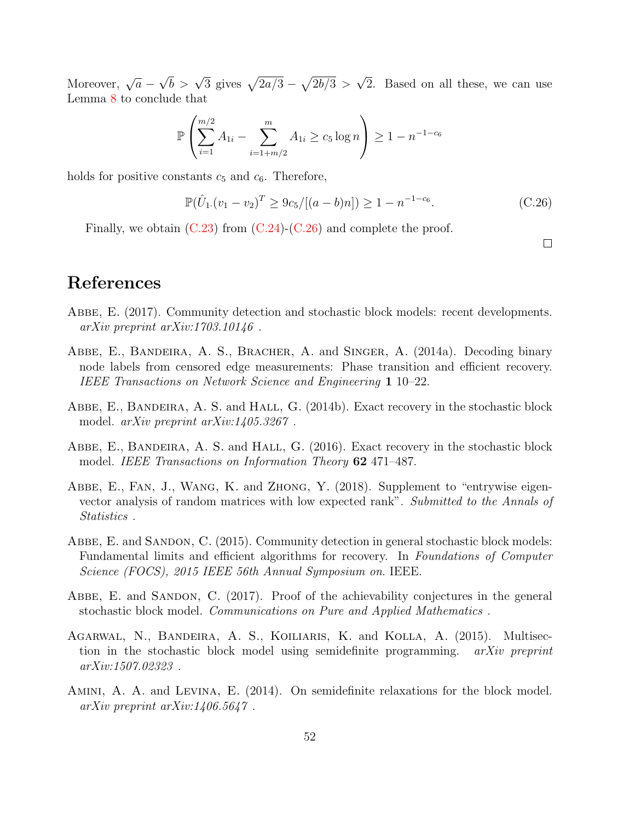Moreover,  $\sqrt{a}$  –  $\sqrt{b} > \sqrt{3}$  gives  $\sqrt{2a/3} - \sqrt{2b/3} >$ √ 2. Based on all these, we can use Lemma [8](#page-37-0) to conclude that

$$
\mathbb{P}\left(\sum_{i=1}^{m/2} A_{1i} - \sum_{i=1+m/2}^{m} A_{1i} \ge c_5 \log n\right) \ge 1 - n^{-1-c_6}
$$

holds for positive constants  $c_5$  and  $c_6$ . Therefore,

$$
\mathbb{P}(\hat{U}_1.(v_1 - v_2)^T \ge 9c_5/[(a - b)n]) \ge 1 - n^{-1 - c_6}.
$$
 (C.26)

Finally, we obtain  $(C.23)$  from  $(C.24)-(C.26)$  $(C.24)-(C.26)$  $(C.24)-(C.26)$  and complete the proof.

<span id="page-51-9"></span> $\Box$ 

# References

- <span id="page-51-2"></span>Abbe, E. (2017). Community detection and stochastic block models: recent developments.  $arXiv$  preprint  $arXiv:1703.10146$ .
- <span id="page-51-8"></span>Abbe, E., Bandeira, A. S., Bracher, A. and Singer, A. (2014a). Decoding binary node labels from censored edge measurements: Phase transition and efficient recovery. IEEE Transactions on Network Science and Engineering 1 10–22.
- <span id="page-51-0"></span>ABBE, E., BANDEIRA, A. S. and HALL, G. (2014b). Exact recovery in the stochastic block model. arXiv preprint arXiv:1405.3267 .
- <span id="page-51-1"></span>ABBE, E., BANDEIRA, A. S. and HALL, G. (2016). Exact recovery in the stochastic block model. IEEE Transactions on Information Theory 62 471–487.
- <span id="page-51-5"></span>Abbe, E., Fan, J., Wang, K. and Zhong, Y. (2018). Supplement to "entrywise eigenvector analysis of random matrices with low expected rank". Submitted to the Annals of Statistics .
- <span id="page-51-4"></span>ABBE, E. and SANDON, C. (2015). Community detection in general stochastic block models: Fundamental limits and efficient algorithms for recovery. In Foundations of Computer Science (FOCS), 2015 IEEE 56th Annual Symposium on. IEEE.
- <span id="page-51-7"></span>ABBE, E. and SANDON, C. (2017). Proof of the achievability conjectures in the general stochastic block model. Communications on Pure and Applied Mathematics .
- <span id="page-51-3"></span>Agarwal, N., Bandeira, A. S., Koiliaris, K. and Kolla, A. (2015). Multisection in the stochastic block model using semidefinite programming. arXiv preprint arXiv:1507.02323 .
- <span id="page-51-6"></span>Amini, A. A. and Levina, E. (2014). On semidefinite relaxations for the block model.  $arXiv$  preprint  $arXiv:1406.5647$ .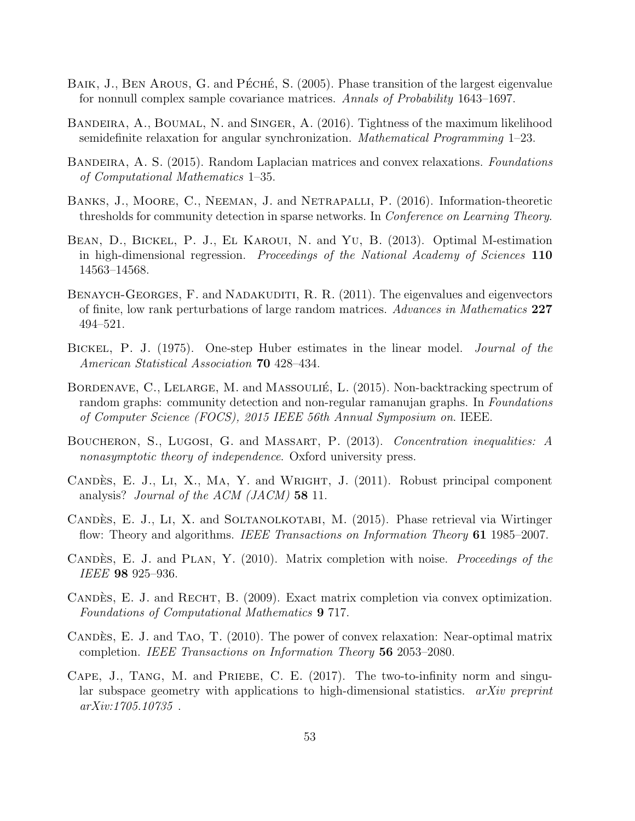- <span id="page-52-10"></span>BAIK, J., BEN AROUS, G. and PÉCHÉ, S. (2005). Phase transition of the largest eigenvalue for nonnull complex sample covariance matrices. Annals of Probability 1643–1697.
- <span id="page-52-4"></span>Bandeira, A., Boumal, N. and Singer, A. (2016). Tightness of the maximum likelihood semidefinite relaxation for angular synchronization. Mathematical Programming 1–23.
- <span id="page-52-1"></span>BANDEIRA, A. S. (2015). Random Laplacian matrices and convex relaxations. Foundations of Computational Mathematics 1–35.
- <span id="page-52-6"></span>Banks, J., Moore, C., Neeman, J. and Netrapalli, P. (2016). Information-theoretic thresholds for community detection in sparse networks. In Conference on Learning Theory.
- <span id="page-52-13"></span>Bean, D., Bickel, P. J., El Karoui, N. and Yu, B. (2013). Optimal M-estimation in high-dimensional regression. Proceedings of the National Academy of Sciences 110 14563–14568.
- <span id="page-52-11"></span>BENAYCH-GEORGES, F. and NADAKUDITI, R. R. (2011). The eigenvalues and eigenvectors of finite, low rank perturbations of large random matrices. Advances in Mathematics 227 494–521.
- <span id="page-52-2"></span>BICKEL, P. J. (1975). One-step Huber estimates in the linear model. *Journal of the* American Statistical Association **70** 428–434.
- <span id="page-52-5"></span>BORDENAVE, C., LELARGE, M. and MASSOULIÉ, L. (2015). Non-backtracking spectrum of random graphs: community detection and non-regular ramanujan graphs. In Foundations of Computer Science (FOCS), 2015 IEEE 56th Annual Symposium on. IEEE.
- <span id="page-52-14"></span>Boucheron, S., Lugosi, G. and Massart, P. (2013). Concentration inequalities: A nonasymptotic theory of independence. Oxford university press.
- <span id="page-52-9"></span>CANDES, E. J., LI, X., MA, Y. and WRIGHT, J. (2011). Robust principal component analysis? *Journal of the ACM (JACM)* **58** 11.
- <span id="page-52-0"></span>CANDÈS, E. J., LI, X. and SOLTANOLKOTABI, M. (2015). Phase retrieval via Wirtinger flow: Theory and algorithms. IEEE Transactions on Information Theory 61 1985–2007.
- <span id="page-52-8"></span>CANDES, E. J. and PLAN, Y. (2010). Matrix completion with noise. Proceedings of the IEEE 98 925–936.
- <span id="page-52-7"></span>CANDÈS, E. J. and RECHT, B. (2009). Exact matrix completion via convex optimization. Foundations of Computational Mathematics 9 717.
- <span id="page-52-12"></span>CANDES, E. J. and TAO, T.  $(2010)$ . The power of convex relaxation: Near-optimal matrix completion. IEEE Transactions on Information Theory 56 2053–2080.
- <span id="page-52-3"></span>CAPE, J., TANG, M. and PRIEBE, C. E. (2017). The two-to-infinity norm and singular subspace geometry with applications to high-dimensional statistics.  $a\overline{r}Xiv$  preprint arXiv:1705.10735 .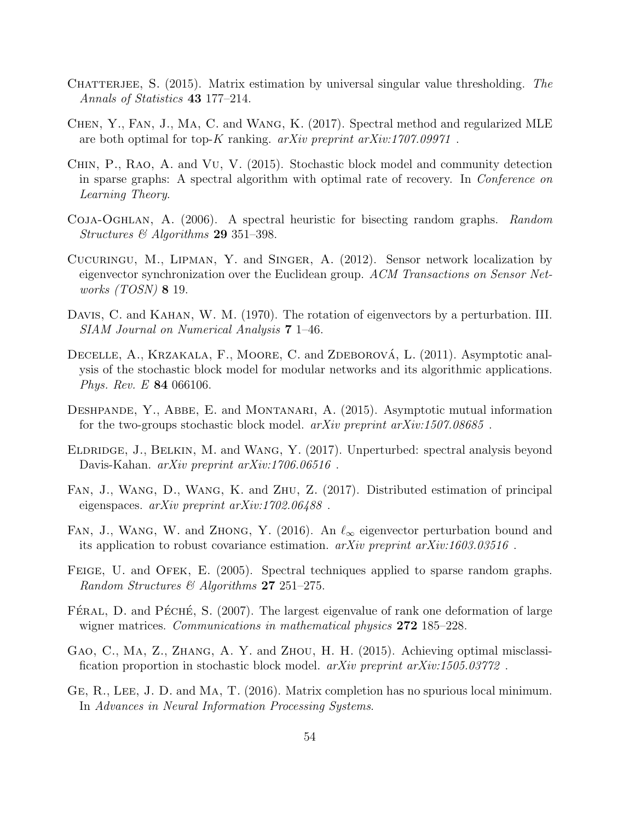- <span id="page-53-12"></span>CHATTERJEE, S.  $(2015)$ . Matrix estimation by universal singular value thresholding. The Annals of Statistics 43 177–214.
- <span id="page-53-4"></span>Chen, Y., Fan, J., Ma, C. and Wang, K. (2017). Spectral method and regularized MLE are both optimal for top-K ranking.  $arXiv$  preprint  $arXiv:1707.09971$ .
- <span id="page-53-8"></span>Chin, P., Rao, A. and Vu, V. (2015). Stochastic block model and community detection in sparse graphs: A spectral algorithm with optimal rate of recovery. In Conference on Learning Theory.
- <span id="page-53-6"></span>Coja-Oghlan, A. (2006). A spectral heuristic for bisecting random graphs. Random Structures  $\mathcal{O}$  Algorithms 29 351–398.
- <span id="page-53-5"></span>Cucuringu, M., Lipman, Y. and Singer, A. (2012). Sensor network localization by eigenvector synchronization over the Euclidean group. ACM Transactions on Sensor Networks (TOSN) 8 19.
- <span id="page-53-1"></span>Davis, C. and Kahan, W. M. (1970). The rotation of eigenvectors by a perturbation. III. SIAM Journal on Numerical Analysis 7 1–46.
- <span id="page-53-7"></span>DECELLE, A., KRZAKALA, F., MOORE, C. and ZDEBOROVÁ, L. (2011). Asymptotic analysis of the stochastic block model for modular networks and its algorithmic applications. Phys. Rev. E 84 066106.
- <span id="page-53-10"></span>DESHPANDE, Y., ABBE, E. and MONTANARI, A. (2015). Asymptotic mutual information for the two-groups stochastic block model.  $arXiv$  preprint  $arXiv:1507.08685$ .
- <span id="page-53-3"></span>Eldridge, J., Belkin, M. and Wang, Y. (2017). Unperturbed: spectral analysis beyond Davis-Kahan. arXiv preprint arXiv:1706.06516 .
- <span id="page-53-13"></span>Fan, J., Wang, D., Wang, K. and Zhu, Z. (2017). Distributed estimation of principal eigenspaces. arXiv preprint arXiv:1702.06488 .
- <span id="page-53-2"></span>FAN, J., WANG, W. and ZHONG, Y. (2016). An  $\ell_{\infty}$  eigenvector perturbation bound and its application to robust covariance estimation. arXiv preprint arXiv:1603.03516 .
- <span id="page-53-14"></span>FEIGE, U. and OFEK, E. (2005). Spectral techniques applied to sparse random graphs. Random Structures & Algorithms 27 251–275.
- <span id="page-53-11"></span>FÉRAL, D. and PÉCHÉ, S.  $(2007)$ . The largest eigenvalue of rank one deformation of large wigner matrices. *Communications in mathematical physics* **272** 185–228.
- <span id="page-53-0"></span>Gao, C., Ma, Z., Zhang, A. Y. and Zhou, H. H. (2015). Achieving optimal misclassification proportion in stochastic block model. arXiv preprint arXiv:1505.03772 .
- <span id="page-53-9"></span>GE, R., LEE, J. D. and MA, T. (2016). Matrix completion has no spurious local minimum. In Advances in Neural Information Processing Systems.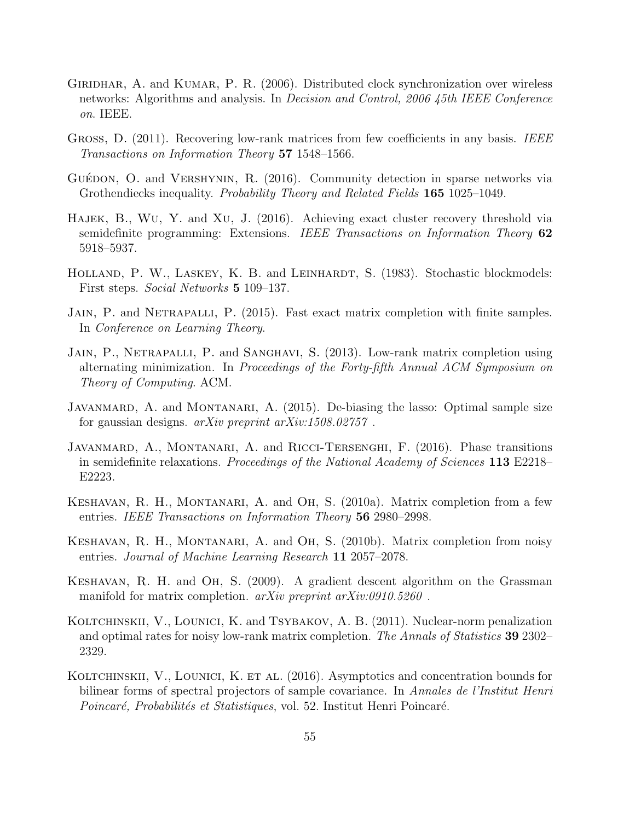- <span id="page-54-9"></span>GIRIDHAR, A. and KUMAR, P. R. (2006). Distributed clock synchronization over wireless networks: Algorithms and analysis. In Decision and Control, 2006 45th IEEE Conference on. IEEE.
- <span id="page-54-8"></span>GROSS, D. (2011). Recovering low-rank matrices from few coefficients in any basis. IEEE Transactions on Information Theory 57 1548–1566.
- <span id="page-54-6"></span>GUÉDON, O. and VERSHYNIN, R.  $(2016)$ . Community detection in sparse networks via Grothendiecks inequality. Probability Theory and Related Fields 165 1025–1049.
- <span id="page-54-3"></span>Hajek, B., Wu, Y. and Xu, J. (2016). Achieving exact cluster recovery threshold via semidefinite programming: Extensions. IEEE Transactions on Information Theory 62 5918–5937.
- <span id="page-54-2"></span>HOLLAND, P. W., LASKEY, K. B. and LEINHARDT, S. (1983). Stochastic blockmodels: First steps. Social Networks 5 109–137.
- <span id="page-54-12"></span>JAIN, P. and NETRAPALLI, P. (2015). Fast exact matrix completion with finite samples. In Conference on Learning Theory.
- <span id="page-54-1"></span>JAIN, P., NETRAPALLI, P. and SANGHAVI, S. (2013). Low-rank matrix completion using alternating minimization. In Proceedings of the Forty-fifth Annual ACM Symposium on Theory of Computing. ACM.
- <span id="page-54-13"></span>JAVANMARD, A. and MONTANARI, A. (2015). De-biasing the lasso: Optimal sample size for gaussian designs. arXiv preprint arXiv:1508.02757 .
- <span id="page-54-5"></span>JAVANMARD, A., MONTANARI, A. and RICCI-TERSENGHI, F. (2016). Phase transitions in semidefinite relaxations. Proceedings of the National Academy of Sciences 113 E2218– E2223.
- <span id="page-54-0"></span>Keshavan, R. H., Montanari, A. and Oh, S. (2010a). Matrix completion from a few entries. IEEE Transactions on Information Theory 56 2980–2998.
- <span id="page-54-7"></span>Keshavan, R. H., Montanari, A. and Oh, S. (2010b). Matrix completion from noisy entries. Journal of Machine Learning Research 11 2057–2078.
- <span id="page-54-11"></span>Keshavan, R. H. and Oh, S. (2009). A gradient descent algorithm on the Grassman manifold for matrix completion. *arXiv preprint arXiv:0910.5260*.
- <span id="page-54-10"></span>KOLTCHINSKII, V., LOUNICI, K. and TSYBAKOV, A. B. (2011). Nuclear-norm penalization and optimal rates for noisy low-rank matrix completion. The Annals of Statistics 39 2302– 2329.
- <span id="page-54-4"></span>KOLTCHINSKII, V., LOUNICI, K. ET AL. (2016). Asymptotics and concentration bounds for bilinear forms of spectral projectors of sample covariance. In Annales de l'Institut Henri Poincaré, Probabilités et Statistiques, vol. 52. Institut Henri Poincaré.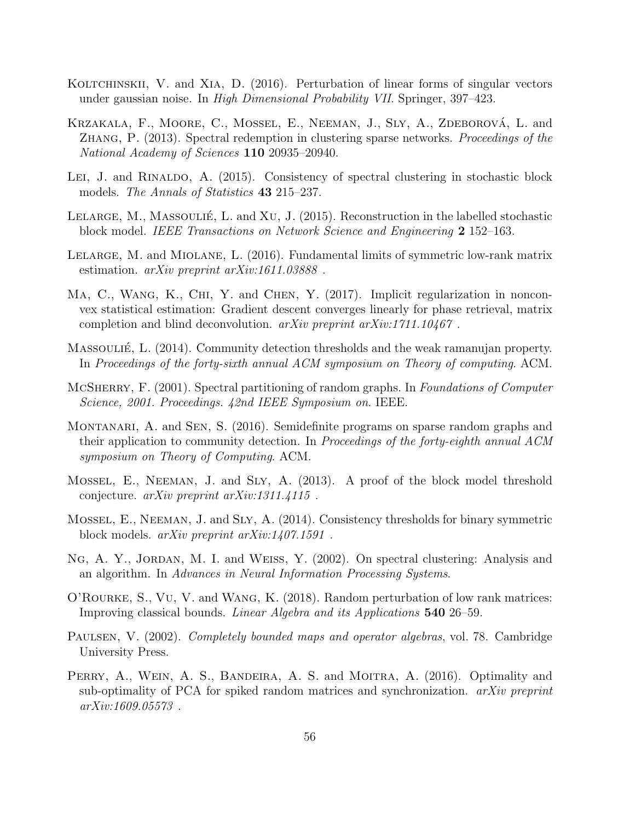- <span id="page-55-3"></span>KOLTCHINSKII, V. and XIA, D. (2016). Perturbation of linear forms of singular vectors under gaussian noise. In High Dimensional Probability VII. Springer, 397–423.
- <span id="page-55-6"></span>KRZAKALA, F., MOORE, C., MOSSEL, E., NEEMAN, J., SLY, A., ZDEBOROVÁ, L. and Zhang, P. (2013). Spectral redemption in clustering sparse networks. Proceedings of the National Academy of Sciences 110 20935–20940.
- <span id="page-55-12"></span>LEI, J. and RINALDO, A. (2015). Consistency of spectral clustering in stochastic block models. *The Annals of Statistics* **43** 215–237.
- <span id="page-55-9"></span>LELARGE, M., MASSOULIÉ, L. and XU, J.  $(2015)$ . Reconstruction in the labelled stochastic block model. IEEE Transactions on Network Science and Engineering 2 152–163.
- <span id="page-55-10"></span>Lelarge, M. and Miolane, L. (2016). Fundamental limits of symmetric low-rank matrix estimation. *arXiv preprint arXiv:1611.03888*.
- <span id="page-55-13"></span>MA, C., WANG, K., CHI, Y. and CHEN, Y. (2017). Implicit regularization in nonconvex statistical estimation: Gradient descent converges linearly for phase retrieval, matrix completion and blind deconvolution. arXiv preprint arXiv:1711.10467 .
- <span id="page-55-4"></span>Massoulie, L. (2014). Community detection thresholds and the weak ramanujan property. In Proceedings of the forty-sixth annual ACM symposium on Theory of computing. ACM.
- <span id="page-55-8"></span>MCSHERRY, F. (2001). Spectral partitioning of random graphs. In Foundations of Computer Science, 2001. Proceedings. 42nd IEEE Symposium on. IEEE.
- <span id="page-55-7"></span>MONTANARI, A. and SEN, S. (2016). Semidefinite programs on sparse random graphs and their application to community detection. In Proceedings of the forty-eighth annual ACM symposium on Theory of Computing. ACM.
- <span id="page-55-5"></span>Mossel, E., Neeman, J. and Sly, A. (2013). A proof of the block model threshold conjecture.  $arXiv$  preprint  $arXiv:1311.4115$ .
- <span id="page-55-1"></span>Mossel, E., Neeman, J. and Sly, A. (2014). Consistency thresholds for binary symmetric block models. arXiv preprint arXiv:1407.1591 .
- <span id="page-55-0"></span>NG, A. Y., JORDAN, M. I. and WEISS, Y. (2002). On spectral clustering: Analysis and an algorithm. In Advances in Neural Information Processing Systems.
- <span id="page-55-2"></span>O'Rourke, S., Vu, V. and Wang, K. (2018). Random perturbation of low rank matrices: Improving classical bounds. Linear Algebra and its Applications 540 26–59.
- <span id="page-55-14"></span>PAULSEN, V. (2002). *Completely bounded maps and operator algebras*, vol. 78. Cambridge University Press.
- <span id="page-55-11"></span>PERRY, A., WEIN, A. S., BANDEIRA, A. S. and MOITRA, A. (2016). Optimality and sub-optimality of PCA for spiked random matrices and synchronization. arXiv preprint arXiv:1609.05573 .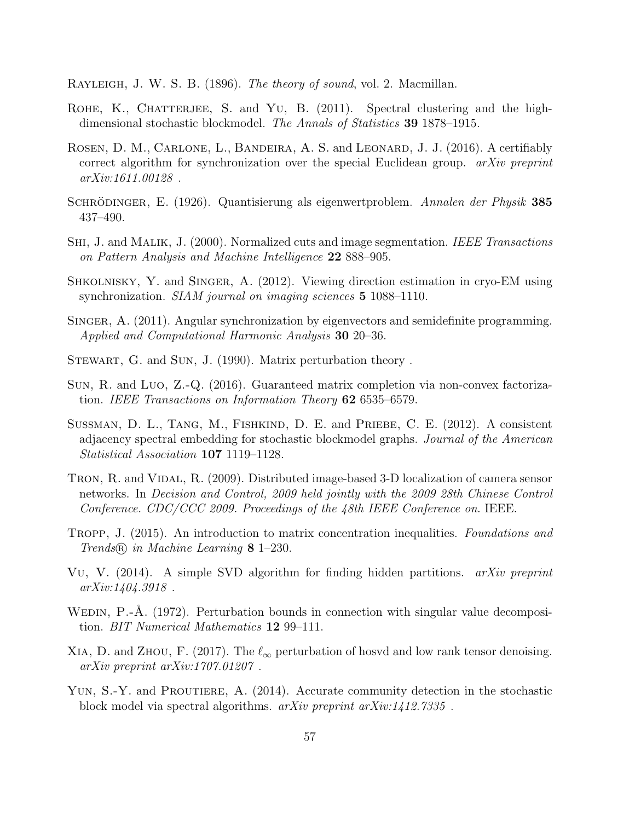<span id="page-56-1"></span>RAYLEIGH, J. W. S. B. (1896). The theory of sound, vol. 2. Macmillan.

- <span id="page-56-13"></span>ROHE, K., CHATTERJEE, S. and YU, B.  $(2011)$ . Spectral clustering and the highdimensional stochastic blockmodel. The Annals of Statistics 39 1878–1915.
- <span id="page-56-7"></span>ROSEN, D. M., CARLONE, L., BANDEIRA, A. S. and LEONARD, J. J. (2016). A certifiably correct algorithm for synchronization over the special Euclidean group. *arXiv preprint* arXiv:1611.00128 .
- <span id="page-56-2"></span>SCHRÖDINGER, E. (1926). Quantisierung als eigenwertproblem. Annalen der Physik 385 437–490.
- <span id="page-56-0"></span>SHI, J. and MALIK, J. (2000). Normalized cuts and image segmentation. IEEE Transactions on Pattern Analysis and Machine Intelligence 22 888–905.
- <span id="page-56-12"></span>Shkolnisky, Y. and Singer, A. (2012). Viewing direction estimation in cryo-EM using synchronization. *SIAM journal on imaging sciences* **5** 1088–1110.
- <span id="page-56-6"></span>SINGER, A. (2011). Angular synchronization by eigenvectors and semidefinite programming. Applied and Computational Harmonic Analysis 30 20–36.
- <span id="page-56-4"></span>STEWART, G. and SUN, J. (1990). Matrix perturbation theory.
- <span id="page-56-10"></span>Sun, R. and Luo, Z.-Q. (2016). Guaranteed matrix completion via non-convex factorization. IEEE Transactions on Information Theory 62 6535–6579.
- <span id="page-56-14"></span>SUSSMAN, D. L., TANG, M., FISHKIND, D. E. and PRIEBE, C. E. (2012). A consistent adjacency spectral embedding for stochastic blockmodel graphs. Journal of the American Statistical Association 107 1119–1128.
- <span id="page-56-11"></span>TRON, R. and VIDAL, R. (2009). Distributed image-based 3-D localization of camera sensor networks. In Decision and Control, 2009 held jointly with the 2009 28th Chinese Control Conference. CDC/CCC 2009. Proceedings of the 48th IEEE Conference on. IEEE.
- <span id="page-56-15"></span>TROPP, J. (2015). An introduction to matrix concentration inequalities. Foundations and Trends <sup>R</sup> in Machine Learning 8 1–230.
- <span id="page-56-8"></span>Vu, V. (2014). A simple SVD algorithm for finding hidden partitions. *arXiv preprint* arXiv:1404.3918 .
- <span id="page-56-3"></span>WEDIN, P.-Å. (1972). Perturbation bounds in connection with singular value decomposition. BIT Numerical Mathematics 12 99–111.
- <span id="page-56-5"></span>XIA, D. and ZHOU, F. (2017). The  $\ell_{\infty}$  perturbation of hosvd and low rank tensor denoising. arXiv preprint arXiv:1707.01207 .
- <span id="page-56-9"></span>YUN, S.-Y. and PROUTIERE, A. (2014). Accurate community detection in the stochastic block model via spectral algorithms. arXiv preprint arXiv:1412.7335 .